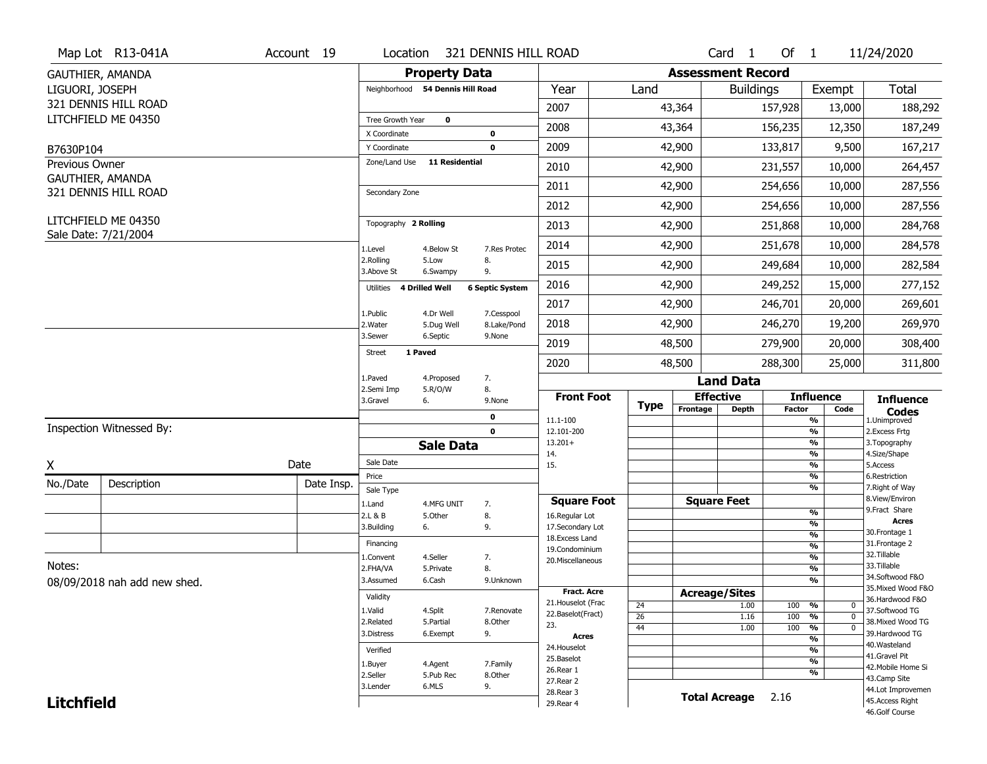|                       | Map Lot R13-041A             | Account 19 | Location                           | 321 DENNIS HILL ROAD                |                                   |                       |                          | Card 1               | Of $1$        |                                | 11/24/2020                           |
|-----------------------|------------------------------|------------|------------------------------------|-------------------------------------|-----------------------------------|-----------------------|--------------------------|----------------------|---------------|--------------------------------|--------------------------------------|
|                       | GAUTHIER, AMANDA             |            |                                    | <b>Property Data</b>                |                                   |                       | <b>Assessment Record</b> |                      |               |                                |                                      |
| LIGUORI, JOSEPH       |                              |            |                                    | Neighborhood 54 Dennis Hill Road    | Year                              | Land                  |                          | <b>Buildings</b>     |               | Exempt                         | <b>Total</b>                         |
|                       | 321 DENNIS HILL ROAD         |            |                                    |                                     | 2007                              |                       | 43,364                   |                      | 157,928       | 13,000                         | 188,292                              |
|                       | LITCHFIELD ME 04350          |            | Tree Growth Year                   | $\mathbf 0$                         | 2008                              |                       | 43,364                   |                      | 156,235       | 12,350                         | 187,249                              |
| B7630P104             |                              |            | X Coordinate<br>Y Coordinate       | 0<br>$\mathbf 0$                    | 2009                              |                       | 42,900                   |                      | 133,817       | 9,500                          | 167,217                              |
| <b>Previous Owner</b> |                              |            | Zone/Land Use                      | <b>11 Residential</b>               | 2010                              |                       | 42,900                   |                      | 231,557       | 10,000                         | 264,457                              |
|                       | GAUTHIER, AMANDA             |            |                                    |                                     |                                   |                       |                          |                      |               |                                |                                      |
|                       | 321 DENNIS HILL ROAD         |            | Secondary Zone                     |                                     | 2011                              |                       | 42,900                   |                      | 254,656       | 10,000                         | 287,556                              |
|                       | LITCHFIELD ME 04350          |            |                                    |                                     | 2012                              |                       | 42,900                   |                      | 254,656       | 10,000                         | 287,556                              |
|                       | Sale Date: 7/21/2004         |            | Topography 2 Rolling               |                                     | 2013                              |                       | 42,900                   |                      | 251,868       | 10,000                         | 284,768                              |
|                       |                              |            | 1.Level                            | 7.Res Protec<br>4.Below St          | 2014                              |                       | 42,900                   |                      | 251,678       | 10,000                         | 284,578                              |
|                       |                              |            | 2.Rolling<br>3.Above St            | 8.<br>5.Low<br>9.<br>6.Swampy       | 2015                              |                       | 42,900                   |                      | 249,684       | 10,000                         | 282,584                              |
|                       |                              |            | <b>4 Drilled Well</b><br>Utilities | <b>6 Septic System</b>              | 2016                              |                       | 42,900                   |                      | 249,252       | 15,000                         | 277,152                              |
|                       |                              |            | 1.Public                           | 4.Dr Well<br>7.Cesspool             | 2017                              |                       | 42,900                   |                      | 246,701       | 20,000                         | 269,601                              |
|                       |                              |            | 2. Water                           | 5.Dug Well<br>8.Lake/Pond           | 2018                              |                       | 42,900                   |                      | 246,270       | 19,200                         | 269,970                              |
|                       |                              |            | 3.Sewer                            | 6.Septic<br>9.None                  | 2019                              |                       | 48,500                   |                      | 279,900       | 20,000                         | 308,400                              |
|                       |                              |            | 1 Paved<br><b>Street</b>           |                                     | 2020                              |                       | 48,500                   |                      | 288,300       | 25,000                         | 311,800                              |
|                       |                              |            | 1.Paved                            | 7.<br>4.Proposed                    |                                   |                       |                          | <b>Land Data</b>     |               |                                |                                      |
|                       |                              |            | 2.Semi Imp<br>3.Gravel<br>6.       | 8.<br>5.R/O/W<br>9.None             | <b>Front Foot</b>                 |                       |                          | <b>Effective</b>     |               | <b>Influence</b>               | <b>Influence</b>                     |
|                       |                              |            |                                    | 0                                   | 11.1-100                          | <b>Type</b>           | Frontage                 | <b>Depth</b>         | <b>Factor</b> | Code<br>%                      | <b>Codes</b><br>1.Unimproved         |
|                       | Inspection Witnessed By:     |            |                                    | $\mathbf 0$                         | 12.101-200                        |                       |                          |                      |               | $\frac{9}{6}$                  | 2.Excess Frtg                        |
|                       |                              |            |                                    | <b>Sale Data</b>                    | $13.201+$<br>14.                  |                       |                          |                      |               | %<br>%                         | 3. Topography<br>4.Size/Shape        |
| X                     |                              | Date       | Sale Date                          |                                     | 15.                               |                       |                          |                      |               | %                              | 5.Access                             |
| No./Date              | Description                  | Date Insp. | Price                              |                                     |                                   |                       |                          |                      |               |                                |                                      |
|                       |                              |            |                                    |                                     |                                   |                       |                          |                      |               | $\frac{9}{6}$                  | 6.Restriction                        |
|                       |                              |            | Sale Type                          |                                     | <b>Square Foot</b>                |                       |                          | <b>Square Feet</b>   |               | %                              | 7. Right of Way<br>8.View/Environ    |
|                       |                              |            | 1.Land<br>2.L & B                  | 4.MFG UNIT<br>7.<br>5.Other<br>8.   | 16.Regular Lot                    |                       |                          |                      |               | $\frac{9}{6}$                  | 9. Fract Share                       |
|                       |                              |            | 3.Building<br>6.                   | 9.                                  | 17.Secondary Lot                  |                       |                          |                      |               | $\frac{9}{6}$<br>$\frac{9}{6}$ | <b>Acres</b><br>30. Frontage 1       |
|                       |                              |            | Financing                          |                                     | 18. Excess Land<br>19.Condominium |                       |                          |                      |               | $\frac{9}{6}$                  | 31. Frontage 2                       |
|                       |                              |            | 1.Convent                          | 4.Seller<br>7.                      | 20.Miscellaneous                  |                       |                          |                      |               | $\frac{9}{6}$                  | 32. Tillable                         |
| Notes:                |                              |            | 2.FHA/VA                           | 8.<br>5.Private                     |                                   |                       |                          |                      |               | $\frac{9}{6}$                  | 33.Tillable<br>34.Softwood F&O       |
|                       | 08/09/2018 nah add new shed. |            | 3.Assumed                          | 6.Cash<br>9.Unknown                 | <b>Fract. Acre</b>                |                       |                          |                      |               | %                              | 35. Mixed Wood F&O                   |
|                       |                              |            | Validity                           |                                     | 21. Houselot (Frac                |                       | <b>Acreage/Sites</b>     |                      |               |                                | 36.Hardwood F&O                      |
|                       |                              |            | 1.Valid                            | 4.Split<br>7.Renovate               | 22.Baselot(Fract)                 | 24<br>$\overline{26}$ |                          | 1.00<br>1.16         | 100<br>100    | %<br>0<br>$\overline{0}$<br>%  | 37.Softwood TG                       |
|                       |                              |            | 2.Related                          | 5.Partial<br>8.Other                | 23.                               | 44                    |                          | 1.00                 | 100           | $\overline{0}$<br>%            | 38. Mixed Wood TG                    |
|                       |                              |            | 3.Distress                         | 9.<br>6.Exempt                      | <b>Acres</b>                      |                       |                          |                      |               | %                              | 39.Hardwood TG<br>40. Wasteland      |
|                       |                              |            | Verified                           |                                     | 24. Houselot<br>25.Baselot        |                       |                          |                      |               | %                              | 41.Gravel Pit                        |
|                       |                              |            | 1.Buyer                            | 7.Family<br>4.Agent                 | 26.Rear 1                         |                       |                          |                      |               | %<br>%                         | 42. Mobile Home Si                   |
|                       |                              |            | 2.Seller<br>3.Lender               | 5.Pub Rec<br>8.0ther<br>6.MLS<br>9. | 27.Rear 2                         |                       |                          |                      |               |                                | 43.Camp Site                         |
| <b>Litchfield</b>     |                              |            |                                    |                                     | 28. Rear 3<br>29. Rear 4          |                       |                          | <b>Total Acreage</b> | 2.16          |                                | 44.Lot Improvemen<br>45.Access Right |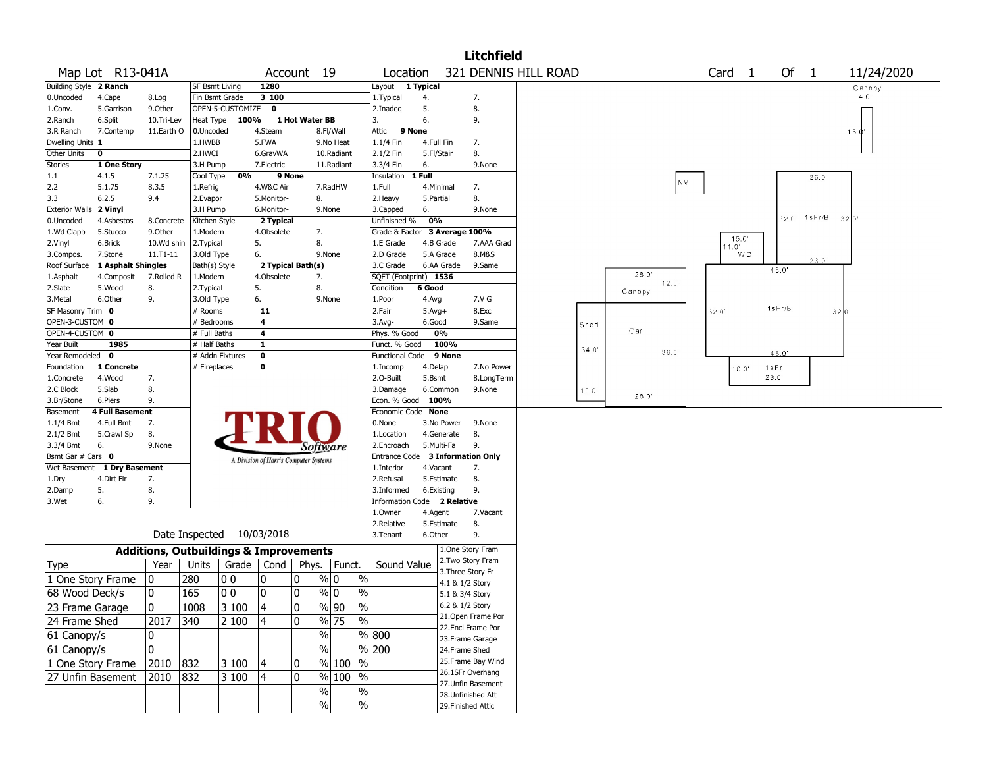|                                |                             |                       |                                                   |              |                   |                                       |               |                             |            |                    | <b>Litchfield</b>                     |  |       |        |      |                   |       |               |      |              |            |  |
|--------------------------------|-----------------------------|-----------------------|---------------------------------------------------|--------------|-------------------|---------------------------------------|---------------|-----------------------------|------------|--------------------|---------------------------------------|--|-------|--------|------|-------------------|-------|---------------|------|--------------|------------|--|
|                                | Map Lot R13-041A            |                       |                                                   |              |                   | Account 19                            |               | Location                    |            |                    | 321 DENNIS HILL ROAD                  |  |       |        |      | Card <sub>1</sub> |       |               | Of 1 |              | 11/24/2020 |  |
| Building Style 2 Ranch         |                             |                       | <b>SF Bsmt Living</b>                             |              | 1280              |                                       |               | Layout 1 Typical            |            |                    |                                       |  |       |        |      |                   |       |               |      |              | Canopy     |  |
| 0.Uncoded                      | 4.Cape                      | 8.Log                 | Fin Bsmt Grade                                    |              | 3 100             |                                       |               | 1.Typical                   | 4.         |                    | 7.                                    |  |       |        |      |                   |       |               |      |              | 4.0'       |  |
| 1.Conv.<br>2.Ranch             | 5.Garrison<br>6.Split       | 9.Other<br>10.Tri-Lev | OPEN-5-CUSTOMIZE<br>Heat Type                     | 100%         | $\mathbf{o}$      | 1 Hot Water BB                        |               | 2.Inadeq<br>3.              | 5.<br>6.   |                    | 8.<br>9.                              |  |       |        |      |                   |       |               |      |              |            |  |
| 3.R Ranch                      | 7.Contemp                   | 11.Earth O            | 0.Uncoded                                         |              | 4.Steam           | 8.Fl/Wall                             |               | Attic                       | 9 None     |                    |                                       |  |       |        |      |                   |       |               |      |              | 16.0"      |  |
| Dwelling Units 1               |                             |                       | 1.HWBB                                            |              | 5.FWA             | 9.No Heat                             |               | 1.1/4 Fin                   | 4.Full Fin |                    | 7.                                    |  |       |        |      |                   |       |               |      |              |            |  |
| Other Units                    | $\mathbf 0$                 |                       | 2.HWCI                                            |              | 6.GravWA          | 10.Radiant                            |               | 2.1/2 Fin                   | 5.Fl/Stair |                    | 8.                                    |  |       |        |      |                   |       |               |      |              |            |  |
| <b>Stories</b>                 | 1 One Story                 |                       | 3.H Pump                                          |              | 7.Electric        | 11.Radiant                            |               | 3.3/4 Fin                   | 6.         |                    | 9.None                                |  |       |        |      |                   |       |               |      |              |            |  |
| 1.1                            | 4.1.5                       | 7.1.25                | Cool Type                                         | 0%           | 9 None            |                                       |               | Insulation 1 Full           |            |                    |                                       |  |       |        |      |                   |       |               |      | 26.0'        |            |  |
| 2.2                            | 5.1.75                      | 8.3.5                 | 1.Refrig                                          |              | 4.W&C Air         | 7.RadHW                               |               | 1.Full                      | 4.Minimal  |                    | 7.                                    |  |       |        | NV.  |                   |       |               |      |              |            |  |
| 3.3                            | 6.2.5                       | 9.4                   | 2.Evapor                                          |              | 5.Monitor-        | 8.                                    |               | 2.Heavy                     | 5.Partial  |                    | 8.                                    |  |       |        |      |                   |       |               |      |              |            |  |
| Exterior Walls 2 Vinyl         |                             |                       | 3.H Pump                                          |              | 6.Monitor-        | 9.None                                |               | 3.Capped                    | 6.         |                    | 9.None                                |  |       |        |      |                   |       |               |      |              |            |  |
| 0.Uncoded                      | 4.Asbestos                  | 8.Concrete            | Kitchen Style                                     |              | 2 Typical         |                                       |               | Unfinished %                | 0%         |                    |                                       |  |       |        |      |                   |       |               |      | 32.0' 1sFr/B | 3210'      |  |
| 1.Wd Clapb                     | 5.Stucco                    | 9.0ther               | 1.Modern                                          |              | 4.Obsolete        | 7.                                    |               | Grade & Factor              |            | 3 Average 100%     |                                       |  |       |        |      |                   |       |               |      |              |            |  |
| 2.Vinyl                        | 6.Brick                     | 10.Wd shin            | 2. Typical                                        | 5.           |                   | 8.                                    |               | 1.E Grade                   | 4.B Grade  |                    | 7.AAA Grad                            |  |       |        |      | 11.0'             | 15.0' |               |      |              |            |  |
| 3.Compos.                      | 7.Stone                     | 11.T1-11              | 3.Old Type                                        | 6.           |                   | 9.None                                |               | 2.D Grade                   | 5.A Grade  |                    | 8.M&S                                 |  |       |        |      |                   | WD    |               |      | 26.0'        |            |  |
| Roof Surface                   | 1 Asphalt Shingles          |                       | Bath(s) Style                                     |              | 2 Typical Bath(s) |                                       |               | 3.C Grade                   | 6.AA Grade |                    | 9.Same                                |  |       |        |      |                   |       | 48.0'         |      |              |            |  |
| 1.Asphalt                      | 4.Composit                  | 7.Rolled R            | 1.Modern                                          |              | 4.Obsolete        | 7.                                    |               | SQFT (Footprint) 1536       |            |                    |                                       |  |       | 28.0'  | 12.0 |                   |       |               |      |              |            |  |
| 2.Slate                        | 5.Wood                      | 8.                    | 2. Typical                                        | 5.           |                   | 8.                                    |               | Condition                   | 6 Good     |                    |                                       |  |       | Canopy |      |                   |       |               |      |              |            |  |
| 3.Metal                        | 6.Other                     | 9.                    | 3.Old Type                                        | 6.           |                   | 9.None                                |               | 1.Poor                      | 4.Avg      |                    | 7.V G                                 |  |       |        |      |                   |       | 1sFr/B        |      |              |            |  |
| SF Masonry Trim 0              |                             |                       | # Rooms                                           |              | 11                |                                       |               | 2.Fair                      | $5.Avg+$   |                    | 8.Exc                                 |  |       |        |      | 32.0'             |       |               |      |              | 32.0'      |  |
| OPEN-3-CUSTOM 0                |                             |                       | # Bedrooms                                        |              | 4                 |                                       |               | $3.$ Avg-                   | 6.Good     |                    | 9.Same                                |  | Shed  | Gar    |      |                   |       |               |      |              |            |  |
| OPEN-4-CUSTOM 0                |                             |                       | # Full Baths                                      |              | 4                 |                                       |               | Phys. % Good                | 0%         |                    |                                       |  |       |        |      |                   |       |               |      |              |            |  |
| Year Built<br>Year Remodeled 0 | 1985                        |                       | # Half Baths                                      |              | $\mathbf{1}$      |                                       |               | Funct. % Good               |            | 100%<br>9 None     |                                       |  | 34.0' |        | 36.0 |                   |       | 48.0'         |      |              |            |  |
| Foundation                     | 1 Concrete                  |                       | # Addn Fixtures<br># Fireplaces                   | 0            | 0                 |                                       |               | Functional Code<br>1.Incomp | 4.Delap    |                    | 7.No Power                            |  |       |        |      |                   |       |               |      |              |            |  |
| 1.Concrete                     | 4.Wood                      | 7.                    |                                                   |              |                   |                                       |               | 2.O-Built                   | 5.Bsmt     |                    | 8.LongTerm                            |  |       |        |      |                   | 10.0' | 1sFr<br>28.0' |      |              |            |  |
| 2.C Block                      | 5.Slab                      | 8.                    |                                                   |              |                   |                                       |               | 3.Damage                    | 6.Common   |                    | 9.None                                |  | 10.0" |        |      |                   |       |               |      |              |            |  |
| 3.Br/Stone                     | 6.Piers                     | 9.                    |                                                   |              |                   |                                       |               | Econ. % Good                | 100%       |                    |                                       |  |       | 28.0'  |      |                   |       |               |      |              |            |  |
| Basement                       | <b>4 Full Basement</b>      |                       |                                                   |              |                   |                                       |               | Economic Code None          |            |                    |                                       |  |       |        |      |                   |       |               |      |              |            |  |
| 1.1/4 Bmt                      | 4.Full Bmt                  | 7.                    |                                                   |              |                   |                                       |               | 0.None                      | 3.No Power |                    | 9.None                                |  |       |        |      |                   |       |               |      |              |            |  |
| 2.1/2 Bmt                      | 5.Crawl Sp                  | 8.                    |                                                   |              |                   |                                       |               | 1.Location                  | 4.Generate |                    | 8.                                    |  |       |        |      |                   |       |               |      |              |            |  |
| 3.3/4 Bmt                      | 6.                          | 9.None                |                                                   |              |                   | Software                              |               | 2.Encroach                  | 5.Multi-Fa |                    | 9.                                    |  |       |        |      |                   |       |               |      |              |            |  |
| Bsmt Gar # Cars 0              |                             |                       |                                                   |              |                   | A Division of Harris Computer Systems |               | Entrance Code               |            |                    | <b>3 Information Only</b>             |  |       |        |      |                   |       |               |      |              |            |  |
|                                | Wet Basement 1 Dry Basement |                       |                                                   |              |                   |                                       |               | 1.Interior                  | 4.Vacant   |                    | 7.                                    |  |       |        |      |                   |       |               |      |              |            |  |
| 1.Dry                          | 4.Dirt Flr                  | 7.                    |                                                   |              |                   |                                       |               | 2.Refusal                   | 5.Estimate |                    | 8.                                    |  |       |        |      |                   |       |               |      |              |            |  |
| 2.Damp                         | 5.                          | 8.                    |                                                   |              |                   |                                       |               | 3.Informed                  | 6.Existing |                    | 9.                                    |  |       |        |      |                   |       |               |      |              |            |  |
| 3.Wet                          | 6.                          | 9.                    |                                                   |              |                   |                                       |               | Information Code 2 Relative |            |                    |                                       |  |       |        |      |                   |       |               |      |              |            |  |
|                                |                             |                       |                                                   |              |                   |                                       |               | 1.Owner                     | 4.Agent    |                    | 7.Vacant                              |  |       |        |      |                   |       |               |      |              |            |  |
|                                |                             |                       |                                                   |              |                   |                                       |               | 2.Relative                  | 5.Estimate |                    | 8.                                    |  |       |        |      |                   |       |               |      |              |            |  |
|                                |                             |                       | Date Inspected 10/03/2018                         |              |                   |                                       |               | 3.Tenant                    | 6.Other    |                    | 9.                                    |  |       |        |      |                   |       |               |      |              |            |  |
|                                |                             |                       | <b>Additions, Outbuildings &amp; Improvements</b> |              |                   |                                       |               |                             |            |                    | 1.One Story Fram<br>2. Two Story Fram |  |       |        |      |                   |       |               |      |              |            |  |
| Type                           |                             | Year                  | Units                                             | Grade   Cond |                   | Phys.                                 | Funct.        | Sound Value                 |            | 3. Three Story Fr  |                                       |  |       |        |      |                   |       |               |      |              |            |  |
| 1 One Story Frame              |                             | 10                    | 280<br>0 <sub>0</sub>                             |              | 0                 | $\frac{9}{0}$ 0<br>10                 | $\%$          |                             |            | 4.1 & 1/2 Story    |                                       |  |       |        |      |                   |       |               |      |              |            |  |
| 68 Wood Deck/s                 |                             | 0                     | 0 <sub>0</sub><br>165                             |              | 0                 | $\frac{9}{0}$ 0<br>10                 | $\%$          |                             |            | 5.1 & 3/4 Story    |                                       |  |       |        |      |                   |       |               |      |              |            |  |
| 23 Frame Garage                |                             | 0                     | 1008                                              | 3100         | $\overline{4}$    | $ 0\rangle$<br>$\sqrt[6]{90}$         | $\frac{9}{6}$ |                             |            | 6.2 & 1/2 Story    |                                       |  |       |        |      |                   |       |               |      |              |            |  |
|                                |                             |                       |                                                   |              |                   |                                       |               |                             |            |                    | 21.Open Frame Por                     |  |       |        |      |                   |       |               |      |              |            |  |
| 24 Frame Shed                  |                             | 2017                  | 340                                               | 4<br>2 100   |                   | $\sqrt{96}$ 75<br>10                  | $\frac{9}{6}$ |                             |            |                    | 22.Encl Frame Por                     |  |       |        |      |                   |       |               |      |              |            |  |
| 61 Canopy/s                    |                             | 10                    |                                                   |              |                   | $\%$                                  |               | % 800                       |            |                    | 23. Frame Garage                      |  |       |        |      |                   |       |               |      |              |            |  |
| 61 Canopy/s                    |                             | 0                     |                                                   |              |                   | $\sqrt{6}$                            |               | $\sqrt{8}$ 200              |            | 24.Frame Shed      |                                       |  |       |        |      |                   |       |               |      |              |            |  |
| 1 One Story Frame              |                             | 2010                  | 832                                               | 3100<br> 4   |                   | 10                                    | % 100 %       |                             |            |                    | 25. Frame Bay Wind                    |  |       |        |      |                   |       |               |      |              |            |  |
| 27 Unfin Basement              |                             | 2010                  | $\sqrt{832}$                                      | 4<br>3 100   |                   | 10<br>%                               | 100 %         |                             |            |                    | 26.1SFr Overhang                      |  |       |        |      |                   |       |               |      |              |            |  |
|                                |                             |                       |                                                   |              |                   |                                       | $\sqrt{6}$    |                             |            |                    | 27.Unfin Basement                     |  |       |        |      |                   |       |               |      |              |            |  |
|                                |                             |                       |                                                   |              |                   | $\%$                                  |               |                             |            |                    | 28. Unfinished Att                    |  |       |        |      |                   |       |               |      |              |            |  |
|                                |                             |                       |                                                   |              |                   | $\%$                                  | $\sqrt{6}$    |                             |            | 29. Finished Attic |                                       |  |       |        |      |                   |       |               |      |              |            |  |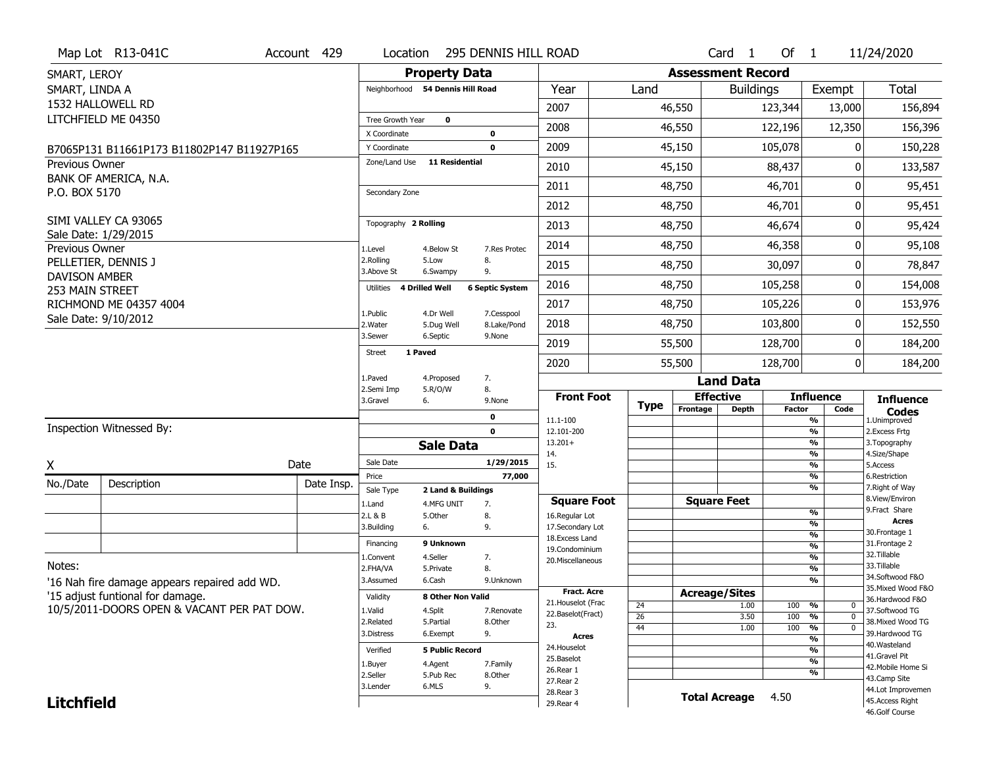|                                         | Map Lot R13-041C                             | Account 429 | Location                           |                         | 295 DENNIS HILL ROAD      |                                    |                 |             |                      | Card <sub>1</sub>        | Of $1$        |                                           | 11/24/2020                           |
|-----------------------------------------|----------------------------------------------|-------------|------------------------------------|-------------------------|---------------------------|------------------------------------|-----------------|-------------|----------------------|--------------------------|---------------|-------------------------------------------|--------------------------------------|
| SMART, LEROY                            |                                              |             |                                    | <b>Property Data</b>    |                           |                                    |                 |             |                      | <b>Assessment Record</b> |               |                                           |                                      |
| SMART, LINDA A                          |                                              |             | Neighborhood 54 Dennis Hill Road   |                         |                           | Year                               | Land            |             |                      | <b>Buildings</b>         |               | Exempt                                    | <b>Total</b>                         |
|                                         | 1532 HALLOWELL RD                            |             |                                    |                         |                           | 2007                               |                 | 46,550      |                      |                          | 123,344       | 13,000                                    | 156,894                              |
|                                         | LITCHFIELD ME 04350                          |             | Tree Growth Year                   | $\mathbf 0$             |                           | 2008                               |                 | 46,550      |                      |                          | 122,196       | 12,350                                    | 156,396                              |
|                                         |                                              |             | X Coordinate                       |                         | $\mathbf 0$               |                                    |                 |             |                      |                          |               |                                           |                                      |
|                                         | B7065P131 B11661P173 B11802P147 B11927P165   |             | Y Coordinate<br>Zone/Land Use      | <b>11 Residential</b>   | $\mathbf 0$               | 2009                               |                 | 45,150      |                      |                          | 105,078       | 0                                         | 150,228                              |
| Previous Owner                          | BANK OF AMERICA, N.A.                        |             |                                    |                         |                           | 2010                               |                 | 45,150      |                      |                          | 88,437        | 0                                         | 133,587                              |
| P.O. BOX 5170                           |                                              |             | Secondary Zone                     |                         |                           | 2011                               |                 | 48,750      |                      |                          | 46,701        | 0                                         | 95,451                               |
|                                         |                                              |             |                                    |                         |                           | 2012                               |                 | 48,750      |                      |                          | 46,701        | 0                                         | 95,451                               |
|                                         | SIMI VALLEY CA 93065                         |             | Topography 2 Rolling               |                         |                           | 2013                               |                 | 48,750      |                      |                          | 46,674        | 0                                         | 95,424                               |
| Previous Owner                          | Sale Date: 1/29/2015                         |             | 1.Level                            | 4.Below St              | 7.Res Protec              | 2014                               |                 | 48,750      |                      |                          | 46,358        | 0                                         | 95,108                               |
|                                         | PELLETIER, DENNIS J                          |             | 2.Rolling<br>3.Above St            | 5.Low<br>6.Swampy       | 8.<br>9.                  | 2015                               |                 | 48,750      |                      |                          | 30,097        | 0                                         | 78,847                               |
| <b>DAVISON AMBER</b><br>253 MAIN STREET |                                              |             | <b>4 Drilled Well</b><br>Utilities |                         | <b>6 Septic System</b>    | 2016                               |                 | 48,750      |                      |                          | 105,258       | 0                                         | 154,008                              |
|                                         | RICHMOND ME 04357 4004                       |             |                                    |                         |                           | 2017                               |                 | 48,750      |                      |                          | 105,226       | 0                                         | 153,976                              |
|                                         | Sale Date: 9/10/2012                         |             | 1.Public<br>2. Water               | 4.Dr Well<br>5.Dug Well | 7.Cesspool<br>8.Lake/Pond | 2018                               |                 | 48,750      |                      |                          | 103,800       | 0                                         | 152,550                              |
|                                         |                                              |             | 3.Sewer                            | 6.Septic                | 9.None                    | 2019                               |                 | 55,500      |                      |                          | 128,700       | 0                                         | 184,200                              |
|                                         |                                              |             | 1 Paved<br><b>Street</b>           |                         |                           | 2020                               |                 | 55,500      |                      |                          | 128,700       | 0                                         | 184,200                              |
|                                         |                                              |             | 1.Paved                            | 4.Proposed              | 7.                        |                                    |                 |             |                      | <b>Land Data</b>         |               |                                           |                                      |
|                                         |                                              |             | 2.Semi Imp<br>3.Gravel<br>6.       | 5.R/O/W                 | 8.<br>9.None              | <b>Front Foot</b>                  |                 |             | <b>Effective</b>     |                          |               | <b>Influence</b>                          | <b>Influence</b>                     |
|                                         |                                              |             |                                    |                         | $\mathbf 0$               |                                    |                 | <b>Type</b> | Frontage             | <b>Depth</b>             | <b>Factor</b> | Code                                      | <b>Codes</b>                         |
|                                         | Inspection Witnessed By:                     |             |                                    |                         | $\mathbf 0$               | 11.1-100<br>12.101-200             |                 |             |                      |                          |               | $\overline{\frac{9}{6}}$<br>$\frac{9}{6}$ | 1.Unimproved<br>2.Excess Frtg        |
|                                         |                                              |             |                                    | <b>Sale Data</b>        |                           | $13.201+$                          |                 |             |                      |                          |               | $\overline{\frac{9}{6}}$                  | 3. Topography                        |
| X                                       |                                              | Date        | Sale Date                          |                         | 1/29/2015                 | 14.<br>15.                         |                 |             |                      |                          |               | $\frac{9}{6}$<br>$\frac{9}{6}$            | 4.Size/Shape<br>5.Access             |
|                                         |                                              |             | Price                              |                         | 77,000                    |                                    |                 |             |                      |                          |               | $\frac{9}{6}$                             | 6.Restriction                        |
| No./Date                                | Description                                  | Date Insp.  | Sale Type                          | 2 Land & Buildings      |                           |                                    |                 |             |                      |                          |               | $\overline{\frac{9}{6}}$                  | 7. Right of Way<br>8.View/Environ    |
|                                         |                                              |             | 1.Land                             | 4.MFG UNIT              | 7.                        | <b>Square Foot</b>                 |                 |             | <b>Square Feet</b>   |                          |               | $\frac{9}{6}$                             | 9. Fract Share                       |
|                                         |                                              |             | 2.L & B<br>3.Building<br>6.        | 5.0ther                 | 8.<br>9.                  | 16.Regular Lot<br>17.Secondary Lot |                 |             |                      |                          |               | %                                         | <b>Acres</b>                         |
|                                         |                                              |             |                                    | 9 Unknown               |                           | 18.Excess Land                     |                 |             |                      |                          |               | %                                         | 30. Frontage 1<br>31. Frontage 2     |
|                                         |                                              |             | Financing                          |                         |                           | 19.Condominium                     |                 |             |                      |                          |               | %                                         | 32.Tillable                          |
| Notes:                                  |                                              |             | 1.Convent<br>2.FHA/VA              | 4.Seller<br>5.Private   | 7.<br>8.                  | 20.Miscellaneous                   |                 |             |                      |                          |               | $\frac{9}{6}$<br>%                        | 33.Tillable                          |
|                                         | '16 Nah fire damage appears repaired add WD. |             | 3.Assumed                          | 6.Cash                  | 9.Unknown                 |                                    |                 |             |                      |                          |               | %                                         | 34.Softwood F&O                      |
|                                         | '15 adjust funtional for damage.             |             |                                    |                         |                           | <b>Fract. Acre</b>                 |                 |             | <b>Acreage/Sites</b> |                          |               |                                           | 35. Mixed Wood F&O                   |
|                                         |                                              |             | Validity                           | 8 Other Non Valid       |                           | 21. Houselot (Frac                 | 24              |             |                      | 1.00                     | 100           | %<br>0                                    | 36.Hardwood F&O                      |
|                                         | 10/5/2011-DOORS OPEN & VACANT PER PAT DOW.   |             | 1.Valid                            | 4.Split                 | 7.Renovate                | 22.Baselot(Fract)                  | $\overline{26}$ |             |                      | 3.50                     | 100           | $\overline{0}$<br>%                       | 37.Softwood TG                       |
|                                         |                                              |             | 2.Related<br>3.Distress            | 5.Partial<br>6.Exempt   | 8.Other<br>9.             | 23.                                | 44              |             |                      | 1.00                     | 100           | $\frac{9}{6}$<br>$\overline{0}$           | 38. Mixed Wood TG<br>39.Hardwood TG  |
|                                         |                                              |             |                                    |                         |                           | <b>Acres</b><br>24. Houselot       |                 |             |                      |                          |               | %                                         | 40.Wasteland                         |
|                                         |                                              |             |                                    |                         |                           |                                    |                 |             |                      |                          |               | %                                         |                                      |
|                                         |                                              |             | Verified                           | <b>5 Public Record</b>  |                           |                                    |                 |             |                      |                          |               |                                           | 41.Gravel Pit                        |
|                                         |                                              |             | 1.Buyer                            | 4.Agent                 | 7.Family                  | 25.Baselot<br>26.Rear 1            |                 |             |                      |                          |               | $\overline{\frac{9}{6}}$                  | 42. Mobile Home Si                   |
|                                         |                                              |             | 2.Seller                           | 5.Pub Rec               | 8.Other                   | 27. Rear 2                         |                 |             |                      |                          |               | %                                         | 43.Camp Site                         |
| <b>Litchfield</b>                       |                                              |             | 3.Lender                           | 6.MLS                   | 9.                        | 28. Rear 3<br>29. Rear 4           |                 |             | <b>Total Acreage</b> |                          | 4.50          |                                           | 44.Lot Improvemen<br>45.Access Right |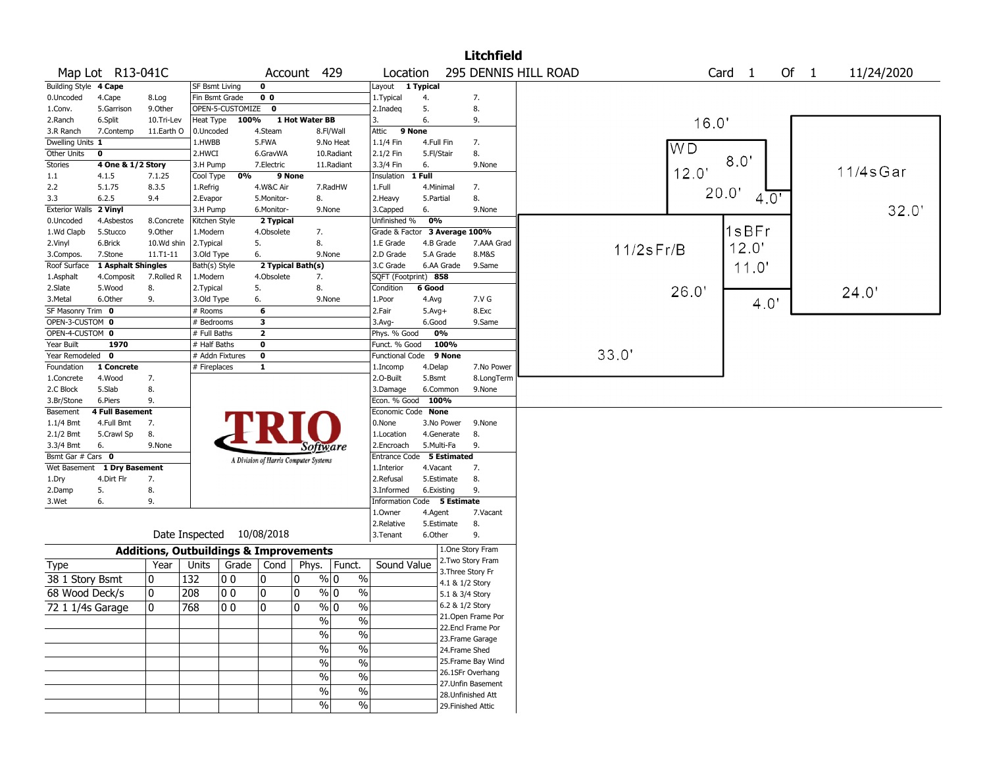|                       |                             |                                                   |                 |                           |                |                                       |                              |                             |            |             | <b>Litchfield</b>                    |                      |                 |                |        |      |            |
|-----------------------|-----------------------------|---------------------------------------------------|-----------------|---------------------------|----------------|---------------------------------------|------------------------------|-----------------------------|------------|-------------|--------------------------------------|----------------------|-----------------|----------------|--------|------|------------|
|                       | Map Lot R13-041C            |                                                   |                 |                           |                | Account 429                           |                              | Location                    |            |             |                                      | 295 DENNIS HILL ROAD |                 |                | Card 1 | Of 1 | 11/24/2020 |
| Building Style 4 Cape |                             |                                                   | SF Bsmt Living  |                           | $\mathbf 0$    |                                       |                              | Layout 1 Typical            |            |             |                                      |                      |                 |                |        |      |            |
| 0.Uncoded             | 4.Cape                      | 8.Log                                             | Fin Bsmt Grade  |                           | 0 <sub>0</sub> |                                       |                              | 1. Typical                  | 4.         |             | 7.                                   |                      |                 |                |        |      |            |
| 1.Conv.               | 5.Garrison                  | 9.Other                                           |                 | OPEN-5-CUSTOMIZE          | $\mathbf 0$    |                                       |                              | 2.Inadeq                    | 5.         |             | 8.                                   |                      |                 |                |        |      |            |
| 2.Ranch               | 6.Split                     | 10.Tri-Lev                                        | Heat Type       | 100%                      |                | 1 Hot Water BB                        |                              | 3.                          | 6.         |             | 9.                                   |                      |                 | 16.0'          |        |      |            |
| 3.R Ranch             | 7.Contemp                   | 11.Earth O                                        | 0.Uncoded       |                           | 4.Steam        |                                       | 8.Fl/Wall                    | 9 None<br>Attic             |            |             |                                      |                      |                 |                |        |      |            |
| Dwelling Units 1      |                             |                                                   | 1.HWBB          |                           | 5.FWA          |                                       | 9.No Heat                    | 1.1/4 Fin                   | 4.Full Fin |             | 7.                                   |                      |                 | W <sub>D</sub> |        |      |            |
| Other Units           | 0                           |                                                   | 2.HWCI          |                           | 6.GravWA       |                                       | 10.Radiant                   | 2.1/2 Fin                   | 5.Fl/Stair |             | 8.                                   |                      |                 |                |        |      |            |
| <b>Stories</b>        | 4 One & 1/2 Story           |                                                   | 3.H Pump        |                           | 7.Electric     |                                       | 11.Radiant                   | 3.3/4 Fin                   | 6.         |             | 9.None                               |                      |                 |                | 8.0'   |      |            |
| 1.1                   | 4.1.5                       | 7.1.25                                            | Cool Type       | 0%                        | 9 None         |                                       |                              | Insulation 1 Full           |            |             |                                      |                      |                 | 12.0'          |        |      | 11/4sGar   |
| 2.2                   | 5.1.75                      | 8.3.5                                             | 1.Refrig        |                           | 4.W&C Air      |                                       | 7.RadHW                      | 1.Full                      |            | 4.Minimal   | 7.                                   |                      |                 | 20.0           |        |      |            |
| 3.3                   | 6.2.5                       | 9.4                                               | 2.Evapor        |                           | 5.Monitor-     | 8.                                    |                              | 2. Heavy                    | 5.Partial  |             | 8.                                   |                      |                 |                | 4.0'   |      |            |
| <b>Exterior Walls</b> | 2 Vinyl                     |                                                   | 3.H Pump        |                           | 6.Monitor-     |                                       | 9.None                       | 3.Capped                    | 6.         |             | 9.None                               |                      |                 |                |        |      | 32.0'      |
| 0.Uncoded             | 4.Asbestos                  | 8.Concrete                                        | Kitchen Style   |                           | 2 Typical      |                                       |                              | Unfinished %                | 0%         |             |                                      |                      |                 |                |        |      |            |
| 1.Wd Clapb            | 5.Stucco                    | 9.Other                                           | 1.Modern        |                           | 4.Obsolete     | 7.                                    |                              | Grade & Factor              |            |             | 3 Average 100%                       |                      |                 |                | 1sBFr  |      |            |
| 2.Vinyl               | 6.Brick                     | 10.Wd shin                                        | 2.Typical       |                           | 5.             | 8.                                    |                              | 1.E Grade                   |            | 4.B Grade   | 7.AAA Grad                           |                      | $11/2$ s $Fr/B$ |                | 12.0'  |      |            |
| 3.Compos.             | 7.Stone                     | $11. T1 - 11$                                     | 3.Old Type      |                           | 6.             |                                       | 9.None                       | 2.D Grade                   |            | 5.A Grade   | 8.M&S                                |                      |                 |                |        |      |            |
| Roof Surface          | 1 Asphalt Shingles          |                                                   | Bath(s) Style   |                           |                | 2 Typical Bath(s)                     |                              | 3.C Grade                   |            | 6.AA Grade  | 9.Same                               |                      |                 |                | 11.0'  |      |            |
| 1.Asphalt             | 4.Composit                  | 7.Rolled R                                        | 1.Modern        |                           | 4.Obsolete     | 7.                                    |                              | SQFT (Footprint) 858        |            |             |                                      |                      |                 |                |        |      |            |
| 2.Slate               | 5.Wood                      | 8.                                                | 2. Typical      |                           | 5.             | 8.                                    |                              | Condition                   | 6 Good     |             |                                      |                      |                 | 26.0'          |        |      | 24.0'      |
| 3.Metal               | 6.Other                     | 9.                                                | 3.Old Type      |                           | 6.             |                                       | 9.None                       | 1.Poor                      | 4.Avg      |             | 7.V G                                |                      |                 |                | 4.0'   |      |            |
| SF Masonry Trim 0     |                             |                                                   | # Rooms         |                           | 6              |                                       |                              | 2.Fair                      | $5.Avg+$   |             | 8.Exc                                |                      |                 |                |        |      |            |
| OPEN-3-CUSTOM 0       |                             |                                                   | # Bedrooms      |                           | 3              |                                       |                              | 3.Avg-                      | 6.Good     |             | 9.Same                               |                      |                 |                |        |      |            |
| OPEN-4-CUSTOM 0       |                             |                                                   | # Full Baths    |                           | $\mathbf{z}$   |                                       |                              | Phys. % Good                |            | 0%          |                                      |                      |                 |                |        |      |            |
| Year Built            | 1970                        |                                                   | # Half Baths    |                           | 0              |                                       |                              | Funct. % Good               |            | 100%        |                                      |                      |                 |                |        |      |            |
| Year Remodeled 0      |                             |                                                   | # Addn Fixtures |                           | 0              |                                       |                              | <b>Functional Code</b>      |            | 9 None      |                                      |                      | 33.0'           |                |        |      |            |
| Foundation            | 1 Concrete                  |                                                   | # Fireplaces    |                           | 1              |                                       |                              | 1.Incomp                    | 4.Delap    |             | 7.No Power                           |                      |                 |                |        |      |            |
| 1.Concrete            | 4.Wood                      | 7.                                                |                 |                           |                |                                       |                              | 2.0-Built                   | 5.Bsmt     |             | 8.LongTerm                           |                      |                 |                |        |      |            |
| 2.C Block             | 5.Slab                      | 8.                                                |                 |                           |                |                                       |                              | 3.Damage                    |            | 6.Common    | 9.None                               |                      |                 |                |        |      |            |
| 3.Br/Stone            | 6.Piers                     | 9.                                                |                 |                           |                |                                       |                              | Econ. % Good 100%           |            |             |                                      |                      |                 |                |        |      |            |
| Basement              | <b>4 Full Basement</b>      |                                                   |                 |                           |                |                                       |                              | Economic Code None          |            |             |                                      |                      |                 |                |        |      |            |
| 1.1/4 Bmt             | 4.Full Bmt                  | 7.                                                |                 |                           |                |                                       |                              | 0.None                      |            | 3.No Power  | 9.None                               |                      |                 |                |        |      |            |
| 2.1/2 Bmt             | 5.Crawl Sp                  | 8.                                                |                 |                           |                |                                       |                              | 1.Location                  |            | 4.Generate  | 8.                                   |                      |                 |                |        |      |            |
| 3.3/4 Bmt             | 6.                          | 9.None                                            |                 |                           |                | Software                              |                              | 2.Encroach                  |            | 5.Multi-Fa  | 9.                                   |                      |                 |                |        |      |            |
| Bsmt Gar # Cars 0     |                             |                                                   |                 |                           |                | A Division of Harris Computer Systems |                              | Entrance Code               |            | 5 Estimated |                                      |                      |                 |                |        |      |            |
|                       | Wet Basement 1 Dry Basement |                                                   |                 |                           |                |                                       |                              | 1.Interior                  | 4.Vacant   |             | 7.                                   |                      |                 |                |        |      |            |
| 1.Dry                 | 4.Dirt Flr                  | 7.                                                |                 |                           |                |                                       |                              | 2.Refusal                   |            | 5.Estimate  | 8.                                   |                      |                 |                |        |      |            |
| 2.Damp                | 5.                          | 8.                                                |                 |                           |                |                                       |                              | 3.Informed                  |            | 6.Existing  | 9.                                   |                      |                 |                |        |      |            |
| 3.Wet                 | 6.                          | 9.                                                |                 |                           |                |                                       |                              | Information Code 5 Estimate |            |             |                                      |                      |                 |                |        |      |            |
|                       |                             |                                                   |                 |                           |                |                                       |                              | 1.0wner                     | 4.Agent    |             | 7.Vacant                             |                      |                 |                |        |      |            |
|                       |                             |                                                   |                 |                           |                |                                       |                              | 2.Relative                  |            | 5.Estimate  | 8.                                   |                      |                 |                |        |      |            |
|                       |                             |                                                   |                 | Date Inspected 10/08/2018 |                |                                       |                              | 3. Tenant                   | 6.Other    |             | 9.                                   |                      |                 |                |        |      |            |
|                       |                             | <b>Additions, Outbuildings &amp; Improvements</b> |                 |                           |                |                                       |                              |                             |            |             | 1.One Story Fram                     |                      |                 |                |        |      |            |
| <b>Type</b>           |                             | Year                                              | Units           | Grade   Cond              |                | Phys.                                 | Funct.                       | Sound Value                 |            |             | 2. Two Story Fram                    |                      |                 |                |        |      |            |
| 38 1 Story Bsmt       |                             | 0                                                 | 132             | 0 <sub>0</sub>            | 10             | 0                                     | $\%$<br>% 0                  |                             |            |             | 3. Three Story Fr<br>4.1 & 1/2 Story |                      |                 |                |        |      |            |
| 68 Wood Deck/s        |                             | $\mathbf 0$                                       | 208             | 00                        | 10             | 0                                     | $\frac{9}{0}$ 0<br>$\%$      |                             |            |             |                                      |                      |                 |                |        |      |            |
|                       |                             |                                                   |                 |                           |                |                                       |                              |                             |            |             | 5.1 & 3/4 Story<br>6.2 & 1/2 Story   |                      |                 |                |        |      |            |
| 72 1 1/4s Garage      |                             | 10                                                | 768             | 10 O                      | 10             | 0                                     | $\sqrt{20}$<br>$\sqrt{96}$ 0 |                             |            |             | 21. Open Frame Por                   |                      |                 |                |        |      |            |
|                       |                             |                                                   |                 |                           |                | $\%$                                  | $\overline{\frac{0}{0}}$     |                             |            |             | 22.Encl Frame Por                    |                      |                 |                |        |      |            |
|                       |                             |                                                   |                 |                           |                | $\sqrt{2}$                            | $\%$                         |                             |            |             | 23. Frame Garage                     |                      |                 |                |        |      |            |
|                       |                             |                                                   |                 |                           |                | $\overline{\frac{0}{0}}$              | $\overline{\frac{0}{0}}$     |                             |            |             | 24.Frame Shed                        |                      |                 |                |        |      |            |
|                       |                             |                                                   |                 |                           |                |                                       |                              |                             |            |             | 25. Frame Bay Wind                   |                      |                 |                |        |      |            |
|                       |                             |                                                   |                 |                           |                | $\%$                                  | $\frac{0}{0}$                |                             |            |             | 26.1SFr Overhang                     |                      |                 |                |        |      |            |
|                       |                             |                                                   |                 |                           |                | $\%$                                  | $\%$                         |                             |            |             | 27.Unfin Basement                    |                      |                 |                |        |      |            |
|                       |                             |                                                   |                 |                           |                | $\sqrt{6}$                            | $\frac{0}{6}$                |                             |            |             | 28. Unfinished Att                   |                      |                 |                |        |      |            |
|                       |                             |                                                   |                 |                           |                | $\sqrt{6}$                            | $\sqrt{6}$                   |                             |            |             | 29. Finished Attic                   |                      |                 |                |        |      |            |
|                       |                             |                                                   |                 |                           |                |                                       |                              |                             |            |             |                                      |                      |                 |                |        |      |            |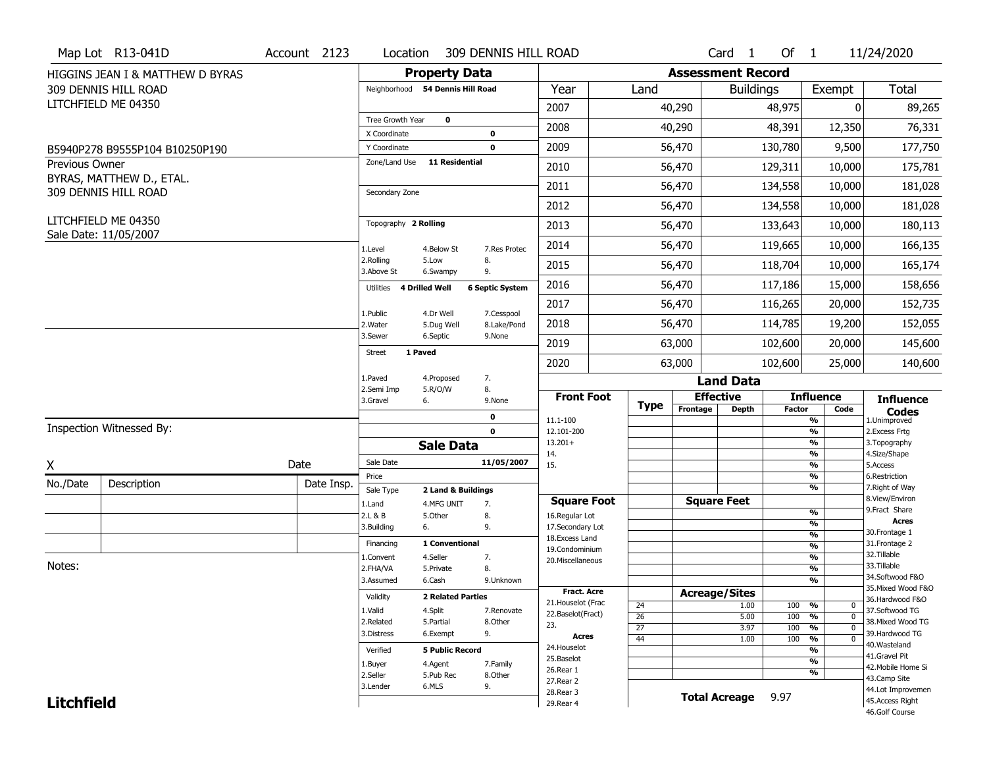|                   | Map Lot R13-041D                 | Account 2123 | Location                         | 309 DENNIS HILL ROAD                                 |                                         |                                    |                          | Card <sub>1</sub>    | Of $1$        |                                                                            | 11/24/2020                            |
|-------------------|----------------------------------|--------------|----------------------------------|------------------------------------------------------|-----------------------------------------|------------------------------------|--------------------------|----------------------|---------------|----------------------------------------------------------------------------|---------------------------------------|
|                   | HIGGINS JEAN I & MATTHEW D BYRAS |              |                                  | <b>Property Data</b>                                 |                                         |                                    | <b>Assessment Record</b> |                      |               |                                                                            |                                       |
|                   | 309 DENNIS HILL ROAD             |              | Neighborhood 54 Dennis Hill Road |                                                      | Year                                    | Land                               |                          | <b>Buildings</b>     |               | Exempt                                                                     | Total                                 |
|                   | LITCHFIELD ME 04350              |              |                                  |                                                      | 2007                                    |                                    | 40,290                   |                      | 48,975        | $\overline{0}$                                                             | 89,265                                |
|                   |                                  |              | Tree Growth Year                 | $\mathbf 0$                                          | 2008                                    |                                    | 40,290                   |                      | 48,391        | 12,350                                                                     | 76,331                                |
|                   |                                  |              | X Coordinate<br>Y Coordinate     | 0<br>$\mathbf 0$                                     | 2009                                    |                                    | 56,470                   |                      | 130,780       | 9,500                                                                      | 177,750                               |
| Previous Owner    | B5940P278 B9555P104 B10250P190   |              | Zone/Land Use                    | <b>11 Residential</b>                                |                                         |                                    |                          |                      |               |                                                                            |                                       |
|                   | BYRAS, MATTHEW D., ETAL.         |              |                                  |                                                      | 2010                                    |                                    | 56,470                   |                      | 129,311       | 10,000                                                                     | 175,781                               |
|                   | 309 DENNIS HILL ROAD             |              | Secondary Zone                   |                                                      | 2011                                    |                                    | 56,470                   |                      | 134,558       | 10,000                                                                     | 181,028                               |
|                   |                                  |              |                                  |                                                      | 2012                                    |                                    | 56,470                   |                      | 134,558       | 10,000                                                                     | 181,028                               |
|                   | LITCHFIELD ME 04350              |              | Topography 2 Rolling             |                                                      | 2013                                    |                                    | 56,470                   |                      | 133,643       | 10,000                                                                     | 180,113                               |
|                   | Sale Date: 11/05/2007            |              | 1.Level                          | 4.Below St<br>7.Res Protec                           | 2014                                    |                                    | 56,470                   |                      | 119,665       | 10,000                                                                     | 166,135                               |
|                   |                                  |              | 2.Rolling<br>5.Low<br>3.Above St | 8.<br>6.Swampy<br>9.                                 | 2015                                    |                                    | 56,470                   |                      | 118,704       | 10,000                                                                     | 165,174                               |
|                   |                                  |              | Utilities<br>4 Drilled Well      | <b>6 Septic System</b>                               | 2016                                    |                                    | 56,470                   |                      | 117,186       | 15,000                                                                     | 158,656                               |
|                   |                                  |              |                                  |                                                      | 2017                                    |                                    | 56,470                   |                      | 116,265       | 20,000                                                                     | 152,735                               |
|                   |                                  |              | 1.Public<br>2. Water             | 7.Cesspool<br>4.Dr Well<br>8.Lake/Pond<br>5.Dug Well | 2018                                    |                                    | 56,470                   |                      | 114,785       | 19,200                                                                     | 152,055                               |
|                   |                                  |              | 3.Sewer                          | 6.Septic<br>9.None                                   | 2019                                    |                                    | 63,000                   |                      | 102,600       | 20,000                                                                     | 145,600                               |
|                   |                                  |              | 1 Paved<br>Street                |                                                      | 2020                                    |                                    | 63,000                   |                      | 102,600       | 25,000                                                                     | 140,600                               |
|                   |                                  |              | 1.Paved                          | 7.<br>4.Proposed                                     |                                         |                                    |                          | <b>Land Data</b>     |               |                                                                            |                                       |
|                   |                                  |              | 2.Semi Imp<br>3.Gravel<br>6.     | 5.R/O/W<br>8.<br>9.None                              | <b>Front Foot</b>                       |                                    | <b>Effective</b>         |                      |               | <b>Influence</b>                                                           | <b>Influence</b>                      |
|                   |                                  |              |                                  | 0                                                    | 11.1-100                                | <b>Type</b>                        | Frontage                 | <b>Depth</b>         | <b>Factor</b> | Code<br>%                                                                  | <b>Codes</b><br>1.Unimproved          |
|                   | Inspection Witnessed By:         |              |                                  | $\mathbf 0$                                          | 12.101-200                              |                                    |                          |                      |               | $\overline{\frac{9}{6}}$                                                   | 2. Excess Frtg                        |
|                   |                                  |              |                                  | <b>Sale Data</b>                                     | $13.201+$<br>14.                        |                                    |                          |                      |               | %<br>$\frac{9}{6}$                                                         | 3. Topography<br>4.Size/Shape         |
| X                 |                                  | Date         | Sale Date                        | 11/05/2007                                           | 15.                                     |                                    |                          |                      |               | $\overline{\frac{9}{6}}$                                                   | 5.Access                              |
| No./Date          | Description                      | Date Insp.   | Price                            |                                                      |                                         |                                    |                          |                      |               | %<br>$\overline{\frac{9}{6}}$                                              | 6.Restriction<br>7. Right of Way      |
|                   |                                  |              | Sale Type<br>1.Land              | 2 Land & Buildings<br>4.MFG UNIT                     | <b>Square Foot</b>                      |                                    |                          | <b>Square Feet</b>   |               |                                                                            | 8.View/Environ                        |
|                   |                                  |              | 2.L & B                          | 7.<br>5.Other<br>8.                                  | 16.Regular Lot                          |                                    |                          |                      |               | %                                                                          | 9.Fract Share                         |
|                   |                                  |              | 6.<br>3.Building                 | 9.                                                   | 17.Secondary Lot                        |                                    |                          |                      |               | %                                                                          | <b>Acres</b><br>30. Frontage 1        |
|                   |                                  |              | Financing                        | 1 Conventional                                       | 18.Excess Land                          |                                    |                          |                      |               | $\frac{9}{6}$<br>$\frac{9}{6}$                                             | 31. Frontage 2                        |
|                   |                                  |              | 1.Convent                        | 4.Seller<br>7.                                       | 19.Condominium<br>20.Miscellaneous      |                                    |                          |                      |               | $\frac{9}{6}$                                                              | 32.Tillable                           |
| Notes:            |                                  |              | 2.FHA/VA                         | 5.Private<br>8.                                      |                                         |                                    |                          |                      |               | $\overline{\frac{9}{6}}$                                                   | 33.Tillable                           |
|                   |                                  |              | 6.Cash<br>3.Assumed              | 9.Unknown                                            |                                         |                                    |                          |                      |               | $\overline{\frac{9}{6}}$                                                   | 34.Softwood F&O<br>35. Mixed Wood F&O |
|                   |                                  |              | Validity                         | <b>2 Related Parties</b>                             | <b>Fract. Acre</b>                      |                                    | <b>Acreage/Sites</b>     |                      |               |                                                                            | 36.Hardwood F&O                       |
|                   |                                  |              | 1.Valid<br>4.Split               | 7.Renovate                                           | 21. Houselot (Frac<br>22.Baselot(Fract) | 24                                 |                          | 1.00                 | 100           | %<br>$\mathbf{0}$                                                          | 37.Softwood TG                        |
|                   |                                  |              | 2.Related                        | 8.Other<br>5.Partial                                 | 23.                                     | $\overline{26}$                    |                          | 5.00                 | 100           | $\overline{0}$<br>$\frac{9}{6}$                                            | 38. Mixed Wood TG                     |
|                   |                                  |              | 3.Distress                       | 9.<br>6.Exempt                                       | Acres                                   | $\overline{27}$<br>$\overline{44}$ |                          | 3.97<br>1.00         | 100<br>100    | $\frac{9}{6}$<br>$\mathbf 0$<br>$\overline{\frac{9}{6}}$<br>$\overline{0}$ | 39.Hardwood TG                        |
|                   |                                  |              | Verified                         | <b>5 Public Record</b>                               | 24. Houselot                            |                                    |                          |                      |               | %                                                                          | 40. Wasteland                         |
|                   |                                  |              |                                  |                                                      |                                         |                                    |                          |                      |               | $\overline{\frac{9}{6}}$                                                   | 41.Gravel Pit                         |
|                   |                                  |              |                                  |                                                      | 25.Baselot                              |                                    |                          |                      |               |                                                                            |                                       |
|                   |                                  |              | 1.Buyer<br>2.Seller              | 4.Agent<br>7.Family<br>5.Pub Rec<br>8.Other          | 26.Rear 1                               |                                    |                          |                      |               | %                                                                          | 42. Mobile Home Si                    |
|                   |                                  |              | 6.MLS<br>3.Lender                | 9.                                                   | 27. Rear 2                              |                                    |                          |                      |               |                                                                            | 43.Camp Site                          |
| <b>Litchfield</b> |                                  |              |                                  |                                                      | 28. Rear 3<br>29. Rear 4                |                                    |                          | <b>Total Acreage</b> | 9.97          |                                                                            | 44.Lot Improvemen<br>45. Access Right |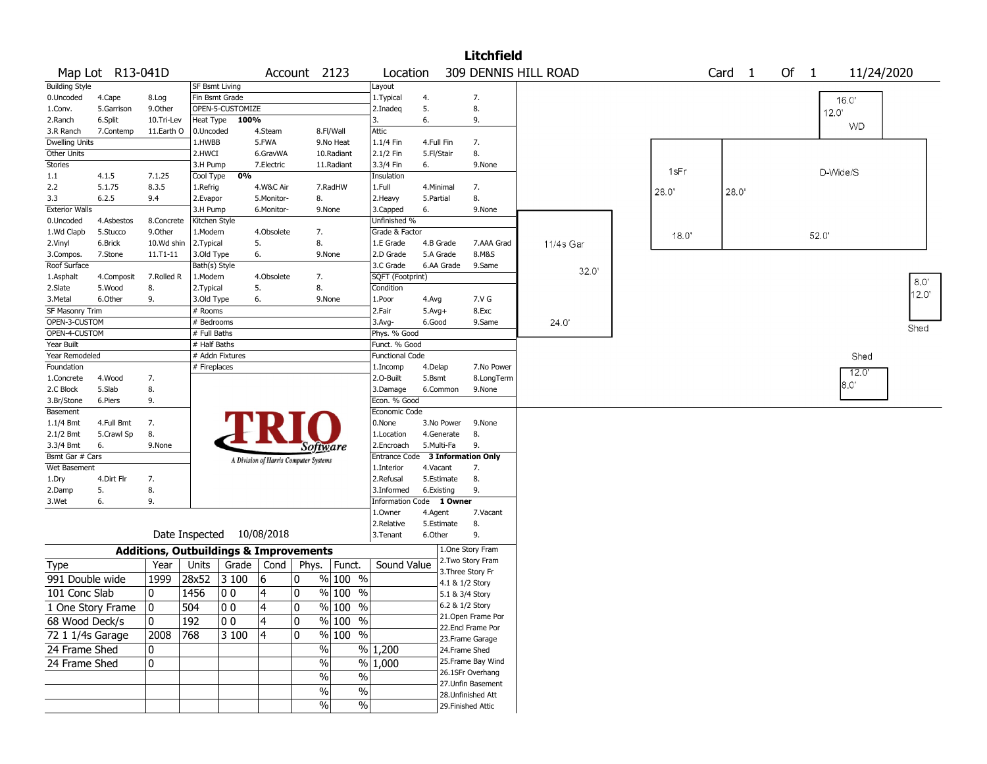|                                      |                   |                                                   |                       |                           |                   |                                       |                         |                          |                  |                 | <b>Litchfield</b>                       |                      |       |                        |    |              |            |             |
|--------------------------------------|-------------------|---------------------------------------------------|-----------------------|---------------------------|-------------------|---------------------------------------|-------------------------|--------------------------|------------------|-----------------|-----------------------------------------|----------------------|-------|------------------------|----|--------------|------------|-------------|
|                                      | Map Lot R13-041D  |                                                   |                       |                           |                   | Account 2123                          |                         | Location                 |                  |                 |                                         | 309 DENNIS HILL ROAD |       | Card<br>$\overline{1}$ | Of | $\mathbf{1}$ | 11/24/2020 |             |
| <b>Building Style</b>                |                   |                                                   | <b>SF Bsmt Living</b> |                           |                   |                                       |                         | Layout                   |                  |                 |                                         |                      |       |                        |    |              |            |             |
| 0.Uncoded                            | 4.Cape            | 8.Log                                             | Fin Bsmt Grade        |                           |                   |                                       |                         | 1. Typical               | 4.               |                 | 7.                                      |                      |       |                        |    |              | 16.0'      |             |
| 1.Conv.                              | 5.Garrison        | 9.Other                                           |                       | OPEN-5-CUSTOMIZE          |                   |                                       |                         | 2.Inadeq                 | 5.               |                 | 8.                                      |                      |       |                        |    | 120          |            |             |
| 2.Ranch                              | 6.Split           | 10.Tri-Lev                                        |                       | Heat Type 100%            |                   |                                       |                         | 3.                       | 6.               |                 | 9.                                      |                      |       |                        |    |              | <b>WD</b>  |             |
| 3.R Ranch                            | 7.Contemp         | 11.Earth O                                        | 0.Uncoded             |                           | 4.Steam           |                                       | 8.Fl/Wall               | Attic                    |                  |                 |                                         |                      |       |                        |    |              |            |             |
| <b>Dwelling Units</b><br>Other Units |                   |                                                   | 1.HWBB<br>2.HWCI      |                           | 5.FWA<br>6.GravWA |                                       | 9.No Heat<br>10.Radiant | 1.1/4 Fin<br>2.1/2 Fin   | 4.Full Fin       |                 | 7.<br>8.                                |                      |       |                        |    |              |            |             |
| Stories                              |                   |                                                   | 3.H Pump              |                           | 7.Electric        |                                       | 11.Radiant              | 3.3/4 Fin                | 5.Fl/Stair<br>6. |                 | 9.None                                  |                      |       |                        |    |              |            |             |
| $1.1\,$                              | 4.1.5             | 7.1.25                                            | Cool Type             | 0%                        |                   |                                       |                         | Insulation               |                  |                 |                                         |                      | 1sFr  |                        |    | D-Wide/S     |            |             |
| 2.2                                  | 5.1.75            | 8.3.5                                             | 1.Refrig              |                           | 4.W&C Air         |                                       | 7.RadHW                 | 1.Full                   | 4.Minimal        |                 | 7.                                      |                      |       |                        |    |              |            |             |
| 3.3                                  | 6.2.5             | 9.4                                               | 2.Evapor              |                           | 5.Monitor-        | 8.                                    |                         | 2.Heavy                  | 5.Partial        |                 | 8.                                      |                      | 28.0' | 28.0'                  |    |              |            |             |
| <b>Exterior Walls</b>                |                   |                                                   | 3.H Pump              |                           | 6.Monitor-        |                                       | 9.None                  | 3.Capped                 | 6.               |                 | 9.None                                  |                      |       |                        |    |              |            |             |
| 0.Uncoded                            | 4.Asbestos        | 8.Concrete                                        | Kitchen Style         |                           |                   |                                       |                         | Unfinished %             |                  |                 |                                         |                      |       |                        |    |              |            |             |
| 1.Wd Clapb                           | 5.Stucco          | 9.0ther                                           | 1.Modern              |                           | 4.Obsolete        | 7.                                    |                         | Grade & Factor           |                  |                 |                                         |                      | 18.0' |                        |    | 52.0'        |            |             |
| 2.Vinyl                              | 6.Brick           | 10.Wd shin                                        | 2.Typical             |                           | 5.                | 8.                                    |                         | 1.E Grade                | 4.B Grade        |                 | 7.AAA Grad                              | 11/4s Gar            |       |                        |    |              |            |             |
| 3.Compos.                            | 7.Stone           | 11.T1-11                                          | 3.Old Type            |                           | 6.                |                                       | 9.None                  | 2.D Grade                | 5.A Grade        |                 | 8.M&S                                   |                      |       |                        |    |              |            |             |
| Roof Surface                         |                   |                                                   | Bath(s) Style         |                           |                   |                                       |                         | 3.C Grade                |                  | 6.AA Grade      | 9.Same                                  | 32.0'                |       |                        |    |              |            |             |
| 1.Asphalt                            | 4.Composit        | 7.Rolled R                                        | 1.Modern              |                           | 4.Obsolete        | 7.                                    |                         | SQFT (Footprint)         |                  |                 |                                         |                      |       |                        |    |              |            | $8.0^\circ$ |
| 2.Slate                              | 5.Wood            | 8.                                                | 2.Typical             |                           | 5.                | 8.                                    |                         | Condition                |                  |                 |                                         |                      |       |                        |    |              |            | 12.0        |
| 3.Metal                              | 6.Other           | 9.                                                | 3.Old Type            |                           | 6.                |                                       | 9.None                  | 1.Poor                   | 4.Avg            |                 | 7.V G                                   |                      |       |                        |    |              |            |             |
| SF Masonry Trim                      |                   |                                                   | # Rooms               |                           |                   |                                       |                         | 2.Fair                   | $5.Avg+$         |                 | 8.Exc                                   |                      |       |                        |    |              |            |             |
| OPEN-3-CUSTOM                        |                   |                                                   | # Bedrooms            |                           |                   |                                       |                         | 3.Avg-                   | 6.Good           |                 | 9.Same                                  | 24.0'                |       |                        |    |              |            | Shed        |
| OPEN-4-CUSTOM                        |                   |                                                   | # Full Baths          |                           |                   |                                       |                         | Phys. % Good             |                  |                 |                                         |                      |       |                        |    |              |            |             |
| Year Built                           |                   |                                                   | # Half Baths          |                           |                   |                                       |                         | Funct. % Good            |                  |                 |                                         |                      |       |                        |    |              |            |             |
| Year Remodeled                       |                   |                                                   |                       | # Addn Fixtures           |                   |                                       |                         | <b>Functional Code</b>   |                  |                 |                                         |                      |       |                        |    |              | Shed       |             |
| Foundation                           |                   |                                                   | # Fireplaces          |                           |                   |                                       |                         | 1.Incomp                 | 4.Delap          |                 | 7.No Power                              |                      |       |                        |    |              | 12.0       |             |
| 1.Concrete                           | 4.Wood            | 7.                                                |                       |                           |                   |                                       |                         | 2.0-Built                | 5.Bsmt           |                 | 8.LongTerm                              |                      |       |                        |    |              | 8.0'       |             |
| 2.C Block<br>3.Br/Stone              | 5.Slab            | 8.<br>9.                                          |                       |                           |                   |                                       |                         | 3.Damage<br>Econ. % Good |                  | 6.Common        | 9.None                                  |                      |       |                        |    |              |            |             |
| Basement                             | 6.Piers           |                                                   |                       |                           |                   |                                       |                         | Economic Code            |                  |                 |                                         |                      |       |                        |    |              |            |             |
| 1.1/4 Bmt                            | 4.Full Bmt        | 7.                                                |                       |                           |                   |                                       |                         | 0.None                   |                  | 3.No Power      | 9.None                                  |                      |       |                        |    |              |            |             |
| 2.1/2 Bmt                            | 5.Crawl Sp        | 8.                                                |                       |                           |                   |                                       |                         | 1.Location               |                  | 4.Generate      | 8.                                      |                      |       |                        |    |              |            |             |
| 3.3/4 Bmt                            | 6.                | 9.None                                            |                       |                           |                   | Software                              |                         | 2.Encroach               | 5.Multi-Fa       |                 | 9.                                      |                      |       |                        |    |              |            |             |
| Bsmt Gar # Cars                      |                   |                                                   |                       |                           |                   | A Division of Harris Computer Systems |                         | <b>Entrance Code</b>     |                  |                 | <b>3 Information Only</b>               |                      |       |                        |    |              |            |             |
| Wet Basement                         |                   |                                                   |                       |                           |                   |                                       |                         | 1.Interior               | 4.Vacant         |                 | 7.                                      |                      |       |                        |    |              |            |             |
| 1.Dry                                | 4.Dirt Flr        | 7.                                                |                       |                           |                   |                                       |                         | 2.Refusal                |                  | 5.Estimate      | 8.                                      |                      |       |                        |    |              |            |             |
| 2.Damp                               | 5.                | 8.                                                |                       |                           |                   |                                       |                         | 3.Informed               | 6.Existing       |                 | 9.                                      |                      |       |                        |    |              |            |             |
| 3.Wet                                | 6.                | 9.                                                |                       |                           |                   |                                       |                         | <b>Information Code</b>  |                  | 1 Owner         |                                         |                      |       |                        |    |              |            |             |
|                                      |                   |                                                   |                       |                           |                   |                                       |                         | 1.Owner                  | 4.Agent          |                 | 7.Vacant                                |                      |       |                        |    |              |            |             |
|                                      |                   |                                                   |                       |                           |                   |                                       |                         | 2.Relative               |                  | 5.Estimate      | 8.                                      |                      |       |                        |    |              |            |             |
|                                      |                   |                                                   |                       | Date Inspected 10/08/2018 |                   |                                       |                         | 3. Tenant                | 6.Other          |                 | 9.                                      |                      |       |                        |    |              |            |             |
|                                      |                   | <b>Additions, Outbuildings &amp; Improvements</b> |                       |                           |                   |                                       |                         |                          |                  |                 | 1.One Story Fram                        |                      |       |                        |    |              |            |             |
| <b>Type</b>                          |                   | Year                                              | Units                 |                           | Grade   Cond      | Phys.                                 | Funct.                  | Sound Value              |                  |                 | 2. Two Story Fram                       |                      |       |                        |    |              |            |             |
| 991 Double wide                      |                   | 1999                                              | 28x52                 | 3100                      | 16                | 10                                    | $%100$ %                |                          |                  |                 | 3. Three Story Fr                       |                      |       |                        |    |              |            |             |
| 101 Conc Slab                        |                   | 0                                                 |                       |                           |                   |                                       | $%100$ %                |                          |                  | 4.1 & 1/2 Story |                                         |                      |       |                        |    |              |            |             |
|                                      |                   |                                                   | 1456                  | 00                        | 4                 | 10                                    |                         |                          |                  | 5.1 & 3/4 Story |                                         |                      |       |                        |    |              |            |             |
|                                      | 1 One Story Frame | 0                                                 | 504                   | $ 00\rangle$              | 4                 | 0                                     | $\frac{9}{6}$ 100 %     |                          |                  | 6.2 & 1/2 Story |                                         |                      |       |                        |    |              |            |             |
| 68 Wood Deck/s                       |                   | 10                                                | 192                   | 00                        | 4                 | 0                                     | % 100 %                 |                          |                  |                 | 21. Open Frame Por<br>22.Encl Frame Por |                      |       |                        |    |              |            |             |
| 72 1 1/4s Garage                     |                   | 2008                                              | 768                   | 3 100                     | 4                 | 10                                    | % 100 %                 |                          |                  |                 | 23. Frame Garage                        |                      |       |                        |    |              |            |             |
| 24 Frame Shed                        |                   | 10                                                |                       |                           |                   | $\%$                                  |                         | $\frac{9}{6}$ 1,200      |                  | 24.Frame Shed   |                                         |                      |       |                        |    |              |            |             |
|                                      |                   |                                                   |                       |                           |                   |                                       |                         |                          |                  |                 | 25. Frame Bay Wind                      |                      |       |                        |    |              |            |             |
| 24 Frame Shed                        |                   | 0                                                 |                       |                           |                   | %                                     |                         | % 1,000                  |                  |                 | 26.1SFr Overhang                        |                      |       |                        |    |              |            |             |
|                                      |                   |                                                   |                       |                           |                   | %                                     | $\frac{1}{2}$           |                          |                  |                 | 27.Unfin Basement                       |                      |       |                        |    |              |            |             |
|                                      |                   |                                                   |                       |                           |                   | $\%$                                  | $\%$                    |                          |                  |                 | 28. Unfinished Att                      |                      |       |                        |    |              |            |             |
|                                      |                   |                                                   |                       |                           |                   | $\%$                                  | $\frac{1}{2}$           |                          |                  |                 | 29. Finished Attic                      |                      |       |                        |    |              |            |             |
|                                      |                   |                                                   |                       |                           |                   |                                       |                         |                          |                  |                 |                                         |                      |       |                        |    |              |            |             |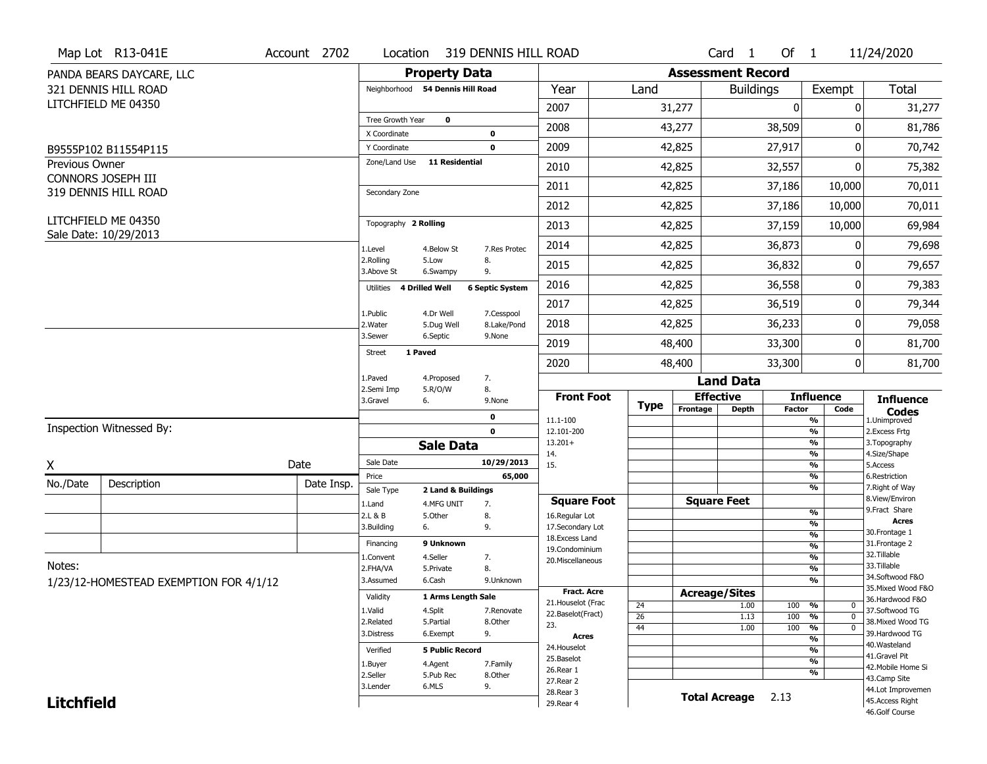|                   | Map Lot R13-041E                             | Account 2702 | Location                         | 319 DENNIS HILL ROAD    |                           |                                    |                 |                          | Card <sub>1</sub>    | Of $1$        |                          | 11/24/2020                           |
|-------------------|----------------------------------------------|--------------|----------------------------------|-------------------------|---------------------------|------------------------------------|-----------------|--------------------------|----------------------|---------------|--------------------------|--------------------------------------|
|                   | PANDA BEARS DAYCARE, LLC                     |              |                                  | <b>Property Data</b>    |                           |                                    |                 | <b>Assessment Record</b> |                      |               |                          |                                      |
|                   | 321 DENNIS HILL ROAD                         |              | Neighborhood 54 Dennis Hill Road |                         |                           | Year                               | Land            |                          | <b>Buildings</b>     |               | Exempt                   | <b>Total</b>                         |
|                   | LITCHFIELD ME 04350                          |              |                                  |                         |                           | 2007                               |                 | 31,277                   |                      | $\mathbf 0$   | 0                        | 31,277                               |
|                   |                                              |              | Tree Growth Year                 | $\mathbf 0$             |                           | 2008                               |                 | 43,277                   |                      | 38,509        | 0                        | 81,786                               |
|                   |                                              |              | X Coordinate                     |                         | $\bf{0}$                  |                                    |                 |                          |                      |               |                          |                                      |
|                   | B9555P102 B11554P115                         |              | Y Coordinate<br>Zone/Land Use    | <b>11 Residential</b>   | $\mathbf 0$               | 2009                               |                 | 42,825                   |                      | 27,917        | 0                        | 70,742                               |
| Previous Owner    | CONNORS JOSEPH III                           |              |                                  |                         |                           | 2010                               |                 | 42,825                   |                      | 32,557        | 0                        | 75,382                               |
|                   | 319 DENNIS HILL ROAD                         |              | Secondary Zone                   |                         |                           | 2011                               |                 | 42,825                   |                      | 37,186        | 10,000                   | 70,011                               |
|                   |                                              |              |                                  |                         |                           | 2012                               |                 | 42,825                   |                      | 37,186        | 10,000                   | 70,011                               |
|                   | LITCHFIELD ME 04350<br>Sale Date: 10/29/2013 |              | Topography 2 Rolling             |                         |                           | 2013                               |                 | 42,825                   |                      | 37,159        | 10,000                   | 69,984                               |
|                   |                                              |              | 1.Level                          | 4.Below St              | 7.Res Protec              | 2014                               |                 | 42,825                   |                      | 36,873        | 0                        | 79,698                               |
|                   |                                              |              | 2.Rolling<br>3.Above St          | 5.Low<br>6.Swampy       | 8.<br>9.                  | 2015                               |                 | 42,825                   |                      | 36,832        | 0                        | 79,657                               |
|                   |                                              |              | Utilities 4 Drilled Well         |                         | <b>6 Septic System</b>    | 2016                               |                 | 42,825                   |                      | 36,558        | 0                        | 79,383                               |
|                   |                                              |              |                                  |                         |                           | 2017                               |                 | 42,825                   |                      | 36,519        | 0                        | 79,344                               |
|                   |                                              |              | 1.Public<br>2. Water             | 4.Dr Well<br>5.Dug Well | 7.Cesspool<br>8.Lake/Pond | 2018                               |                 | 42,825                   |                      | 36,233        | 0                        | 79,058                               |
|                   |                                              |              | 3.Sewer                          | 6.Septic                | 9.None                    | 2019                               |                 | 48,400                   |                      | 33,300        | 0                        | 81,700                               |
|                   |                                              |              | 1 Paved<br><b>Street</b>         |                         |                           | 2020                               |                 | 48,400                   |                      | 33,300        | 0                        | 81,700                               |
|                   |                                              |              | 1.Paved                          | 4.Proposed              | 7.                        |                                    |                 |                          | <b>Land Data</b>     |               |                          |                                      |
|                   |                                              |              | 2.Semi Imp<br>3.Gravel           | 5.R/O/W<br>6.           | 8.<br>9.None              | <b>Front Foot</b>                  | Type            | <b>Effective</b>         |                      |               | <b>Influence</b>         | <b>Influence</b>                     |
|                   |                                              |              |                                  |                         | $\bf{0}$                  | 11.1-100                           |                 | Frontage                 | <b>Depth</b>         | <b>Factor</b> | Code<br>$\frac{9}{6}$    | <b>Codes</b><br>1.Unimproved         |
|                   | Inspection Witnessed By:                     |              |                                  |                         | $\mathbf 0$               | 12.101-200                         |                 |                          |                      |               | $\overline{\frac{9}{6}}$ | 2. Excess Frtg                       |
|                   |                                              |              |                                  | <b>Sale Data</b>        |                           | $13.201+$<br>14.                   |                 |                          |                      |               | %<br>$\frac{9}{6}$       | 3. Topography<br>4.Size/Shape        |
| X                 |                                              | Date         | Sale Date                        |                         |                           |                                    |                 |                          |                      |               |                          | 5.Access                             |
| No./Date          |                                              |              |                                  |                         | 10/29/2013                | 15.                                |                 |                          |                      |               | $\frac{9}{6}$            |                                      |
|                   |                                              |              | Price                            |                         | 65,000                    |                                    |                 |                          |                      |               | %                        | 6.Restriction                        |
|                   | Description                                  | Date Insp.   | Sale Type                        | 2 Land & Buildings      |                           |                                    |                 |                          |                      |               | $\frac{9}{6}$            | 7. Right of Way<br>8.View/Environ    |
|                   |                                              |              | 1.Land<br>2.L & B                | 4.MFG UNIT<br>5.Other   | 7.                        | <b>Square Foot</b>                 |                 | <b>Square Feet</b>       |                      |               | $\frac{9}{6}$            | 9.Fract Share                        |
|                   |                                              |              | 3.Building                       | 6.                      | 8.<br>9.                  | 16.Regular Lot<br>17.Secondary Lot |                 |                          |                      |               | %                        | <b>Acres</b>                         |
|                   |                                              |              | Financing                        | 9 Unknown               |                           | 18. Excess Land                    |                 |                          |                      |               | $\frac{9}{6}$            | 30. Frontage 1                       |
|                   |                                              |              |                                  |                         |                           | 19.Condominium                     |                 |                          |                      |               | %                        | 31. Frontage 2<br>32. Tillable       |
| Notes:            |                                              |              | L.Convent<br>2.FHA/VA            | 4.Seller<br>5.Private   | 7.<br>8.                  | 20.Miscellaneous                   |                 |                          |                      |               | %<br>%                   | 33.Tillable                          |
|                   |                                              |              | 3.Assumed                        | 6.Cash                  | 9.Unknown                 |                                    |                 |                          |                      |               | %                        | 34.Softwood F&O                      |
|                   | 1/23/12-HOMESTEAD EXEMPTION FOR 4/1/12       |              |                                  | 1 Arms Length Sale      |                           | <b>Fract. Acre</b>                 |                 | <b>Acreage/Sites</b>     |                      |               |                          | 35. Mixed Wood F&O                   |
|                   |                                              |              | Validity                         |                         |                           | 21. Houselot (Frac                 | 24              |                          | 1.00                 | 100           | %<br>0                   | 36.Hardwood F&O                      |
|                   |                                              |              | 1.Valid<br>2.Related             | 4.Split<br>5.Partial    | 7.Renovate<br>8.Other     | 22.Baselot(Fract)                  | $\overline{26}$ |                          | 1.13                 | 100           | %<br>$\mathbf 0$         | 37.Softwood TG<br>38. Mixed Wood TG  |
|                   |                                              |              | 3.Distress                       | 6.Exempt                | 9.                        | 23.                                | 44              |                          | 1.00                 | 100           | %<br>$\mathbf 0$         | 39.Hardwood TG                       |
|                   |                                              |              |                                  |                         |                           | <b>Acres</b>                       |                 |                          |                      |               | %                        | 40. Wasteland                        |
|                   |                                              |              | Verified                         | <b>5 Public Record</b>  |                           | 24. Houselot<br>25.Baselot         |                 |                          |                      |               | %                        | 41.Gravel Pit                        |
|                   |                                              |              | 1.Buyer                          | 4.Agent                 | 7.Family                  | 26.Rear 1                          |                 |                          |                      |               | %                        | 42. Mobile Home Si                   |
|                   |                                              |              | 2.Seller                         | 5.Pub Rec               | 8.Other                   | 27. Rear 2                         |                 |                          |                      |               | %                        | 43.Camp Site                         |
| <b>Litchfield</b> |                                              |              | 3.Lender                         | 6.MLS                   | 9.                        | 28.Rear 3<br>29. Rear 4            |                 |                          | <b>Total Acreage</b> | 2.13          |                          | 44.Lot Improvemen<br>45.Access Right |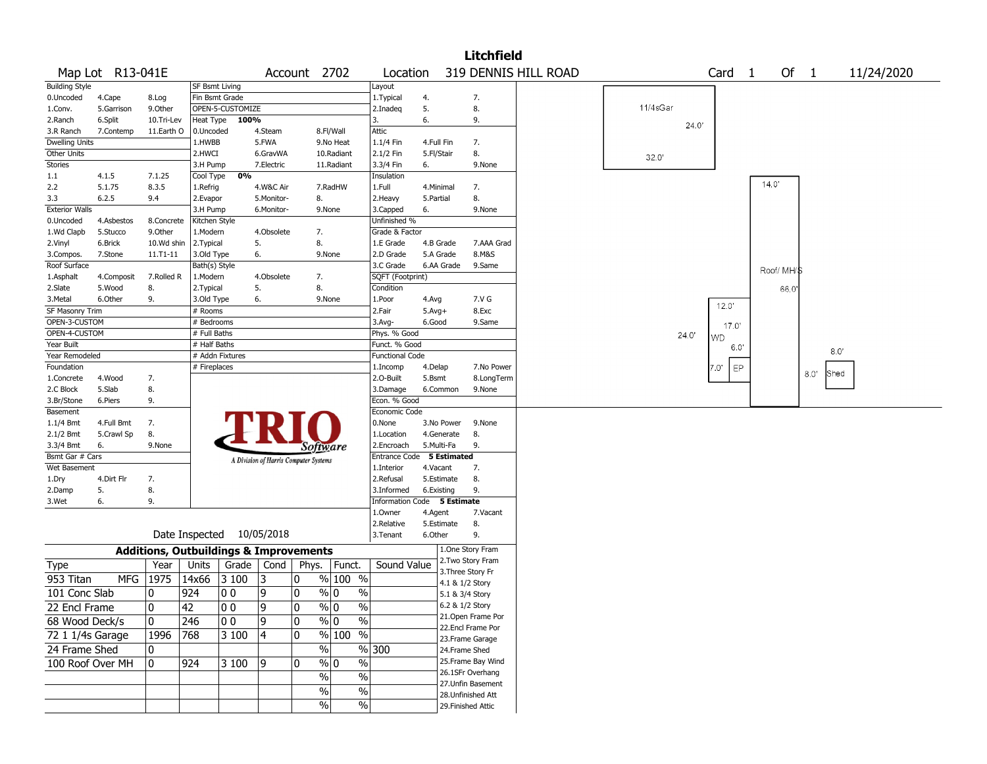|                       |                  |            |                 |                                                   |                                       |              |                       |                             |            |                 | <b>Litchfield</b>    |  |          |       |            |            |      |            |
|-----------------------|------------------|------------|-----------------|---------------------------------------------------|---------------------------------------|--------------|-----------------------|-----------------------------|------------|-----------------|----------------------|--|----------|-------|------------|------------|------|------------|
|                       | Map Lot R13-041E |            |                 |                                                   |                                       | Account 2702 |                       | Location                    |            |                 | 319 DENNIS HILL ROAD |  |          |       | Card 1     | Of $1$     |      | 11/24/2020 |
| <b>Building Style</b> |                  |            | SF Bsmt Living  |                                                   |                                       |              |                       | Layout                      |            |                 |                      |  |          |       |            |            |      |            |
| 0.Uncoded             | 4.Cape           | 8.Log      |                 | Fin Bsmt Grade                                    |                                       |              |                       | 1. Typical                  | 4.         |                 | 7.                   |  |          |       |            |            |      |            |
| 1.Conv.               | 5.Garrison       | 9.0ther    |                 | OPEN-5-CUSTOMIZE                                  |                                       |              |                       | 2.Inadeg                    | 5.         |                 | 8.                   |  | 11/4sGar |       |            |            |      |            |
| 2.Ranch               | 6.Split          | 10.Tri-Lev |                 | Heat Type 100%                                    |                                       |              |                       | 3.                          | 6.         |                 | 9.                   |  |          | 24.0' |            |            |      |            |
| 3.R Ranch             | 7.Contemp        | 11.Earth O | 0.Uncoded       |                                                   | 4.Steam                               |              | 8.Fl/Wall             | Attic                       |            |                 |                      |  |          |       |            |            |      |            |
| Dwelling Units        |                  |            | 1.HWBB          |                                                   | 5.FWA                                 |              | 9.No Heat             | 1.1/4 Fin                   | 4.Full Fin |                 | 7.                   |  |          |       |            |            |      |            |
| Other Units           |                  |            | 2.HWCI          |                                                   | 6.GravWA                              |              | 10.Radiant            | 2.1/2 Fin                   | 5.Fl/Stair |                 | 8.                   |  | 32.0'    |       |            |            |      |            |
| <b>Stories</b>        |                  |            | 3.H Pump        |                                                   | 7.Electric                            |              | 11.Radiant            | 3.3/4 Fin                   | 6.         |                 | 9.None               |  |          |       |            |            |      |            |
| 1.1                   | 4.1.5            | 7.1.25     | Cool Type       | 0%                                                |                                       |              |                       | Insulation                  |            |                 |                      |  |          |       |            |            |      |            |
| 2.2                   | 5.1.75           | 8.3.5      | 1.Refrig        |                                                   | 4.W&C Air                             |              | 7.RadHW               | 1.Full                      | 4.Minimal  |                 | 7.                   |  |          |       |            | 14.0'      |      |            |
| 3.3                   | 6.2.5            | 9.4        | 2.Evapor        |                                                   | 5.Monitor-                            | 8.           |                       | 2.Heavy                     | 5.Partial  |                 | 8.                   |  |          |       |            |            |      |            |
| <b>Exterior Walls</b> |                  |            | 3.H Pump        |                                                   | 6.Monitor-                            |              | 9.None                | 3.Capped                    | 6.         |                 | 9.None               |  |          |       |            |            |      |            |
| 0.Uncoded             | 4.Asbestos       | 8.Concrete | Kitchen Style   |                                                   |                                       |              |                       | Unfinished %                |            |                 |                      |  |          |       |            |            |      |            |
| 1.Wd Clapb            | 5.Stucco         | 9.0ther    | 1.Modern        |                                                   | 4.Obsolete                            | 7.           |                       | Grade & Factor              |            |                 |                      |  |          |       |            |            |      |            |
| 2.Vinyl               | 6.Brick          | 10.Wd shin | 2.Typical       |                                                   | 5.                                    | 8.           |                       | 1.E Grade                   |            | 4.B Grade       | 7.AAA Grad           |  |          |       |            |            |      |            |
| 3.Compos.             | 7.Stone          | 11.T1-11   | 3.Old Type      |                                                   | 6.                                    |              | 9.None                | 2.D Grade                   |            | 5.A Grade       | 8.M&S                |  |          |       |            |            |      |            |
| Roof Surface          |                  |            | Bath(s) Style   |                                                   |                                       |              |                       | 3.C Grade                   |            | 6.AA Grade      | 9.Same               |  |          |       |            | Roof/MH/\$ |      |            |
| 1.Asphalt             | 4.Composit       | 7.Rolled R | 1.Modern        |                                                   | 4.Obsolete                            | 7.           |                       | SQFT (Footprint)            |            |                 |                      |  |          |       |            |            |      |            |
| 2.Slate               | 5.Wood           | 8.         | 2. Typical      |                                                   | 5.                                    | 8.           |                       | Condition                   |            |                 |                      |  |          |       |            | 66.0       |      |            |
| 3.Metal               | 6.Other          | 9.         | 3.Old Type      |                                                   | 6.                                    |              | 9.None                | 1.Poor                      | 4.Avg      |                 | 7.V G                |  |          |       |            |            |      |            |
| SF Masonry Trim       |                  |            | # Rooms         |                                                   |                                       |              |                       | 2.Fair                      | $5.Avg+$   |                 | 8.Exc                |  |          |       | 12.0'      |            |      |            |
| OPEN-3-CUSTOM         |                  |            | # Bedrooms      |                                                   |                                       |              |                       | 3.Avg-                      | 6.Good     |                 | 9.Same               |  |          |       | 17.0'      |            |      |            |
| OPEN-4-CUSTOM         |                  |            | # Full Baths    |                                                   |                                       |              |                       | Phys. % Good                |            |                 |                      |  |          | 24.0" |            |            |      |            |
| Year Built            |                  |            | # Half Baths    |                                                   |                                       |              |                       | Funct. % Good               |            |                 |                      |  |          |       | WD<br>6.0' |            |      |            |
| Year Remodeled        |                  |            |                 | # Addn Fixtures                                   |                                       |              |                       | <b>Functional Code</b>      |            |                 |                      |  |          |       |            |            |      | 8.0'       |
| Foundation            |                  |            | # Fireplaces    |                                                   |                                       |              |                       | 1.Incomp                    | 4.Delap    |                 | 7.No Power           |  |          |       | EP<br>7.0' |            |      |            |
| 1.Concrete            | 4.Wood           | 7.         |                 |                                                   |                                       |              |                       | 2.O-Built                   | 5.Bsmt     |                 | 8.LongTerm           |  |          |       |            |            | 8.0' | Shed       |
| 2.C Block             | 5.Slab           | 8.         |                 |                                                   |                                       |              |                       | 3.Damage                    |            | 6.Common        | 9.None               |  |          |       |            |            |      |            |
| 3.Br/Stone            | 6.Piers          | 9.         |                 |                                                   |                                       |              |                       | Econ. % Good                |            |                 |                      |  |          |       |            |            |      |            |
| Basement              |                  |            |                 |                                                   |                                       |              |                       | Economic Code               |            |                 |                      |  |          |       |            |            |      |            |
| 1.1/4 Bmt             | 4.Full Bmt       | 7.         |                 |                                                   |                                       |              |                       | 0.None                      |            | 3.No Power      | 9.None               |  |          |       |            |            |      |            |
| 2.1/2 Bmt             | 5.Crawl Sp       | 8.         |                 |                                                   |                                       |              |                       | 1.Location                  |            | 4.Generate      | 8.                   |  |          |       |            |            |      |            |
| 3.3/4 Bmt             | 6.               | 9.None     |                 |                                                   |                                       |              | Software              | 2.Encroach                  |            | 5.Multi-Fa      | 9.                   |  |          |       |            |            |      |            |
| Bsmt Gar # Cars       |                  |            |                 |                                                   |                                       |              |                       | Entrance Code 5 Estimated   |            |                 |                      |  |          |       |            |            |      |            |
| Wet Basement          |                  |            |                 |                                                   | A Division of Harris Computer Systems |              |                       | 1.Interior                  | 4.Vacant   |                 | 7.                   |  |          |       |            |            |      |            |
| 1.Dry                 | 4.Dirt Flr       | 7.         |                 |                                                   |                                       |              |                       | 2.Refusal                   |            | 5.Estimate      | 8.                   |  |          |       |            |            |      |            |
| 2.Damp                | 5.               | 8.         |                 |                                                   |                                       |              |                       | 3.Informed                  |            | 6.Existing      | 9.                   |  |          |       |            |            |      |            |
| 3.Wet                 | 6.               | 9.         |                 |                                                   |                                       |              |                       | Information Code 5 Estimate |            |                 |                      |  |          |       |            |            |      |            |
|                       |                  |            |                 |                                                   |                                       |              |                       | 1.Owner                     | 4.Agent    |                 | 7.Vacant             |  |          |       |            |            |      |            |
|                       |                  |            |                 |                                                   |                                       |              |                       | 2.Relative                  |            | 5.Estimate      | 8.                   |  |          |       |            |            |      |            |
|                       |                  |            |                 | Date Inspected 10/05/2018                         |                                       |              |                       | 3.Tenant                    | 6.Other    |                 | 9.                   |  |          |       |            |            |      |            |
|                       |                  |            |                 |                                                   |                                       |              |                       |                             |            |                 | 1.One Story Fram     |  |          |       |            |            |      |            |
|                       |                  |            |                 | <b>Additions, Outbuildings &amp; Improvements</b> |                                       |              |                       |                             |            |                 | 2. Two Story Fram    |  |          |       |            |            |      |            |
| Type                  |                  | Year       | Units           |                                                   | Grade   Cond                          |              | Phys.   Funct.        | Sound Value                 |            |                 | 3. Three Story Fr    |  |          |       |            |            |      |            |
| 953 Titan             | MFG              | 1975       | 14x66           | 3 100                                             | 13                                    | 0            | $%100$ %              |                             |            | 4.1 & 1/2 Story |                      |  |          |       |            |            |      |            |
| 101 Conc Slab         |                  | 0          | 924             | O O                                               | 9                                     | 0            | % 0<br>$\%$           |                             |            | 5.1 & 3/4 Story |                      |  |          |       |            |            |      |            |
|                       |                  | 0          |                 |                                                   | 9                                     | 0            | $\frac{1}{2}$         |                             |            | 6.2 & 1/2 Story |                      |  |          |       |            |            |      |            |
| 22 Encl Frame         |                  |            | $\overline{42}$ | $ 00\rangle$                                      |                                       |              | $\frac{8}{10}$        |                             |            |                 | 21. Open Frame Por   |  |          |       |            |            |      |            |
| 68 Wood Deck/s        |                  | 0          | 246             | 00                                                | 9                                     | 0            | $\%$ 0<br>$\%$        |                             |            |                 | 22.Encl Frame Por    |  |          |       |            |            |      |            |
| 72 1 1/4s Garage      |                  | 1996       | 768             | 3 100                                             | 4                                     | 0            | % 100 %               |                             |            |                 | 23. Frame Garage     |  |          |       |            |            |      |            |
| 24 Frame Shed         |                  | 0          |                 |                                                   |                                       |              | $\%$                  | %300                        |            |                 | 24.Frame Shed        |  |          |       |            |            |      |            |
|                       |                  |            |                 |                                                   |                                       |              |                       |                             |            |                 | 25. Frame Bay Wind   |  |          |       |            |            |      |            |
| 100 Roof Over MH      |                  | 0          | 924             | 3 100                                             | 9                                     | 0            | $\%$<br>$\%$ 0        |                             |            |                 | 26.1SFr Overhang     |  |          |       |            |            |      |            |
|                       |                  |            |                 |                                                   |                                       |              | $\frac{0}{0}$<br>$\%$ |                             |            |                 | 27. Unfin Basement   |  |          |       |            |            |      |            |
|                       |                  |            |                 |                                                   |                                       |              | $\%$<br>$\%$          |                             |            |                 | 28. Unfinished Att   |  |          |       |            |            |      |            |
|                       |                  |            |                 |                                                   |                                       |              | $\frac{1}{2}$<br>$\%$ |                             |            |                 |                      |  |          |       |            |            |      |            |
|                       |                  |            |                 |                                                   |                                       |              |                       |                             |            |                 | 29. Finished Attic   |  |          |       |            |            |      |            |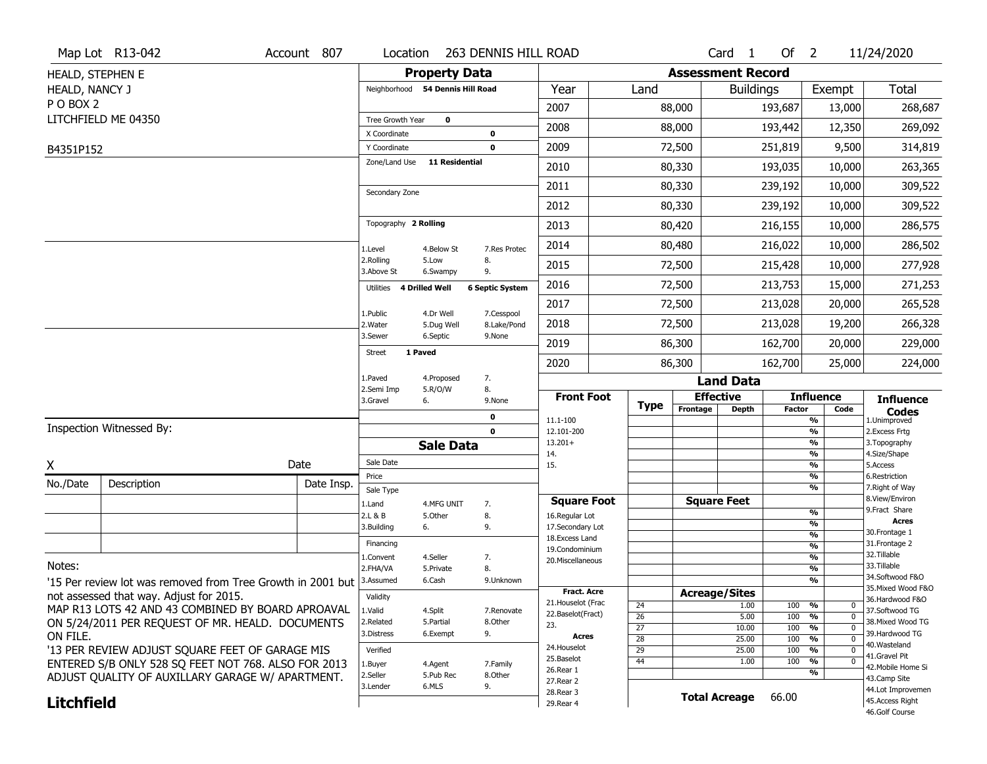| <b>Property Data</b><br><b>Assessment Record</b><br>HEALD, STEPHEN E<br>Total<br>Neighborhood 54 Dennis Hill Road<br>Year<br>Exempt<br>HEALD, NANCY J<br>Land<br><b>Buildings</b><br>PO BOX 2<br>2007<br>88,000<br>193,687<br>13,000<br>LITCHFIELD ME 04350<br>Tree Growth Year<br>0<br>2008<br>88,000<br>193,442<br>12,350<br>X Coordinate<br>0<br>2009<br>9,500<br>72,500<br>251,819<br>Y Coordinate<br>0<br>B4351P152<br>Zone/Land Use<br><b>11 Residential</b><br>80,330<br>193,035<br>2010<br>10,000<br>2011<br>80,330<br>239,192<br>10,000<br>Secondary Zone<br>2012<br>80,330<br>239,192<br>10,000<br>Topography 2 Rolling<br>2013<br>80,420<br>216,155<br>10,000<br>2014<br>80,480<br>216,022<br>10,000<br>7.Res Protec<br>1.Level<br>4.Below St<br>2.Rolling<br>5.Low<br>8.<br>2015<br>72,500<br>215,428<br>10,000<br>3.Above St<br>9.<br>6.Swampy<br>2016<br>72,500<br>213,753<br>15,000<br><b>6 Septic System</b><br>Utilities 4 Drilled Well<br>2017<br>72,500<br>213,028<br>20,000<br>1.Public<br>4.Dr Well<br>7.Cesspool<br>2018<br>72,500<br>213,028<br>19,200<br>2. Water<br>8.Lake/Pond<br>5.Dug Well<br>3.Sewer<br>6.Septic<br>9.None<br>2019<br>86,300<br>162,700<br>20,000<br>1 Paved<br><b>Street</b><br>2020<br>86,300<br>162,700<br>25,000<br>1.Paved<br>4.Proposed<br>7.<br><b>Land Data</b><br>2.Semi Imp<br>5.R/O/W<br>8.<br><b>Front Foot</b><br><b>Effective</b><br><b>Influence</b><br><b>Influence</b><br>3.Gravel<br>6.<br>9.None<br><b>Type</b><br>Frontage<br><b>Depth</b><br><b>Factor</b><br>Code<br><b>Codes</b><br>0<br>11.1-100<br>%<br>1.Unimproved<br>Inspection Witnessed By:<br>$\frac{9}{6}$<br>$\mathbf 0$<br>12.101-200<br>2. Excess Frtg<br>$13.201+$<br>%<br>3. Topography<br><b>Sale Data</b><br>%<br>4.Size/Shape<br>14.<br>Sale Date<br>Date<br>X<br>15.<br>%<br>5.Access<br>%<br>6.Restriction<br>Price<br>No./Date<br>Description<br>Date Insp.<br>%<br>7. Right of Way<br>Sale Type<br>8.View/Environ<br><b>Square Foot</b><br><b>Square Feet</b><br>1.Land<br>4.MFG UNIT<br>7.<br>9. Fract Share<br>$\frac{9}{6}$<br>2.L & B<br>5.Other<br>8.<br>16.Regular Lot |
|-----------------------------------------------------------------------------------------------------------------------------------------------------------------------------------------------------------------------------------------------------------------------------------------------------------------------------------------------------------------------------------------------------------------------------------------------------------------------------------------------------------------------------------------------------------------------------------------------------------------------------------------------------------------------------------------------------------------------------------------------------------------------------------------------------------------------------------------------------------------------------------------------------------------------------------------------------------------------------------------------------------------------------------------------------------------------------------------------------------------------------------------------------------------------------------------------------------------------------------------------------------------------------------------------------------------------------------------------------------------------------------------------------------------------------------------------------------------------------------------------------------------------------------------------------------------------------------------------------------------------------------------------------------------------------------------------------------------------------------------------------------------------------------------------------------------------------------------------------------------------------------------------------------------------------------------------------------------------------------------------------------------------------------------------------------------------------------------------------------------------|
| 268,687<br>269,092<br>314,819<br>263,365<br>309,522<br>309,522<br>286,575<br>286,502<br>277,928<br>271,253<br>265,528<br>266,328<br>229,000<br>224,000                                                                                                                                                                                                                                                                                                                                                                                                                                                                                                                                                                                                                                                                                                                                                                                                                                                                                                                                                                                                                                                                                                                                                                                                                                                                                                                                                                                                                                                                                                                                                                                                                                                                                                                                                                                                                                                                                                                                                                |
|                                                                                                                                                                                                                                                                                                                                                                                                                                                                                                                                                                                                                                                                                                                                                                                                                                                                                                                                                                                                                                                                                                                                                                                                                                                                                                                                                                                                                                                                                                                                                                                                                                                                                                                                                                                                                                                                                                                                                                                                                                                                                                                       |
|                                                                                                                                                                                                                                                                                                                                                                                                                                                                                                                                                                                                                                                                                                                                                                                                                                                                                                                                                                                                                                                                                                                                                                                                                                                                                                                                                                                                                                                                                                                                                                                                                                                                                                                                                                                                                                                                                                                                                                                                                                                                                                                       |
|                                                                                                                                                                                                                                                                                                                                                                                                                                                                                                                                                                                                                                                                                                                                                                                                                                                                                                                                                                                                                                                                                                                                                                                                                                                                                                                                                                                                                                                                                                                                                                                                                                                                                                                                                                                                                                                                                                                                                                                                                                                                                                                       |
|                                                                                                                                                                                                                                                                                                                                                                                                                                                                                                                                                                                                                                                                                                                                                                                                                                                                                                                                                                                                                                                                                                                                                                                                                                                                                                                                                                                                                                                                                                                                                                                                                                                                                                                                                                                                                                                                                                                                                                                                                                                                                                                       |
|                                                                                                                                                                                                                                                                                                                                                                                                                                                                                                                                                                                                                                                                                                                                                                                                                                                                                                                                                                                                                                                                                                                                                                                                                                                                                                                                                                                                                                                                                                                                                                                                                                                                                                                                                                                                                                                                                                                                                                                                                                                                                                                       |
|                                                                                                                                                                                                                                                                                                                                                                                                                                                                                                                                                                                                                                                                                                                                                                                                                                                                                                                                                                                                                                                                                                                                                                                                                                                                                                                                                                                                                                                                                                                                                                                                                                                                                                                                                                                                                                                                                                                                                                                                                                                                                                                       |
|                                                                                                                                                                                                                                                                                                                                                                                                                                                                                                                                                                                                                                                                                                                                                                                                                                                                                                                                                                                                                                                                                                                                                                                                                                                                                                                                                                                                                                                                                                                                                                                                                                                                                                                                                                                                                                                                                                                                                                                                                                                                                                                       |
|                                                                                                                                                                                                                                                                                                                                                                                                                                                                                                                                                                                                                                                                                                                                                                                                                                                                                                                                                                                                                                                                                                                                                                                                                                                                                                                                                                                                                                                                                                                                                                                                                                                                                                                                                                                                                                                                                                                                                                                                                                                                                                                       |
|                                                                                                                                                                                                                                                                                                                                                                                                                                                                                                                                                                                                                                                                                                                                                                                                                                                                                                                                                                                                                                                                                                                                                                                                                                                                                                                                                                                                                                                                                                                                                                                                                                                                                                                                                                                                                                                                                                                                                                                                                                                                                                                       |
|                                                                                                                                                                                                                                                                                                                                                                                                                                                                                                                                                                                                                                                                                                                                                                                                                                                                                                                                                                                                                                                                                                                                                                                                                                                                                                                                                                                                                                                                                                                                                                                                                                                                                                                                                                                                                                                                                                                                                                                                                                                                                                                       |
|                                                                                                                                                                                                                                                                                                                                                                                                                                                                                                                                                                                                                                                                                                                                                                                                                                                                                                                                                                                                                                                                                                                                                                                                                                                                                                                                                                                                                                                                                                                                                                                                                                                                                                                                                                                                                                                                                                                                                                                                                                                                                                                       |
|                                                                                                                                                                                                                                                                                                                                                                                                                                                                                                                                                                                                                                                                                                                                                                                                                                                                                                                                                                                                                                                                                                                                                                                                                                                                                                                                                                                                                                                                                                                                                                                                                                                                                                                                                                                                                                                                                                                                                                                                                                                                                                                       |
|                                                                                                                                                                                                                                                                                                                                                                                                                                                                                                                                                                                                                                                                                                                                                                                                                                                                                                                                                                                                                                                                                                                                                                                                                                                                                                                                                                                                                                                                                                                                                                                                                                                                                                                                                                                                                                                                                                                                                                                                                                                                                                                       |
|                                                                                                                                                                                                                                                                                                                                                                                                                                                                                                                                                                                                                                                                                                                                                                                                                                                                                                                                                                                                                                                                                                                                                                                                                                                                                                                                                                                                                                                                                                                                                                                                                                                                                                                                                                                                                                                                                                                                                                                                                                                                                                                       |
|                                                                                                                                                                                                                                                                                                                                                                                                                                                                                                                                                                                                                                                                                                                                                                                                                                                                                                                                                                                                                                                                                                                                                                                                                                                                                                                                                                                                                                                                                                                                                                                                                                                                                                                                                                                                                                                                                                                                                                                                                                                                                                                       |
|                                                                                                                                                                                                                                                                                                                                                                                                                                                                                                                                                                                                                                                                                                                                                                                                                                                                                                                                                                                                                                                                                                                                                                                                                                                                                                                                                                                                                                                                                                                                                                                                                                                                                                                                                                                                                                                                                                                                                                                                                                                                                                                       |
|                                                                                                                                                                                                                                                                                                                                                                                                                                                                                                                                                                                                                                                                                                                                                                                                                                                                                                                                                                                                                                                                                                                                                                                                                                                                                                                                                                                                                                                                                                                                                                                                                                                                                                                                                                                                                                                                                                                                                                                                                                                                                                                       |
|                                                                                                                                                                                                                                                                                                                                                                                                                                                                                                                                                                                                                                                                                                                                                                                                                                                                                                                                                                                                                                                                                                                                                                                                                                                                                                                                                                                                                                                                                                                                                                                                                                                                                                                                                                                                                                                                                                                                                                                                                                                                                                                       |
|                                                                                                                                                                                                                                                                                                                                                                                                                                                                                                                                                                                                                                                                                                                                                                                                                                                                                                                                                                                                                                                                                                                                                                                                                                                                                                                                                                                                                                                                                                                                                                                                                                                                                                                                                                                                                                                                                                                                                                                                                                                                                                                       |
|                                                                                                                                                                                                                                                                                                                                                                                                                                                                                                                                                                                                                                                                                                                                                                                                                                                                                                                                                                                                                                                                                                                                                                                                                                                                                                                                                                                                                                                                                                                                                                                                                                                                                                                                                                                                                                                                                                                                                                                                                                                                                                                       |
|                                                                                                                                                                                                                                                                                                                                                                                                                                                                                                                                                                                                                                                                                                                                                                                                                                                                                                                                                                                                                                                                                                                                                                                                                                                                                                                                                                                                                                                                                                                                                                                                                                                                                                                                                                                                                                                                                                                                                                                                                                                                                                                       |
|                                                                                                                                                                                                                                                                                                                                                                                                                                                                                                                                                                                                                                                                                                                                                                                                                                                                                                                                                                                                                                                                                                                                                                                                                                                                                                                                                                                                                                                                                                                                                                                                                                                                                                                                                                                                                                                                                                                                                                                                                                                                                                                       |
|                                                                                                                                                                                                                                                                                                                                                                                                                                                                                                                                                                                                                                                                                                                                                                                                                                                                                                                                                                                                                                                                                                                                                                                                                                                                                                                                                                                                                                                                                                                                                                                                                                                                                                                                                                                                                                                                                                                                                                                                                                                                                                                       |
|                                                                                                                                                                                                                                                                                                                                                                                                                                                                                                                                                                                                                                                                                                                                                                                                                                                                                                                                                                                                                                                                                                                                                                                                                                                                                                                                                                                                                                                                                                                                                                                                                                                                                                                                                                                                                                                                                                                                                                                                                                                                                                                       |
| <b>Acres</b><br>%<br>3.Building<br>9.<br>17.Secondary Lot<br>6.                                                                                                                                                                                                                                                                                                                                                                                                                                                                                                                                                                                                                                                                                                                                                                                                                                                                                                                                                                                                                                                                                                                                                                                                                                                                                                                                                                                                                                                                                                                                                                                                                                                                                                                                                                                                                                                                                                                                                                                                                                                       |
| 30.Frontage 1<br>$\frac{9}{6}$<br>18. Excess Land<br>31. Frontage 2<br>Financing                                                                                                                                                                                                                                                                                                                                                                                                                                                                                                                                                                                                                                                                                                                                                                                                                                                                                                                                                                                                                                                                                                                                                                                                                                                                                                                                                                                                                                                                                                                                                                                                                                                                                                                                                                                                                                                                                                                                                                                                                                      |
| $\frac{9}{6}$<br>19.Condominium<br>32.Tillable<br>$\frac{9}{6}$<br>1.Convent<br>4.Seller<br>7.                                                                                                                                                                                                                                                                                                                                                                                                                                                                                                                                                                                                                                                                                                                                                                                                                                                                                                                                                                                                                                                                                                                                                                                                                                                                                                                                                                                                                                                                                                                                                                                                                                                                                                                                                                                                                                                                                                                                                                                                                        |
| 20.Miscellaneous<br>Notes:<br>33.Tillable<br>$\frac{9}{6}$<br>2.FHA/VA<br>8.<br>5.Private                                                                                                                                                                                                                                                                                                                                                                                                                                                                                                                                                                                                                                                                                                                                                                                                                                                                                                                                                                                                                                                                                                                                                                                                                                                                                                                                                                                                                                                                                                                                                                                                                                                                                                                                                                                                                                                                                                                                                                                                                             |
| 34.Softwood F&O<br>$\frac{9}{6}$<br>3.Assumed<br>6.Cash<br>9.Unknown<br>'15 Per review lot was removed from Tree Growth in 2001 but                                                                                                                                                                                                                                                                                                                                                                                                                                                                                                                                                                                                                                                                                                                                                                                                                                                                                                                                                                                                                                                                                                                                                                                                                                                                                                                                                                                                                                                                                                                                                                                                                                                                                                                                                                                                                                                                                                                                                                                   |
| 35. Mixed Wood F&O<br><b>Fract. Acre</b><br><b>Acreage/Sites</b><br>not assessed that way. Adjust for 2015.<br>Validity<br>36.Hardwood F&O                                                                                                                                                                                                                                                                                                                                                                                                                                                                                                                                                                                                                                                                                                                                                                                                                                                                                                                                                                                                                                                                                                                                                                                                                                                                                                                                                                                                                                                                                                                                                                                                                                                                                                                                                                                                                                                                                                                                                                            |
| 21. Houselot (Frac<br>$\frac{9}{6}$<br>1.00<br>100<br>0<br>24<br>MAP R13 LOTS 42 AND 43 COMBINED BY BOARD APROAVAL<br>1.Valid<br>37.Softwood TG<br>4.Split<br>7.Renovate<br>22.Baselot(Fract)                                                                                                                                                                                                                                                                                                                                                                                                                                                                                                                                                                                                                                                                                                                                                                                                                                                                                                                                                                                                                                                                                                                                                                                                                                                                                                                                                                                                                                                                                                                                                                                                                                                                                                                                                                                                                                                                                                                         |
| 26<br>5.00<br>100<br>$\frac{9}{6}$<br>$\Omega$<br>ON 5/24/2011 PER REQUEST OF MR. HEALD. DOCUMENTS<br>2.Related<br>5.Partial<br>8.Other<br>38. Mixed Wood TG<br>23.<br>27<br>%<br>10.00<br>100<br>$\Omega$                                                                                                                                                                                                                                                                                                                                                                                                                                                                                                                                                                                                                                                                                                                                                                                                                                                                                                                                                                                                                                                                                                                                                                                                                                                                                                                                                                                                                                                                                                                                                                                                                                                                                                                                                                                                                                                                                                            |
| 9.<br>3.Distress<br>6.Exempt<br>39.Hardwood TG<br>ON FILE.<br>Acres<br>28<br>$\frac{9}{6}$<br>25.00<br>100<br>$\Omega$                                                                                                                                                                                                                                                                                                                                                                                                                                                                                                                                                                                                                                                                                                                                                                                                                                                                                                                                                                                                                                                                                                                                                                                                                                                                                                                                                                                                                                                                                                                                                                                                                                                                                                                                                                                                                                                                                                                                                                                                |
| 40.Wasteland<br>24. Houselot<br>'13 PER REVIEW ADJUST SQUARE FEET OF GARAGE MIS<br>29<br>%<br>Verified<br>25.00<br>100<br>$\Omega$<br>41.Gravel Pit                                                                                                                                                                                                                                                                                                                                                                                                                                                                                                                                                                                                                                                                                                                                                                                                                                                                                                                                                                                                                                                                                                                                                                                                                                                                                                                                                                                                                                                                                                                                                                                                                                                                                                                                                                                                                                                                                                                                                                   |
| 25.Baselot<br>44<br>$\frac{9}{6}$<br>1.00<br>100<br>$\Omega$<br>ENTERED S/B ONLY 528 SQ FEET NOT 768. ALSO FOR 2013<br>1.Buyer<br>4.Agent<br>7.Family<br>42. Mobile Home Si                                                                                                                                                                                                                                                                                                                                                                                                                                                                                                                                                                                                                                                                                                                                                                                                                                                                                                                                                                                                                                                                                                                                                                                                                                                                                                                                                                                                                                                                                                                                                                                                                                                                                                                                                                                                                                                                                                                                           |
| 26.Rear 1<br>%<br>2.Seller<br>5.Pub Rec<br>8.Other<br>ADJUST QUALITY OF AUXILLARY GARAGE W/ APARTMENT.<br>43.Camp Site<br>27. Rear 2                                                                                                                                                                                                                                                                                                                                                                                                                                                                                                                                                                                                                                                                                                                                                                                                                                                                                                                                                                                                                                                                                                                                                                                                                                                                                                                                                                                                                                                                                                                                                                                                                                                                                                                                                                                                                                                                                                                                                                                  |
| 6.MLS<br>9.<br>3.Lender<br>44.Lot Improvemen<br>28.Rear 3<br><b>Total Acreage</b><br>66.00                                                                                                                                                                                                                                                                                                                                                                                                                                                                                                                                                                                                                                                                                                                                                                                                                                                                                                                                                                                                                                                                                                                                                                                                                                                                                                                                                                                                                                                                                                                                                                                                                                                                                                                                                                                                                                                                                                                                                                                                                            |
| <b>Litchfield</b><br>45.Access Right<br>29. Rear 4<br>46.Golf Course                                                                                                                                                                                                                                                                                                                                                                                                                                                                                                                                                                                                                                                                                                                                                                                                                                                                                                                                                                                                                                                                                                                                                                                                                                                                                                                                                                                                                                                                                                                                                                                                                                                                                                                                                                                                                                                                                                                                                                                                                                                  |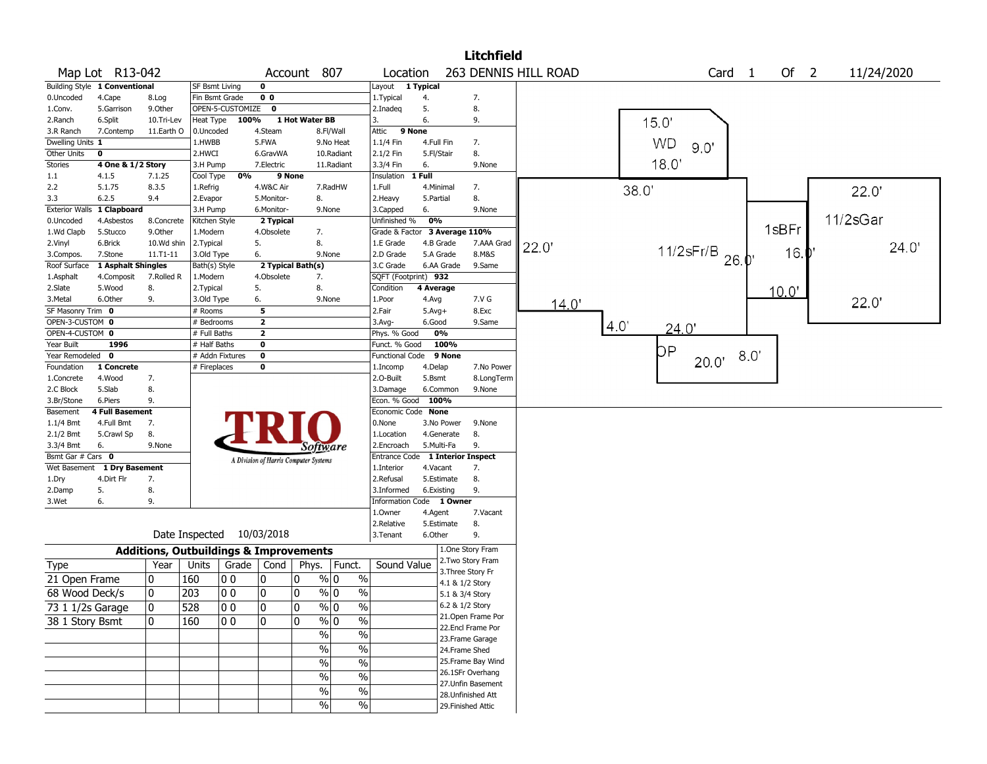|                       |                               |                                                   |                 |                  |                                       |                |               |                          |            |                 | <b>Litchfield</b>         |                      |     |           |                             |     |        |            |
|-----------------------|-------------------------------|---------------------------------------------------|-----------------|------------------|---------------------------------------|----------------|---------------|--------------------------|------------|-----------------|---------------------------|----------------------|-----|-----------|-----------------------------|-----|--------|------------|
|                       | Map Lot R13-042               |                                                   |                 |                  |                                       | Account 807    |               | Location                 |            |                 |                           | 263 DENNIS HILL ROAD |     |           | Card 1                      |     | Of $2$ | 11/24/2020 |
|                       | Building Style 1 Conventional |                                                   | SF Bsmt Living  |                  | $\mathbf 0$                           |                |               | Layout 1 Typical         |            |                 |                           |                      |     |           |                             |     |        |            |
| 0.Uncoded             | 4.Cape                        | 8.Log                                             | Fin Bsmt Grade  |                  | 0 <sub>0</sub>                        |                |               | 1.Typical                | 4.         |                 | 7.                        |                      |     |           |                             |     |        |            |
| 1.Conv.               | 5.Garrison                    | 9.0ther                                           |                 | OPEN-5-CUSTOMIZE | 0                                     |                |               | 2.Inadeg                 | 5.         |                 | 8.                        |                      |     |           |                             |     |        |            |
| 2.Ranch               | 6.Split                       | 10.Tri-Lev                                        | Heat Type       | 100%             |                                       | 1 Hot Water BB |               | 3.                       | 6.         |                 | 9.                        |                      |     | 15.0'     |                             |     |        |            |
| 3.R Ranch             | 7.Contemp                     | 11.Earth O                                        | 0.Uncoded       |                  | 4.Steam                               |                | 8.Fl/Wall     | Attic                    | 9 None     |                 |                           |                      |     |           |                             |     |        |            |
| Dwelling Units 1      |                               |                                                   | 1.HWBB          |                  | 5.FWA                                 |                | 9.No Heat     | $1.1/4$ Fin              | 4.Full Fin |                 | 7.                        |                      |     | <b>WD</b> |                             |     |        |            |
| Other Units           | 0                             |                                                   | 2.HWCI          |                  | 6.GravWA                              |                | 10.Radiant    | 2.1/2 Fin                | 5.Fl/Stair |                 | 8.                        |                      |     |           | 90'                         |     |        |            |
| Stories               | 4 One & 1/2 Story             |                                                   | 3.H Pump        |                  | 7.Electric                            |                | 11.Radiant    | 3.3/4 Fin                | 6.         |                 | 9.None                    |                      |     | 18.0'     |                             |     |        |            |
| 1.1                   | 4.1.5                         | 7.1.25                                            | Cool Type       | 0%               |                                       | 9 None         |               | Insulation               | 1 Full     |                 |                           |                      |     |           |                             |     |        |            |
| 2.2                   | 5.1.75                        | 8.3.5                                             | 1.Refrig        |                  | 4.W&C Air                             |                | 7.RadHW       | 1.Full                   | 4.Minimal  |                 | 7.                        |                      |     | 38.0'     |                             |     |        | 22.0'      |
| 3.3                   | 6.2.5                         | 9.4                                               | 2.Evapor        |                  | 5.Monitor-                            | 8.             |               | 2. Heavy                 | 5.Partial  |                 | 8.                        |                      |     |           |                             |     |        |            |
| <b>Exterior Walls</b> | 1 Clapboard                   |                                                   | 3.H Pump        |                  | 6.Monitor-                            |                | 9.None        | 3.Capped                 | 6.         |                 | 9.None                    |                      |     |           |                             |     |        |            |
| 0.Uncoded             | 4.Asbestos                    | 8.Concrete                                        | Kitchen Style   |                  | 2 Typical                             |                |               | Unfinished %             | 0%         |                 |                           |                      |     |           |                             |     |        | 11/2sGar   |
| 1.Wd Clapb            | 5.Stucco                      | 9.Other                                           | 1.Modern        |                  | 4.Obsolete                            |                | 7.            | Grade & Factor           |            | 3 Average 110%  |                           |                      |     |           |                             |     | 1sBFr  |            |
| 2.Vinyl               | 6.Brick                       | 10.Wd shin                                        | 2.Typical       |                  | 5.                                    | 8.             |               | 1.E Grade                |            | 4.B Grade       | 7.AAA Grad                | 22.0                 |     |           |                             |     |        | 24.0'      |
| 3.Compos.             | 7.Stone                       | $11.71 - 11$                                      | 3.Old Type      |                  | 6.                                    |                | 9.None        | 2.D Grade                |            | 5.A Grade       | 8.M&S                     |                      |     |           | 11/2sFr/B $_{26.0}^{\circ}$ |     | 16.    |            |
| Roof Surface          | 1 Asphalt Shingles            |                                                   | Bath(s) Style   |                  | 2 Typical Bath(s)                     |                |               | 3.C Grade                |            | 6.AA Grade      | 9.Same                    |                      |     |           |                             |     |        |            |
| 1.Asphalt             | 4.Composit                    | 7.Rolled R                                        | 1.Modern        |                  | 4.Obsolete                            |                | 7.            | SQFT (Footprint) 932     |            |                 |                           |                      |     |           |                             |     |        |            |
| 2.Slate               | 5.Wood                        | 8.                                                | 2. Typical      |                  | 5.                                    | 8.             |               | Condition                | 4 Average  |                 |                           |                      |     |           |                             |     | 10.0"  |            |
| 3.Metal               | 6.Other                       | 9.                                                | 3.Old Type      |                  | 6.                                    |                | 9.None        | 1.Poor                   | 4.Avg      |                 | 7.V G                     | 14.0                 |     |           |                             |     |        | 22.0'      |
| SF Masonry Trim 0     |                               |                                                   | # Rooms         |                  | 5                                     |                |               | 2.Fair                   | $5.Avg+$   |                 | 8.Exc                     |                      |     |           |                             |     |        |            |
| OPEN-3-CUSTOM 0       |                               |                                                   | # Bedrooms      |                  | $\overline{\mathbf{2}}$               |                |               | 3.Avg-                   | 6.Good     |                 | 9.Same                    |                      | 4.0 |           |                             |     |        |            |
| OPEN-4-CUSTOM 0       |                               |                                                   | # Full Baths    |                  | $\mathbf{2}$                          |                |               | Phys. % Good             |            | 0%              |                           |                      |     |           | 24.0                        |     |        |            |
| Year Built            | 1996                          |                                                   | # Half Baths    |                  | 0                                     |                |               | Funct. % Good            |            | 100%            |                           |                      |     |           |                             |     |        |            |
| Year Remodeled 0      |                               |                                                   | # Addn Fixtures |                  | 0                                     |                |               | <b>Functional Code</b>   |            | 9 None          |                           |                      |     | DР        |                             | 8.0 |        |            |
| Foundation            | 1 Concrete                    |                                                   | # Fireplaces    |                  | 0                                     |                |               | 1.Incomp                 | 4.Delap    |                 | 7.No Power                |                      |     |           | 20.0'                       |     |        |            |
| 1.Concrete            | 4.Wood                        | 7.                                                |                 |                  |                                       |                |               | 2.0-Built                | 5.Bsmt     |                 | 8.LongTerm                |                      |     |           |                             |     |        |            |
| 2.C Block             | 5.Slab                        | 8.                                                |                 |                  |                                       |                |               | 3.Damage                 |            | 6.Common        | 9.None                    |                      |     |           |                             |     |        |            |
| 3.Br/Stone            | 6.Piers                       | 9.                                                |                 |                  |                                       |                |               | Econ. % Good 100%        |            |                 |                           |                      |     |           |                             |     |        |            |
| Basement              | <b>4 Full Basement</b>        |                                                   |                 |                  |                                       |                |               | Economic Code None       |            |                 |                           |                      |     |           |                             |     |        |            |
| $1.1/4$ Bmt           | 4.Full Bmt                    | 7.                                                |                 |                  |                                       |                |               | $0.$ None                |            | 3.No Power      | 9.None                    |                      |     |           |                             |     |        |            |
| 2.1/2 Bmt             | 5.Crawl Sp                    | 8.                                                |                 |                  |                                       |                |               | 1.Location               |            | 4.Generate      | 8.                        |                      |     |           |                             |     |        |            |
| 3.3/4 Bmt             | 6.                            | 9.None                                            |                 |                  |                                       |                | Software      | 2.Encroach               |            | 5.Multi-Fa      | 9.                        |                      |     |           |                             |     |        |            |
| Bsmt Gar # Cars 0     |                               |                                                   |                 |                  | A Division of Harris Computer Systems |                |               | Entrance Code            |            |                 | <b>1 Interior Inspect</b> |                      |     |           |                             |     |        |            |
|                       | Wet Basement 1 Dry Basement   |                                                   |                 |                  |                                       |                |               | 1.Interior               | 4.Vacant   |                 | 7.                        |                      |     |           |                             |     |        |            |
| 1.Dry                 | 4.Dirt Flr                    | 7.                                                |                 |                  |                                       |                |               | 2.Refusal                |            | 5.Estimate      | 8.                        |                      |     |           |                             |     |        |            |
| 2.Damp                | 5.                            | 8.                                                |                 |                  |                                       |                |               | 3.Informed               |            | 6.Existing      | 9.                        |                      |     |           |                             |     |        |            |
| 3.Wet                 | 6.                            | 9.                                                |                 |                  |                                       |                |               | Information Code 1 Owner |            |                 |                           |                      |     |           |                             |     |        |            |
|                       |                               |                                                   |                 |                  |                                       |                |               | 1.0wner                  | 4.Agent    |                 | 7.Vacant                  |                      |     |           |                             |     |        |            |
|                       |                               |                                                   |                 |                  |                                       |                |               | 2.Relative               |            | 5.Estimate      | 8.                        |                      |     |           |                             |     |        |            |
|                       |                               |                                                   | Date Inspected  |                  | 10/03/2018                            |                |               | 3.Tenant                 | 6.Other    |                 | 9.                        |                      |     |           |                             |     |        |            |
|                       |                               | <b>Additions, Outbuildings &amp; Improvements</b> |                 |                  |                                       |                |               |                          |            |                 | 1.One Story Fram          |                      |     |           |                             |     |        |            |
|                       |                               |                                                   |                 |                  |                                       |                |               |                          |            |                 | 2. Two Story Fram         |                      |     |           |                             |     |        |            |
| Type                  |                               | Year                                              | Units           | Grade            | Cond                                  | Phys.          | Funct.        | Sound Value              |            |                 | 3. Three Story Fr         |                      |     |           |                             |     |        |            |
| 21 Open Frame         |                               | 0                                                 | 160             | 0 <sub>0</sub>   | 10                                    | 0              | % 0           | $\%$                     |            | 4.1 & 1/2 Story |                           |                      |     |           |                             |     |        |            |
| 68 Wood Deck/s        |                               | $\mathbf{0}$                                      | 203             | 0 <sub>0</sub>   | 0                                     | 0              | % 0           | $\%$                     |            | 5.1 & 3/4 Story |                           |                      |     |           |                             |     |        |            |
| 73 1 1/2s Garage      |                               | $\mathbf 0$                                       | 528             | 00               | 10                                    | 10             | $\frac{9}{0}$ | $\frac{9}{6}$            |            | 6.2 & 1/2 Story |                           |                      |     |           |                             |     |        |            |
|                       |                               |                                                   |                 |                  |                                       |                |               |                          |            |                 | 21. Open Frame Por        |                      |     |           |                             |     |        |            |
| 38 1 Story Bsmt       |                               | $\mathbf{0}$                                      | 160             | 10 O             | ۱o                                    | 0              | $\sqrt[6]{0}$ | $\sqrt{6}$               |            |                 | 22.Encl Frame Por         |                      |     |           |                             |     |        |            |
|                       |                               |                                                   |                 |                  |                                       |                | $\frac{9}{6}$ | $\sqrt{6}$               |            |                 | 23. Frame Garage          |                      |     |           |                             |     |        |            |
|                       |                               |                                                   |                 |                  |                                       |                | $\sqrt{6}$    | $\%$                     |            |                 | 24.Frame Shed             |                      |     |           |                             |     |        |            |
|                       |                               |                                                   |                 |                  |                                       |                | $\sqrt{6}$    | $\%$                     |            |                 | 25. Frame Bay Wind        |                      |     |           |                             |     |        |            |
|                       |                               |                                                   |                 |                  |                                       |                |               |                          |            |                 | 26.1SFr Overhang          |                      |     |           |                             |     |        |            |
|                       |                               |                                                   |                 |                  |                                       |                | %             | $\%$                     |            |                 | 27. Unfin Basement        |                      |     |           |                             |     |        |            |
|                       |                               |                                                   |                 |                  |                                       |                | $\sqrt{6}$    | $\sqrt{6}$               |            |                 | 28. Unfinished Att        |                      |     |           |                             |     |        |            |
|                       |                               |                                                   |                 |                  |                                       |                | $\sqrt{6}$    | $\sqrt{6}$               |            |                 | 29. Finished Attic        |                      |     |           |                             |     |        |            |
|                       |                               |                                                   |                 |                  |                                       |                |               |                          |            |                 |                           |                      |     |           |                             |     |        |            |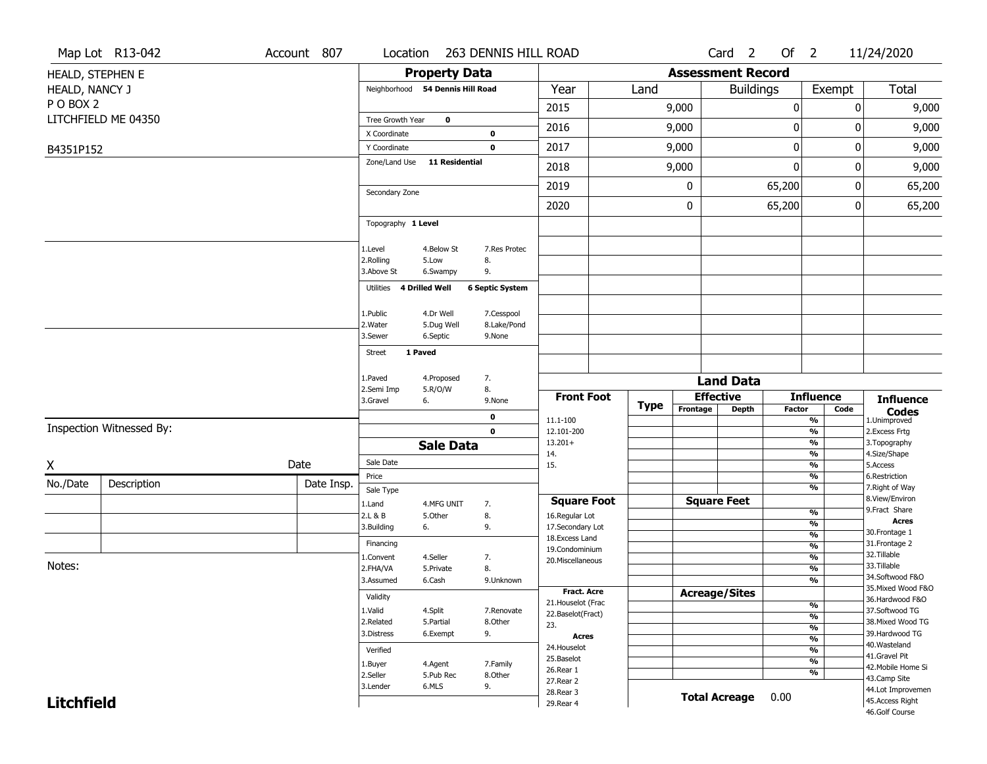|                   | Map Lot R13-042          | Account 807 | Location                                                       |                                 | 263 DENNIS HILL ROAD                               |                                         |             |                          | Card <sub>2</sub>    | Of $2$        |                                | 11/24/2020                            |
|-------------------|--------------------------|-------------|----------------------------------------------------------------|---------------------------------|----------------------------------------------------|-----------------------------------------|-------------|--------------------------|----------------------|---------------|--------------------------------|---------------------------------------|
|                   | HEALD, STEPHEN E         |             |                                                                | <b>Property Data</b>            |                                                    |                                         |             | <b>Assessment Record</b> |                      |               |                                |                                       |
| HEALD, NANCY J    |                          |             | Neighborhood 54 Dennis Hill Road                               |                                 |                                                    | Year                                    | Land        |                          | <b>Buildings</b>     |               | Exempt                         | <b>Total</b>                          |
| PO BOX 2          |                          |             |                                                                |                                 |                                                    | 2015                                    |             | 9,000                    |                      | $\pmb{0}$     |                                | 9,000<br>0                            |
|                   | LITCHFIELD ME 04350      |             | Tree Growth Year                                               | $\mathbf 0$                     |                                                    |                                         |             |                          |                      |               |                                |                                       |
|                   |                          |             | X Coordinate                                                   |                                 | $\mathbf 0$                                        | 2016                                    |             | 9,000                    |                      | $\mathbf 0$   |                                | 9,000<br>0                            |
| B4351P152         |                          |             | Y Coordinate                                                   |                                 | $\mathbf 0$                                        | 2017                                    |             | 9,000                    |                      | $\pmb{0}$     |                                | 0<br>9,000                            |
|                   |                          |             | Zone/Land Use                                                  | <b>11 Residential</b>           |                                                    | 2018                                    |             | 9,000                    |                      | $\mathbf 0$   |                                | 9,000<br>0                            |
|                   |                          |             | Secondary Zone                                                 |                                 |                                                    | 2019                                    |             | 0                        |                      | 65,200        |                                | 65,200<br>0                           |
|                   |                          |             |                                                                |                                 |                                                    | 2020                                    |             | 0                        |                      | 65,200        |                                | 0<br>65,200                           |
|                   |                          |             | Topography 1 Level                                             |                                 |                                                    |                                         |             |                          |                      |               |                                |                                       |
|                   |                          |             | 1.Level<br>2.Rolling<br>3.Above St<br>Utilities 4 Drilled Well | 4.Below St<br>5.Low<br>6.Swampy | 7.Res Protec<br>8.<br>9.<br><b>6 Septic System</b> |                                         |             |                          |                      |               |                                |                                       |
|                   |                          |             | 1.Public                                                       | 4.Dr Well                       | 7.Cesspool                                         |                                         |             |                          |                      |               |                                |                                       |
|                   |                          |             | 2. Water                                                       | 5.Dug Well                      | 8.Lake/Pond                                        |                                         |             |                          |                      |               |                                |                                       |
|                   |                          |             | 3.Sewer                                                        | 6.Septic                        | 9.None                                             |                                         |             |                          |                      |               |                                |                                       |
|                   |                          |             | 1 Paved<br><b>Street</b>                                       |                                 |                                                    |                                         |             |                          |                      |               |                                |                                       |
|                   |                          |             | 1.Paved                                                        | 4.Proposed                      | 7.                                                 |                                         |             |                          | <b>Land Data</b>     |               |                                |                                       |
|                   |                          |             | 2.Semi Imp<br>3.Gravel<br>6.                                   | 5.R/O/W                         | 8.<br>9.None                                       | <b>Front Foot</b>                       |             |                          | <b>Effective</b>     |               | <b>Influence</b>               | <b>Influence</b>                      |
|                   |                          |             |                                                                |                                 |                                                    |                                         | <b>Type</b> | Frontage                 | <b>Depth</b>         | <b>Factor</b> | Code                           | <b>Codes</b>                          |
|                   | Inspection Witnessed By: |             |                                                                |                                 | 0<br>$\mathbf 0$                                   | 11.1-100<br>12.101-200                  |             |                          |                      |               | %<br>$\frac{9}{6}$             | 1.Unimproved<br>2.Excess Frtg         |
|                   |                          |             |                                                                | <b>Sale Data</b>                |                                                    | $13.201+$                               |             |                          |                      |               | %                              | 3.Topography                          |
|                   |                          | Date        | Sale Date                                                      |                                 |                                                    | 14.                                     |             |                          |                      |               | %                              | 4.Size/Shape                          |
| Χ                 |                          |             | Price                                                          |                                 |                                                    | 15.                                     |             |                          |                      |               | %<br>%                         | 5.Access<br>6.Restriction             |
| No./Date          | Description              | Date Insp.  | Sale Type                                                      |                                 |                                                    |                                         |             |                          |                      |               | %                              | 7. Right of Way                       |
|                   |                          |             | 1.Land                                                         | 4.MFG UNIT                      | 7.                                                 | <b>Square Foot</b>                      |             |                          | <b>Square Feet</b>   |               |                                | 8.View/Environ<br>9. Fract Share      |
|                   |                          |             | 2.L & B<br>3.Building<br>6.                                    | 5.Other                         | 8.<br>9.                                           | 16.Regular Lot<br>17.Secondary Lot      |             |                          |                      |               | $\frac{9}{6}$<br>%             | <b>Acres</b>                          |
|                   |                          |             |                                                                |                                 |                                                    | 18. Excess Land                         |             |                          |                      |               | $\frac{9}{6}$                  | 30. Frontage 1                        |
|                   |                          |             | Financing                                                      | 4.Seller                        | 7.                                                 | 19.Condominium                          |             |                          |                      |               | $\frac{9}{6}$<br>$\frac{9}{6}$ | 31. Frontage 2<br>32.Tillable         |
| Notes:            |                          |             | 1.Convent<br>2.FHA/VA                                          | 5.Private                       | 8.                                                 | 20.Miscellaneous                        |             |                          |                      |               | $\overline{\frac{9}{6}}$       | 33.Tillable                           |
|                   |                          |             | 3.Assumed                                                      | 6.Cash                          | 9.Unknown                                          |                                         |             |                          |                      |               | $\frac{9}{6}$                  | 34.Softwood F&O                       |
|                   |                          |             | Validity                                                       |                                 |                                                    | <b>Fract. Acre</b>                      |             |                          | <b>Acreage/Sites</b> |               |                                | 35. Mixed Wood F&O<br>36.Hardwood F&O |
|                   |                          |             | 1.Valid                                                        | 4.Split                         | 7.Renovate                                         | 21. Houselot (Frac<br>22.Baselot(Fract) |             |                          |                      |               | %                              | 37.Softwood TG                        |
|                   |                          |             | 2.Related                                                      | 5.Partial                       | 8.Other                                            | 23.                                     |             |                          |                      |               | $\frac{9}{6}$                  | 38. Mixed Wood TG                     |
|                   |                          |             |                                                                |                                 |                                                    |                                         |             |                          |                      |               |                                |                                       |
|                   |                          |             | 3.Distress                                                     | 6.Exempt                        | 9.                                                 | <b>Acres</b>                            |             |                          |                      |               | $\frac{9}{6}$                  | 39.Hardwood TG                        |
|                   |                          |             | Verified                                                       |                                 |                                                    | 24. Houselot                            |             |                          |                      |               | %<br>%                         | 40. Wasteland                         |
|                   |                          |             |                                                                | 4.Agent                         | 7.Family                                           | 25.Baselot                              |             |                          |                      |               | %                              | 41.Gravel Pit                         |
|                   |                          |             | 1.Buyer<br>2.Seller                                            | 5.Pub Rec                       | 8.Other                                            | 26.Rear 1                               |             |                          |                      |               | %                              | 42. Mobile Home Si                    |
|                   |                          |             | 3.Lender                                                       | 6.MLS                           | 9.                                                 | 27.Rear 2                               |             |                          |                      |               |                                | 43.Camp Site<br>44.Lot Improvemen     |
| <b>Litchfield</b> |                          |             |                                                                |                                 |                                                    | 28. Rear 3<br>29. Rear 4                |             |                          | <b>Total Acreage</b> | 0.00          |                                | 45.Access Right<br>46.Golf Course     |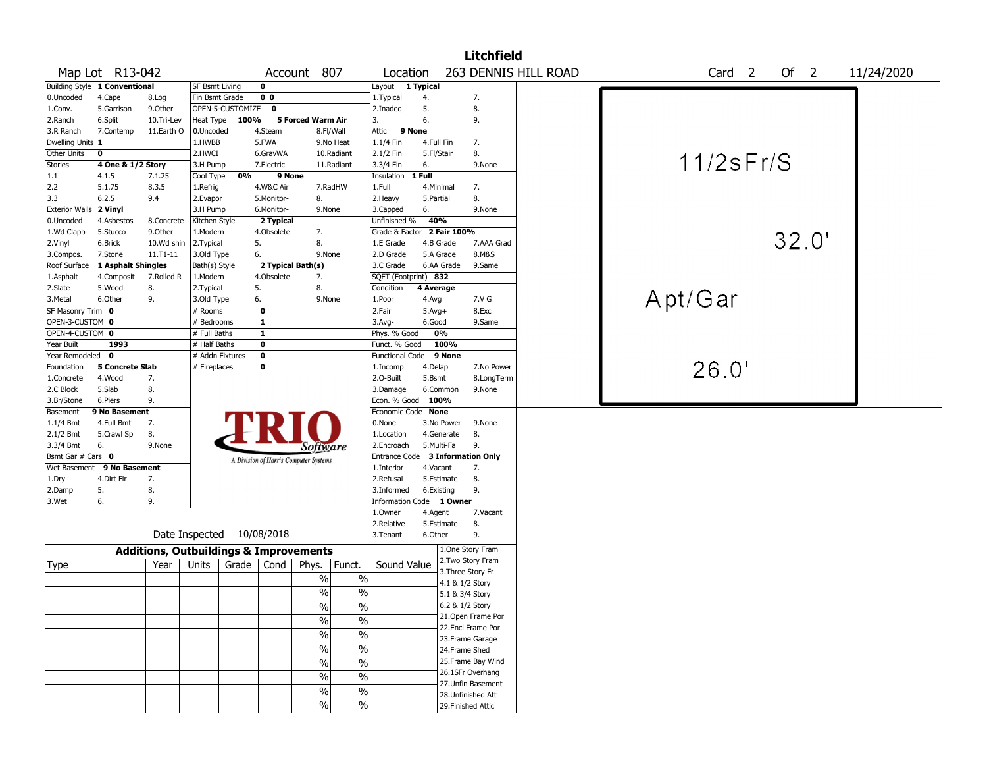|                        |                               |                                                   |                       |                    |                   |                                       |                          |                                  |            |                    | <b>Litchfield</b>  |                      |         |                   |        |            |  |
|------------------------|-------------------------------|---------------------------------------------------|-----------------------|--------------------|-------------------|---------------------------------------|--------------------------|----------------------------------|------------|--------------------|--------------------|----------------------|---------|-------------------|--------|------------|--|
|                        | Map Lot R13-042               |                                                   |                       |                    |                   | Account 807                           |                          | Location                         |            |                    |                    | 263 DENNIS HILL ROAD |         | Card <sub>2</sub> | Of $2$ | 11/24/2020 |  |
|                        | Building Style 1 Conventional |                                                   | <b>SF Bsmt Living</b> |                    | $\mathbf 0$       |                                       |                          | Layout                           | 1 Typical  |                    |                    |                      |         |                   |        |            |  |
| 0.Uncoded              | 4.Cape                        | 8.Log                                             | Fin Bsmt Grade        |                    | 0 <sub>0</sub>    |                                       |                          | 1. Typical                       | 4.         |                    | 7.                 |                      |         |                   |        |            |  |
| 1.Conv.                | 5.Garrison                    | 9.Other                                           |                       | OPEN-5-CUSTOMIZE 0 |                   |                                       |                          | 2.Inadeq                         | 5.         |                    | 8.                 |                      |         |                   |        |            |  |
| 2.Ranch                | 6.Split                       | 10.Tri-Lev                                        | Heat Type             | 100%               |                   | 5 Forced Warm Air                     |                          | 3.                               | 6.         |                    | 9.                 |                      |         |                   |        |            |  |
| 3.R Ranch              | 7.Contemp                     | 11.Earth O                                        | 0.Uncoded             |                    | 4.Steam           |                                       | 8.Fl/Wall                | 9 None<br>Attic                  |            |                    |                    |                      |         |                   |        |            |  |
| Dwelling Units 1       |                               |                                                   | 1.HWBB                |                    | 5.FWA             |                                       | 9.No Heat                | 1.1/4 Fin                        | 4.Full Fin |                    | 7.                 |                      |         |                   |        |            |  |
| Other Units            | 0                             |                                                   | 2.HWCI                |                    | 6.GravWA          |                                       | 10.Radiant               | 2.1/2 Fin                        | 5.Fl/Stair |                    | 8.                 |                      |         |                   |        |            |  |
| Stories                | 4 One & 1/2 Story             |                                                   | 3.H Pump              |                    | 7.Electric        |                                       | 11.Radiant               | 3.3/4 Fin                        | 6.         |                    | 9.None             |                      |         | $11/2$ s $Fr/S$   |        |            |  |
| $1.1\,$                | 4.1.5                         | 7.1.25                                            | Cool Type             | 0%                 | 9 None            |                                       |                          | Insulation                       | 1 Full     |                    |                    |                      |         |                   |        |            |  |
| 2.2                    | 5.1.75                        | 8.3.5                                             | 1.Refrig              |                    | 4.W&C Air         |                                       | 7.RadHW                  | 1.Full                           | 4.Minimal  |                    | 7.                 |                      |         |                   |        |            |  |
| 3.3                    | 6.2.5                         | 9.4                                               | 2.Evapor              |                    | 5.Monitor-        | 8.                                    |                          | 2. Heavy                         | 5.Partial  |                    | 8.                 |                      |         |                   |        |            |  |
| Exterior Walls 2 Vinyl |                               |                                                   | 3.H Pump              |                    | 6.Monitor-        | 9.None                                |                          | 3.Capped                         | 6.         |                    | 9.None             |                      |         |                   |        |            |  |
| 0.Uncoded              | 4.Asbestos                    | 8.Concrete                                        | Kitchen Style         |                    | 2 Typical         |                                       |                          | Unfinished %                     | 40%        |                    |                    |                      |         |                   |        |            |  |
| 1.Wd Clapb             | 5.Stucco                      | 9.Other                                           | 1.Modern              |                    | 4.Obsolete        | 7.                                    |                          | Grade & Factor 2 Fair 100%       |            |                    |                    |                      |         |                   |        |            |  |
| 2.Vinyl                | 6.Brick                       | 10.Wd shin                                        | 2.Typical             |                    | 5.                | 8.                                    |                          | 1.E Grade                        | 4.B Grade  |                    | 7.AAA Grad         |                      |         |                   | 32.0'  |            |  |
| 3.Compos.              | 7.Stone                       | 11.T1-11                                          | 3.Old Type            |                    | 6.                | 9.None                                |                          | 2.D Grade                        | 5.A Grade  |                    | 8.M&S              |                      |         |                   |        |            |  |
| Roof Surface           | 1 Asphalt Shingles            |                                                   | Bath(s) Style         |                    | 2 Typical Bath(s) |                                       |                          | 3.C Grade                        | 6.AA Grade |                    | 9.Same             |                      |         |                   |        |            |  |
| 1.Asphalt              | 4.Composit                    | 7.Rolled R                                        | 1.Modern              |                    | 4.Obsolete        | 7.                                    |                          | SQFT (Footprint) 832             |            |                    |                    |                      |         |                   |        |            |  |
| 2.Slate                | 5.Wood                        | 8.                                                | 2. Typical            |                    | 5.                | 8.                                    |                          | Condition                        | 4 Average  |                    |                    |                      |         |                   |        |            |  |
| 3.Metal                | 6.Other                       | 9.                                                | 3.Old Type            |                    | 6.                | 9.None                                |                          | 1.Poor                           | 4.Avg      |                    | 7.V G              |                      | Apt/Gar |                   |        |            |  |
| SF Masonry Trim 0      |                               |                                                   | # Rooms               |                    | $\mathbf 0$       |                                       |                          | 2.Fair                           | $5.Avg+$   |                    | 8.Exc              |                      |         |                   |        |            |  |
| OPEN-3-CUSTOM 0        |                               |                                                   | # Bedrooms            |                    | $\mathbf{1}$      |                                       |                          | 3.Avg-                           | 6.Good     |                    | 9.Same             |                      |         |                   |        |            |  |
| OPEN-4-CUSTOM 0        |                               |                                                   | # Full Baths          |                    | $\mathbf{1}$      |                                       |                          | Phys. % Good                     | 0%         |                    |                    |                      |         |                   |        |            |  |
| Year Built             | 1993                          |                                                   | # Half Baths          |                    | 0                 |                                       |                          | Funct. % Good                    |            | 100%               |                    |                      |         |                   |        |            |  |
| Year Remodeled 0       |                               |                                                   | # Addn Fixtures       |                    | $\mathbf 0$       |                                       |                          | Functional Code                  |            | 9 None             |                    |                      |         |                   |        |            |  |
| Foundation             | <b>5 Concrete Slab</b>        |                                                   | # Fireplaces          |                    | 0                 |                                       |                          | 1.Incomp                         | 4.Delap    |                    | 7.No Power         |                      |         | 26.0'             |        |            |  |
| 1.Concrete             | 4.Wood                        | 7.                                                |                       |                    |                   |                                       |                          | 2.0-Built                        | 5.Bsmt     |                    | 8.LongTerm         |                      |         |                   |        |            |  |
| 2.C Block              | 5.Slab                        | 8.                                                |                       |                    |                   |                                       |                          | 3.Damage                         | 6.Common   |                    | 9.None             |                      |         |                   |        |            |  |
| 3.Br/Stone             | 6.Piers                       | 9.                                                |                       |                    |                   |                                       |                          | Econ. % Good                     | 100%       |                    |                    |                      |         |                   |        |            |  |
| Basement               | 9 No Basement                 |                                                   |                       |                    |                   |                                       |                          | Economic Code None               |            |                    |                    |                      |         |                   |        |            |  |
| $1.1/4$ Bmt            | 4.Full Bmt                    | 7.                                                |                       |                    |                   |                                       |                          | 0.None                           | 3.No Power |                    | 9.None             |                      |         |                   |        |            |  |
| 2.1/2 Bmt              | 5.Crawl Sp                    | 8.                                                |                       |                    |                   |                                       |                          | 1.Location                       | 4.Generate |                    | 8.                 |                      |         |                   |        |            |  |
| 3.3/4 Bmt              | 6.                            | 9.None                                            |                       |                    |                   | <i>Software</i>                       |                          | 2.Encroach                       | 5.Multi-Fa |                    | 9.                 |                      |         |                   |        |            |  |
| Bsmt Gar # Cars 0      |                               |                                                   |                       |                    |                   | A Division of Harris Computer Systems |                          | Entrance Code 3 Information Only |            |                    |                    |                      |         |                   |        |            |  |
| Wet Basement           | 9 No Basement                 |                                                   |                       |                    |                   |                                       |                          | 1.Interior                       | 4.Vacant   |                    | 7.                 |                      |         |                   |        |            |  |
| 1.Dry                  | 4.Dirt Flr                    | 7.                                                |                       |                    |                   |                                       |                          | 2.Refusal                        | 5.Estimate |                    | 8.                 |                      |         |                   |        |            |  |
| 2.Damp                 | 5.                            | 8.                                                |                       |                    |                   |                                       |                          | 3.Informed                       | 6.Existing |                    | 9.                 |                      |         |                   |        |            |  |
| 3.Wet                  | 6.                            | 9.                                                |                       |                    |                   |                                       |                          | Information Code 1 Owner         |            |                    |                    |                      |         |                   |        |            |  |
|                        |                               |                                                   |                       |                    |                   |                                       |                          | 1.Owner                          | 4.Agent    |                    | 7.Vacant           |                      |         |                   |        |            |  |
|                        |                               |                                                   |                       |                    |                   |                                       |                          | 2.Relative                       | 5.Estimate |                    | 8.                 |                      |         |                   |        |            |  |
|                        |                               | Date Inspected 10/08/2018                         |                       |                    |                   |                                       |                          | 3.Tenant                         | 6.Other    |                    | 9.                 |                      |         |                   |        |            |  |
|                        |                               | <b>Additions, Outbuildings &amp; Improvements</b> |                       |                    |                   |                                       |                          |                                  |            |                    | 1.One Story Fram   |                      |         |                   |        |            |  |
| Type                   |                               | Year                                              | Units                 | Grade              | Cond              | Phys.                                 | Funct.                   | Sound Value                      |            |                    | 2. Two Story Fram  |                      |         |                   |        |            |  |
|                        |                               |                                                   |                       |                    |                   |                                       |                          |                                  |            | 3. Three Story Fr  |                    |                      |         |                   |        |            |  |
|                        |                               |                                                   |                       |                    |                   | $\%$                                  | $\%$                     |                                  |            | 4.1 & 1/2 Story    |                    |                      |         |                   |        |            |  |
|                        |                               |                                                   |                       |                    |                   | $\%$                                  | $\%$                     |                                  |            | 5.1 & 3/4 Story    |                    |                      |         |                   |        |            |  |
|                        |                               |                                                   |                       |                    |                   | $\%$                                  | $\sqrt{6}$               |                                  |            | 6.2 & 1/2 Story    |                    |                      |         |                   |        |            |  |
|                        |                               |                                                   |                       |                    |                   | $\%$                                  | $\overline{\frac{0}{6}}$ |                                  |            |                    | 21. Open Frame Por |                      |         |                   |        |            |  |
|                        |                               |                                                   |                       |                    |                   |                                       |                          |                                  |            |                    | 22.Encl Frame Por  |                      |         |                   |        |            |  |
|                        |                               |                                                   |                       |                    |                   | $\%$                                  | $\%$                     |                                  |            |                    | 23.Frame Garage    |                      |         |                   |        |            |  |
|                        |                               |                                                   |                       |                    |                   | $\%$                                  | $\frac{1}{2}$            |                                  |            | 24.Frame Shed      |                    |                      |         |                   |        |            |  |
|                        |                               |                                                   |                       |                    |                   | $\%$                                  | $\frac{1}{2}$            |                                  |            |                    | 25. Frame Bay Wind |                      |         |                   |        |            |  |
|                        |                               |                                                   |                       |                    |                   | $\%$                                  | $\frac{1}{2}$            |                                  |            |                    | 26.1SFr Overhang   |                      |         |                   |        |            |  |
|                        |                               |                                                   |                       |                    |                   |                                       |                          |                                  |            |                    | 27.Unfin Basement  |                      |         |                   |        |            |  |
|                        |                               |                                                   |                       |                    |                   | $\%$                                  | $\frac{0}{6}$            |                                  |            |                    | 28. Unfinished Att |                      |         |                   |        |            |  |
|                        |                               |                                                   |                       |                    |                   | $\%$                                  | $\frac{0}{6}$            |                                  |            | 29. Finished Attic |                    |                      |         |                   |        |            |  |
|                        |                               |                                                   |                       |                    |                   |                                       |                          |                                  |            |                    |                    |                      |         |                   |        |            |  |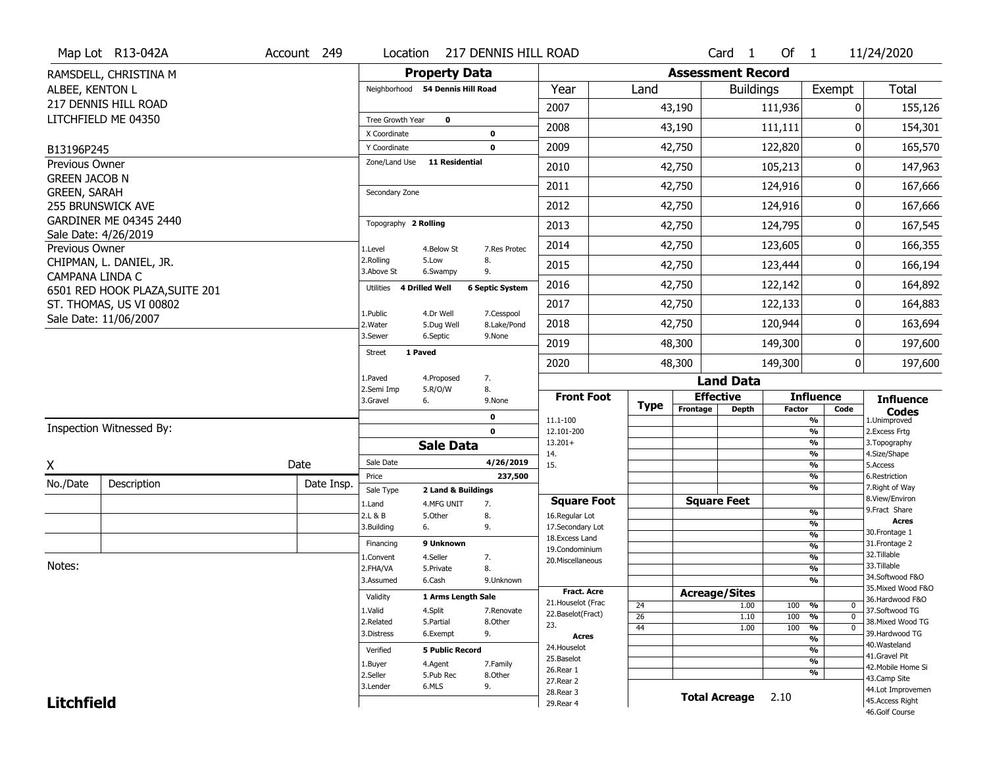|                                             | Map Lot R13-042A               | Account 249 | Location                         | 217 DENNIS HILL ROAD              |                                      |             |                          | Card <sub>1</sub>    | Of $1$        |                                | 11/24/2020                           |
|---------------------------------------------|--------------------------------|-------------|----------------------------------|-----------------------------------|--------------------------------------|-------------|--------------------------|----------------------|---------------|--------------------------------|--------------------------------------|
|                                             | RAMSDELL, CHRISTINA M          |             |                                  | <b>Property Data</b>              |                                      |             | <b>Assessment Record</b> |                      |               |                                |                                      |
| ALBEE, KENTON L                             |                                |             | Neighborhood 54 Dennis Hill Road |                                   | Year                                 | Land        |                          | <b>Buildings</b>     |               | Exempt                         | <b>Total</b>                         |
|                                             | 217 DENNIS HILL ROAD           |             |                                  |                                   | 2007                                 |             | 43,190                   |                      | 111,936       | 0                              | 155,126                              |
|                                             | LITCHFIELD ME 04350            |             | Tree Growth Year                 | $\mathbf 0$                       | 2008                                 |             | 43,190                   |                      |               | 0                              |                                      |
|                                             |                                |             | X Coordinate                     | 0                                 |                                      |             |                          |                      | 111,111       |                                | 154,301                              |
| B13196P245                                  |                                |             | Y Coordinate                     | $\mathbf 0$                       | 2009                                 |             | 42,750                   |                      | 122,820       | 0                              | 165,570                              |
| Previous Owner                              |                                |             | Zone/Land Use                    | <b>11 Residential</b>             | 2010                                 |             | 42,750                   |                      | 105,213       | 0                              | 147,963                              |
| <b>GREEN JACOB N</b><br><b>GREEN, SARAH</b> |                                |             | Secondary Zone                   |                                   | 2011                                 |             | 42,750                   |                      | 124,916       | 0                              | 167,666                              |
|                                             | 255 BRUNSWICK AVE              |             |                                  |                                   | 2012                                 |             | 42,750                   |                      | 124,916       | $\mathbf 0$                    | 167,666                              |
|                                             | GARDINER ME 04345 2440         |             | Topography 2 Rolling             |                                   | 2013                                 |             | 42,750                   |                      | 124,795       | 0                              | 167,545                              |
|                                             | Sale Date: 4/26/2019           |             |                                  |                                   | 2014                                 |             | 42,750                   |                      | 123,605       | 0                              | 166,355                              |
| Previous Owner                              | CHIPMAN, L. DANIEL, JR.        |             | 1.Level<br>2.Rolling<br>5.Low    | 7.Res Protec<br>4.Below St<br>8.  |                                      |             |                          |                      |               |                                |                                      |
| CAMPANA LINDA C                             |                                |             | 3.Above St                       | 9.<br>6.Swampy                    | 2015                                 |             | 42,750                   |                      | 123,444       | 0                              | 166,194                              |
|                                             | 6501 RED HOOK PLAZA, SUITE 201 |             | 4 Drilled Well<br>Utilities      | <b>6 Septic System</b>            | 2016                                 |             | 42,750                   |                      | 122,142       | 0                              | 164,892                              |
|                                             | ST. THOMAS, US VI 00802        |             | 1.Public                         | 4.Dr Well<br>7.Cesspool           | 2017                                 |             | 42,750                   |                      | 122,133       | 0                              | 164,883                              |
|                                             | Sale Date: 11/06/2007          |             | 2. Water                         | 8.Lake/Pond<br>5.Dug Well         | 2018                                 |             | 42,750                   |                      | 120,944       | 0                              | 163,694                              |
|                                             |                                |             | 3.Sewer                          | 6.Septic<br>9.None                | 2019                                 |             | 48,300                   |                      | 149,300       | 0                              | 197,600                              |
|                                             |                                |             | 1 Paved<br><b>Street</b>         |                                   | 2020                                 |             | 48,300                   |                      | 149,300       | $\overline{0}$                 | 197,600                              |
|                                             |                                |             | 1.Paved                          | 7.<br>4.Proposed                  |                                      |             |                          | <b>Land Data</b>     |               |                                |                                      |
|                                             |                                |             | 2.Semi Imp<br>3.Gravel<br>6.     | 8.<br>5.R/O/W<br>9.None           | <b>Front Foot</b>                    |             |                          | <b>Effective</b>     |               | <b>Influence</b>               | <b>Influence</b>                     |
|                                             |                                |             |                                  | $\mathbf 0$                       |                                      | <b>Type</b> | Frontage                 | <b>Depth</b>         | <b>Factor</b> | Code                           | <b>Codes</b>                         |
|                                             | Inspection Witnessed By:       |             |                                  | $\mathbf 0$                       | 11.1-100<br>12.101-200               |             |                          |                      |               | %<br>$\frac{9}{6}$             | 1.Unimproved<br>2. Excess Frtg       |
|                                             |                                |             |                                  | <b>Sale Data</b>                  | $13.201+$                            |             |                          |                      |               | $\frac{9}{6}$                  | 3. Topography                        |
| X                                           |                                | Date        | Sale Date                        | 4/26/2019                         | 14.<br>15.                           |             |                          |                      |               | $\frac{9}{6}$<br>$\frac{9}{6}$ | 4.Size/Shape<br>5.Access             |
| No./Date                                    | Description                    | Date Insp.  | Price                            | 237,500                           |                                      |             |                          |                      |               | %                              | 6.Restriction                        |
|                                             |                                |             | Sale Type                        | 2 Land & Buildings                |                                      |             |                          | <b>Square Feet</b>   |               | %                              | 7. Right of Way<br>8.View/Environ    |
|                                             |                                |             | 1.Land<br>2.L & B                | 7.<br>4.MFG UNIT<br>5.Other<br>8. | <b>Square Foot</b><br>16.Regular Lot |             |                          |                      |               | $\frac{9}{6}$                  | 9. Fract Share                       |
|                                             |                                |             | 3.Building<br>6.                 | 9.                                | 17.Secondary Lot                     |             |                          |                      |               | $\frac{9}{6}$                  | <b>Acres</b>                         |
|                                             |                                |             | Financing                        | 9 Unknown                         | 18. Excess Land                      |             |                          |                      |               | $\frac{9}{6}$                  | 30.Frontage 1<br>31. Frontage 2      |
|                                             |                                |             | 1.Convent                        | 4.Seller<br>7.                    | 19.Condominium                       |             |                          |                      |               | $\frac{9}{6}$<br>$\frac{9}{6}$ | 32.Tillable                          |
| Notes:                                      |                                |             | 2.FHA/VA                         | 8.<br>5.Private                   | 20.Miscellaneous                     |             |                          |                      |               | $\frac{9}{6}$                  | 33.Tillable                          |
|                                             |                                |             | 3.Assumed                        | 6.Cash<br>9.Unknown               |                                      |             |                          |                      |               | $\overline{\frac{9}{6}}$       | 34.Softwood F&O                      |
|                                             |                                |             | Validity                         | 1 Arms Length Sale                | <b>Fract. Acre</b>                   |             | <b>Acreage/Sites</b>     |                      |               |                                | 35. Mixed Wood F&O                   |
|                                             |                                |             | 1.Valid<br>4.Split               | 7.Renovate                        | 21. Houselot (Frac                   | 24          |                          | 1.00                 | 100           | %<br>$\mathbf 0$               | 36.Hardwood F&O<br>37.Softwood TG    |
|                                             |                                |             | 2.Related                        | 5.Partial<br>8.Other              | 22.Baselot(Fract)                    | 26          |                          | 1.10                 | 100           | %<br>$\mathbf{0}$              | 38. Mixed Wood TG                    |
|                                             |                                |             | 3.Distress                       | 9.<br>6.Exempt                    | 23.                                  | 44          |                          | 1.00                 | 100           | %<br>$\mathbf 0$               | 39.Hardwood TG                       |
|                                             |                                |             |                                  |                                   | <b>Acres</b><br>24. Houselot         |             |                          |                      |               | %                              | 40. Wasteland                        |
|                                             |                                |             | Verified                         | <b>5 Public Record</b>            | 25.Baselot                           |             |                          |                      |               | %<br>$\frac{9}{6}$             | 41.Gravel Pit                        |
|                                             |                                |             | 1.Buyer                          | 4.Agent<br>7.Family               | 26.Rear 1                            |             |                          |                      |               | %                              | 42. Mobile Home Si                   |
|                                             |                                |             | 2.Seller<br>6.MLS                | 5.Pub Rec<br>8.Other<br>9.        | 27. Rear 2                           |             |                          |                      |               |                                | 43.Camp Site                         |
|                                             |                                |             | 3.Lender                         |                                   |                                      |             |                          |                      |               |                                |                                      |
| <b>Litchfield</b>                           |                                |             |                                  |                                   | 28. Rear 3<br>29. Rear 4             |             |                          | <b>Total Acreage</b> | 2.10          |                                | 44.Lot Improvemen<br>45.Access Right |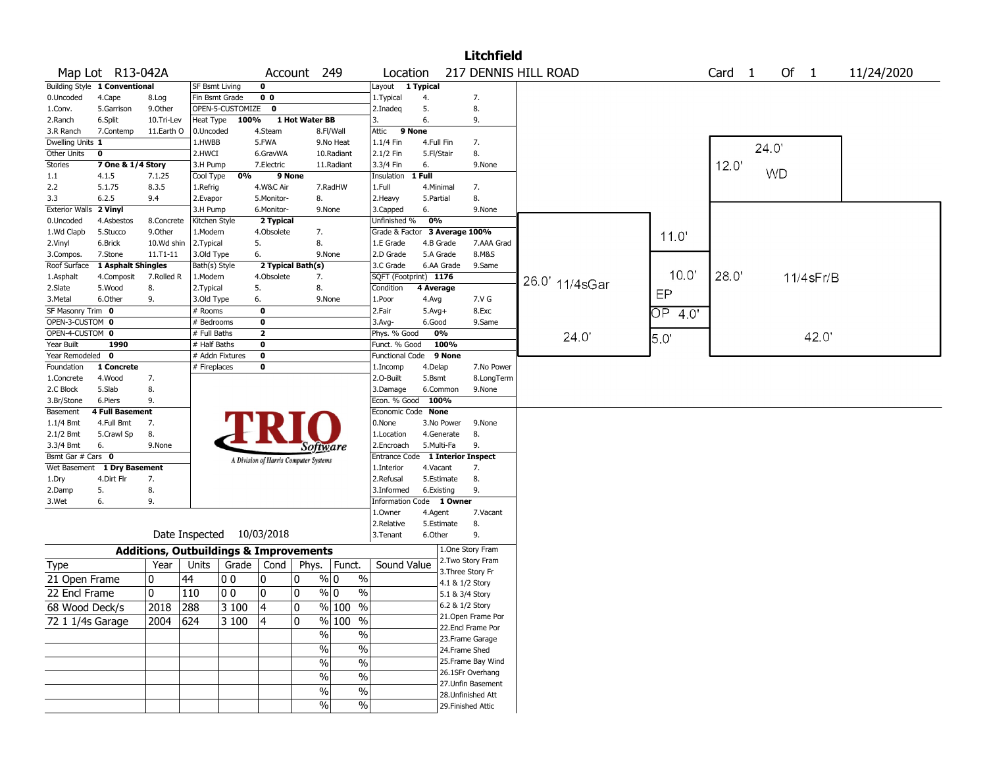|                          |                                      |                                                   |                       |                  |                |                                       |                          |                              |            |                 | <b>Litchfield</b>  |                      |      |               |                   |       |                 |            |
|--------------------------|--------------------------------------|---------------------------------------------------|-----------------------|------------------|----------------|---------------------------------------|--------------------------|------------------------------|------------|-----------------|--------------------|----------------------|------|---------------|-------------------|-------|-----------------|------------|
|                          | Map Lot R13-042A                     |                                                   |                       |                  |                | Account 249                           |                          | Location                     |            |                 |                    | 217 DENNIS HILL ROAD |      |               | Card <sub>1</sub> |       | Of $1$          | 11/24/2020 |
|                          | Building Style 1 Conventional        |                                                   | <b>SF Bsmt Living</b> |                  | $\mathbf 0$    |                                       |                          | Layout                       | 1 Typical  |                 |                    |                      |      |               |                   |       |                 |            |
| 0.Uncoded                | 4.Cape                               | 8.Log                                             | Fin Bsmt Grade        |                  | 0 <sub>0</sub> |                                       |                          | 1. Typical                   | 4.         |                 | 7.                 |                      |      |               |                   |       |                 |            |
| 1.Conv.                  | 5.Garrison                           | 9.0ther                                           |                       | OPEN-5-CUSTOMIZE | $\mathbf 0$    |                                       |                          | 2.Inadeg                     | 5.         |                 | 8.                 |                      |      |               |                   |       |                 |            |
| 2.Ranch                  | 6.Split                              | 10.Tri-Lev                                        | Heat Type             | 100%             |                | 1 Hot Water BB                        |                          | 3.                           | 6.         |                 | 9.                 |                      |      |               |                   |       |                 |            |
| 3.R Ranch                | 7.Contemp                            | 11.Earth O                                        | 0.Uncoded             |                  | 4.Steam        |                                       | 8.Fl/Wall                | 9 None<br>Attic              |            |                 |                    |                      |      |               |                   |       |                 |            |
| Dwelling Units 1         |                                      |                                                   | 1.HWBB                |                  | 5.FWA          |                                       | 9.No Heat                | 1.1/4 Fin                    | 4.Full Fin |                 | 7.                 |                      |      |               |                   | 24.0' |                 |            |
| Other Units              | $\mathbf 0$                          |                                                   | 2.HWCI                |                  | 6.GravWA       |                                       | 10.Radiant               | 2.1/2 Fin                    | 5.Fl/Stair |                 | 8.                 |                      |      |               |                   |       |                 |            |
| Stories                  | 7 One & 1/4 Story                    |                                                   | 3.H Pump              |                  | 7.Electric     |                                       | 11.Radiant               | 3.3/4 Fin                    | 6.         |                 | 9.None             |                      |      |               | 12.0              |       |                 |            |
| 1.1                      | 4.1.5                                | 7.1.25                                            | Cool Type             | 0%               |                | 9 None                                |                          | Insulation                   | 1 Full     |                 |                    |                      |      |               |                   |       | <b>WD</b>       |            |
| 2.2                      | 5.1.75                               | 8.3.5                                             | 1.Refrig              |                  | 4.W&C Air      |                                       | 7.RadHW                  | 1.Full                       | 4.Minimal  |                 | 7.                 |                      |      |               |                   |       |                 |            |
| 3.3                      | 6.2.5                                | 9.4                                               | 2.Evapor              |                  | 5.Monitor-     | 8.                                    |                          | 2.Heavy                      | 5.Partial  |                 | 8.                 |                      |      |               |                   |       |                 |            |
| <b>Exterior Walls</b>    | 2 Vinyl                              |                                                   | 3.H Pump              |                  | 6.Monitor-     | 9.None                                |                          | 3.Capped                     | 6.         |                 | 9.None             |                      |      |               |                   |       |                 |            |
| 0.Uncoded                | 4.Asbestos                           | 8.Concrete                                        | Kitchen Style         |                  | 2 Typical      |                                       |                          | Unfinished %                 | 0%         |                 |                    |                      |      |               |                   |       |                 |            |
| 1.Wd Clapb               | 5.Stucco                             | 9.Other                                           | 1.Modern              |                  | 4.Obsolete     | 7.                                    |                          | Grade & Factor               |            |                 | 3 Average 100%     |                      |      | 11.0'         |                   |       |                 |            |
| 2.Vinyl                  | 6.Brick                              | 10.Wd shin                                        | 2. Typical            |                  | 5.             | 8.                                    |                          | 1.E Grade                    |            | 4.B Grade       | 7.AAA Grad         |                      |      |               |                   |       |                 |            |
| 3.Compos.                | 7.Stone                              | $11.71 - 11$                                      | 3.Old Type            |                  | 6.             | 9.None                                |                          | 2.D Grade                    |            | 5.A Grade       | 8.M&S              |                      |      |               |                   |       |                 |            |
| Roof Surface             | 1 Asphalt Shingles                   |                                                   | Bath(s) Style         |                  |                | 2 Typical Bath(s)                     |                          | 3.C Grade                    |            | 6.AA Grade      | 9.Same             |                      |      |               |                   |       |                 |            |
| 1.Asphalt                | 4.Composit                           | 7.Rolled R                                        | 1.Modern              |                  | 4.Obsolete     | 7.                                    |                          | SQFT (Footprint) 1176        |            |                 |                    | 26.0' 11/4sGar       |      | 10.0'         | 28.0'             |       | $11/4$ s $Fr/B$ |            |
| 2.Slate                  | 5.Wood                               | 8.                                                | 2. Typical            |                  | 5.             | 8.                                    |                          | Condition                    | 4 Average  |                 |                    |                      |      | EP            |                   |       |                 |            |
| 3.Metal                  | 6.Other                              | 9.                                                | 3.Old Type            |                  | 6.             | 9.None                                |                          | 1.Poor                       | 4.Avg      |                 | 7.V G              |                      |      |               |                   |       |                 |            |
| SF Masonry Trim 0        |                                      |                                                   | # Rooms               |                  | $\mathbf 0$    |                                       |                          | 2.Fair                       | $5.Avg+$   |                 | 8.Exc              |                      |      | ОP<br>40      |                   |       |                 |            |
| OPEN-3-CUSTOM 0          |                                      |                                                   | # Bedrooms            |                  | 0              |                                       |                          | $3.$ Avg-                    | 6.Good     |                 | 9.Same             |                      |      |               |                   |       |                 |            |
| OPEN-4-CUSTOM 0          |                                      |                                                   | # Full Baths          |                  | $\overline{2}$ |                                       |                          | Phys. % Good                 |            | 0%              |                    |                      | 24.0 | $5.0^{\circ}$ |                   |       | 42.0            |            |
| Year Built               | 1990                                 |                                                   | # Half Baths          |                  | $\mathbf 0$    |                                       |                          | Funct. % Good                |            | 100%            |                    |                      |      |               |                   |       |                 |            |
| Year Remodeled 0         |                                      |                                                   | # Addn Fixtures       |                  | $\mathbf 0$    |                                       |                          | <b>Functional Code</b>       |            | 9 None          |                    |                      |      |               |                   |       |                 |            |
| Foundation               | 1 Concrete                           |                                                   | # Fireplaces          |                  | 0              |                                       |                          | 1.Incomp                     | 4.Delap    |                 | 7.No Power         |                      |      |               |                   |       |                 |            |
| 1.Concrete               | 4.Wood                               | 7.                                                |                       |                  |                |                                       |                          | 2.0-Built                    | 5.Bsmt     |                 | 8.LongTerm         |                      |      |               |                   |       |                 |            |
| 2.C Block                | 5.Slab                               | 8.                                                |                       |                  |                |                                       |                          | 3.Damage                     |            | 6.Common        | 9.None             |                      |      |               |                   |       |                 |            |
| 3.Br/Stone               | 6.Piers                              | 9.                                                |                       |                  |                |                                       |                          | Econ. % Good                 | 100%       |                 |                    |                      |      |               |                   |       |                 |            |
| Basement                 | <b>4 Full Basement</b><br>4.Full Bmt | 7.                                                |                       |                  |                |                                       |                          | Economic Code None<br>0.None |            | 3.No Power      | 9.None             |                      |      |               |                   |       |                 |            |
| $1.1/4$ Bmt              | 5.Crawl Sp                           | 8.                                                |                       |                  |                |                                       |                          | 1.Location                   |            | 4.Generate      | 8.                 |                      |      |               |                   |       |                 |            |
| $2.1/2$ Bmt<br>3.3/4 Bmt | 6.                                   | 9.None                                            |                       |                  |                |                                       |                          | 2.Encroach                   | 5.Multi-Fa |                 | 9.                 |                      |      |               |                   |       |                 |            |
| Bsmt Gar # Cars 0        |                                      |                                                   |                       |                  |                | Software                              |                          | <b>Entrance Code</b>         |            |                 | 1 Interior Inspect |                      |      |               |                   |       |                 |            |
| Wet Basement             | 1 Dry Basement                       |                                                   |                       |                  |                | A Division of Harris Computer Systems |                          | 1.Interior                   | 4.Vacant   |                 | 7.                 |                      |      |               |                   |       |                 |            |
| 1.Dry                    | 4.Dirt Flr                           | 7.                                                |                       |                  |                |                                       |                          | 2.Refusal                    |            | 5.Estimate      | 8.                 |                      |      |               |                   |       |                 |            |
| 2.Damp                   | 5.                                   | 8.                                                |                       |                  |                |                                       |                          | 3.Informed                   | 6.Existing |                 | 9.                 |                      |      |               |                   |       |                 |            |
| 3.Wet                    | 6.                                   | 9.                                                |                       |                  |                |                                       |                          | Information Code 1 Owner     |            |                 |                    |                      |      |               |                   |       |                 |            |
|                          |                                      |                                                   |                       |                  |                |                                       |                          | 1.0wner                      | 4.Agent    |                 | 7.Vacant           |                      |      |               |                   |       |                 |            |
|                          |                                      |                                                   |                       |                  |                |                                       |                          | 2.Relative                   |            | 5.Estimate      | 8.                 |                      |      |               |                   |       |                 |            |
|                          |                                      |                                                   | Date Inspected        |                  | 10/03/2018     |                                       |                          | 3.Tenant                     | 6.Other    |                 | 9.                 |                      |      |               |                   |       |                 |            |
|                          |                                      |                                                   |                       |                  |                |                                       |                          |                              |            |                 | 1.One Story Fram   |                      |      |               |                   |       |                 |            |
|                          |                                      | <b>Additions, Outbuildings &amp; Improvements</b> |                       |                  |                |                                       |                          |                              |            |                 | 2. Two Story Fram  |                      |      |               |                   |       |                 |            |
| Type                     |                                      | Year                                              | Units                 | Grade            | Cond           | Phys.                                 | Funct.                   | Sound Value                  |            |                 | 3. Three Story Fr  |                      |      |               |                   |       |                 |            |
| 21 Open Frame            |                                      | 0                                                 | 44                    | 00               | 10             | 0                                     | % 0<br>$\%$              |                              |            | 4.1 & 1/2 Story |                    |                      |      |               |                   |       |                 |            |
| 22 Encl Frame            |                                      | 0                                                 | 110                   | 0 <sub>0</sub>   | 10             | 0                                     | $\frac{9}{0}$ 0<br>$\%$  |                              |            | 5.1 & 3/4 Story |                    |                      |      |               |                   |       |                 |            |
|                          |                                      |                                                   |                       | 3 100            | 4              | 0                                     |                          |                              |            | 6.2 & 1/2 Story |                    |                      |      |               |                   |       |                 |            |
| 68 Wood Deck/s           |                                      | 2018 288                                          |                       |                  |                |                                       | $%$  100 %               |                              |            |                 | 21. Open Frame Por |                      |      |               |                   |       |                 |            |
| 72 1 1/4s Garage         |                                      | $2004$ 624                                        |                       | 3 100            | 14             | 0                                     | $\frac{9}{6}$ 100 %      |                              |            |                 | 22.Encl Frame Por  |                      |      |               |                   |       |                 |            |
|                          |                                      |                                                   |                       |                  |                | $\frac{1}{2}$                         | $\%$                     |                              |            |                 | 23. Frame Garage   |                      |      |               |                   |       |                 |            |
|                          |                                      |                                                   |                       |                  |                | $\frac{9}{6}$                         | $\overline{\frac{0}{0}}$ |                              |            | 24.Frame Shed   |                    |                      |      |               |                   |       |                 |            |
|                          |                                      |                                                   |                       |                  |                | $\frac{1}{2}$                         | $\%$                     |                              |            |                 | 25. Frame Bay Wind |                      |      |               |                   |       |                 |            |
|                          |                                      |                                                   |                       |                  |                |                                       |                          |                              |            |                 | 26.1SFr Overhang   |                      |      |               |                   |       |                 |            |
|                          |                                      |                                                   |                       |                  |                | $\frac{0}{0}$                         | $\%$                     |                              |            |                 | 27.Unfin Basement  |                      |      |               |                   |       |                 |            |
|                          |                                      |                                                   |                       |                  |                | $\%$                                  | $\%$                     |                              |            |                 | 28. Unfinished Att |                      |      |               |                   |       |                 |            |
|                          |                                      |                                                   |                       |                  |                | $\%$                                  | $\sqrt{6}$               |                              |            |                 | 29. Finished Attic |                      |      |               |                   |       |                 |            |
|                          |                                      |                                                   |                       |                  |                |                                       |                          |                              |            |                 |                    |                      |      |               |                   |       |                 |            |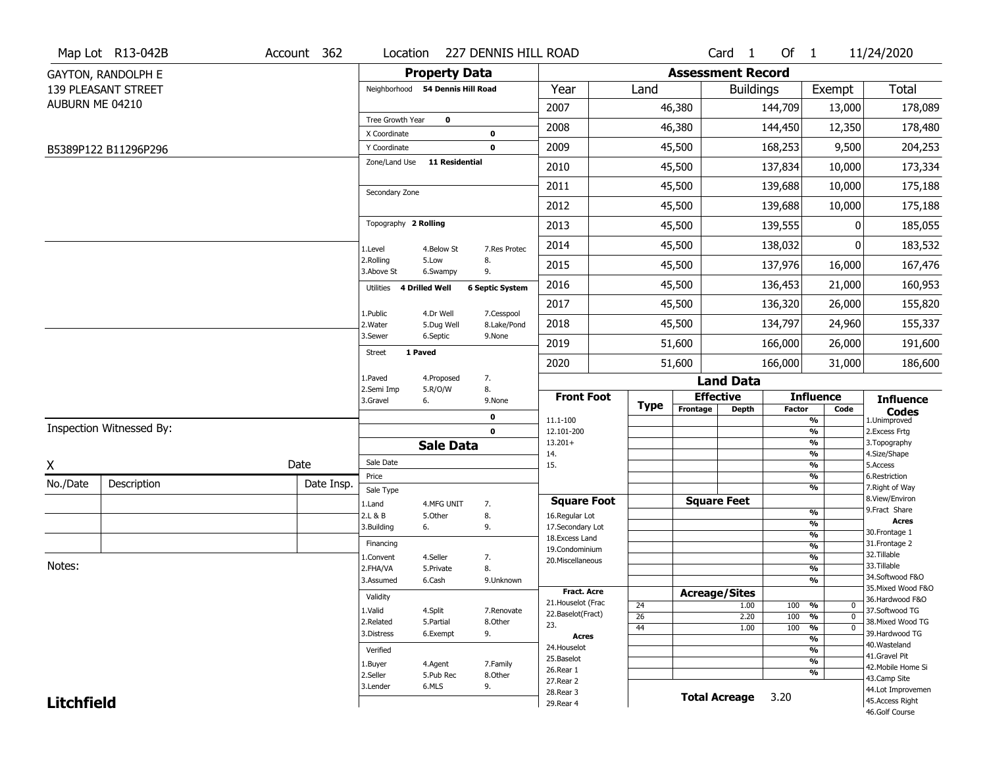|                   | Map Lot R13-042B          | Account 362 | Location                         |                       | 227 DENNIS HILL ROAD     |                                   |  |                      |                          | Card <sub>1</sub>    | Of $1$            |                                      | 11/24/2020                       |
|-------------------|---------------------------|-------------|----------------------------------|-----------------------|--------------------------|-----------------------------------|--|----------------------|--------------------------|----------------------|-------------------|--------------------------------------|----------------------------------|
|                   | <b>GAYTON, RANDOLPH E</b> |             |                                  | <b>Property Data</b>  |                          |                                   |  |                      | <b>Assessment Record</b> |                      |                   |                                      |                                  |
|                   | 139 PLEASANT STREET       |             | Neighborhood 54 Dennis Hill Road |                       |                          | Year                              |  | Land                 |                          | <b>Buildings</b>     |                   | Exempt                               | <b>Total</b>                     |
| AUBURN ME 04210   |                           |             |                                  |                       |                          | 2007                              |  |                      | 46,380                   |                      | 144,709           | 13,000                               | 178,089                          |
|                   |                           |             | Tree Growth Year                 | $\mathbf 0$           |                          | 2008                              |  |                      | 46,380                   |                      | 144,450           | 12,350                               | 178,480                          |
|                   | B5389P122 B11296P296      |             | X Coordinate<br>Y Coordinate     |                       | $\pmb{0}$<br>$\mathbf 0$ | 2009                              |  |                      | 45,500                   |                      | 168,253           | 9,500                                | 204,253                          |
|                   |                           |             | Zone/Land Use                    | <b>11 Residential</b> |                          | 2010                              |  |                      | 45,500                   |                      | 137,834           | 10,000                               | 173,334                          |
|                   |                           |             |                                  |                       |                          |                                   |  |                      |                          |                      |                   |                                      |                                  |
|                   |                           |             | Secondary Zone                   |                       |                          | 2011                              |  |                      | 45,500                   |                      | 139,688           | 10,000                               | 175,188                          |
|                   |                           |             |                                  |                       |                          | 2012                              |  |                      | 45,500                   |                      | 139,688           | 10,000                               | 175,188                          |
|                   |                           |             | Topography 2 Rolling             |                       |                          | 2013                              |  |                      | 45,500                   |                      | 139,555           | 0                                    | 185,055                          |
|                   |                           |             | 1.Level                          | 4.Below St            | 7.Res Protec             | 2014                              |  |                      | 45,500                   |                      | 138,032           | 0                                    | 183,532                          |
|                   |                           |             | 2.Rolling<br>3.Above St          | 5.Low<br>6.Swampy     | 8.<br>9.                 | 2015                              |  |                      | 45,500                   |                      | 137,976           | 16,000                               | 167,476                          |
|                   |                           |             | Utilities                        | <b>4 Drilled Well</b> | <b>6 Septic System</b>   | 2016                              |  |                      | 45,500                   |                      | 136,453           | 21,000                               | 160,953                          |
|                   |                           |             | 1.Public                         | 4.Dr Well             | 7.Cesspool               | 2017                              |  |                      | 45,500                   |                      | 136,320           | 26,000                               | 155,820                          |
|                   |                           |             | 2. Water                         | 5.Dug Well            | 8.Lake/Pond              | 2018                              |  |                      | 45,500                   | 134,797              |                   | 24,960                               | 155,337                          |
|                   |                           |             | 3.Sewer                          | 6.Septic              | 9.None                   | 2019                              |  |                      | 51,600                   |                      | 166,000           | 26,000                               | 191,600                          |
|                   |                           |             | <b>Street</b>                    | 1 Paved               |                          | 2020                              |  |                      | 51,600                   |                      | 166,000           | 31,000                               | 186,600                          |
|                   |                           |             | 1.Paved<br>4.Proposed            |                       | 7.                       |                                   |  |                      |                          | <b>Land Data</b>     |                   |                                      |                                  |
|                   |                           |             | 2.Semi Imp<br>3.Gravel           | 5.R/O/W<br>6.         | 8.<br>9.None             | <b>Front Foot</b>                 |  |                      |                          | <b>Effective</b>     |                   | <b>Influence</b>                     | <b>Influence</b>                 |
|                   |                           |             |                                  |                       | 0                        | 11.1-100                          |  | <b>Type</b>          | Frontage                 | <b>Depth</b>         | <b>Factor</b>     | Code<br>%                            | <b>Codes</b><br>1.Unimproved     |
|                   | Inspection Witnessed By:  |             |                                  |                       | $\mathbf 0$              | 12.101-200                        |  |                      |                          |                      |                   | $\frac{9}{6}$                        | 2.Excess Frtg                    |
|                   |                           |             |                                  | <b>Sale Data</b>      |                          | $13.201+$<br>14.                  |  |                      |                          |                      |                   | %<br>%                               | 3. Topography<br>4.Size/Shape    |
| X                 |                           | Date        | Sale Date                        |                       |                          | 15.                               |  |                      |                          |                      |                   | %                                    | 5.Access                         |
| No./Date          | Description               | Date Insp.  | Price                            |                       |                          |                                   |  |                      |                          |                      |                   | %<br>%                               | 6.Restriction<br>7. Right of Way |
|                   |                           |             | Sale Type<br>1.Land              | 4.MFG UNIT            | 7.                       | <b>Square Foot</b>                |  |                      |                          | <b>Square Feet</b>   |                   |                                      | 8.View/Environ                   |
|                   |                           |             | 2.L & B                          | 5.Other               | 8.                       | 16.Regular Lot                    |  |                      |                          |                      |                   | $\frac{9}{6}$                        | 9.Fract Share<br><b>Acres</b>    |
|                   |                           |             | 3.Building                       | 6.                    | 9.                       | 17.Secondary Lot                  |  |                      |                          |                      |                   | $\frac{9}{6}$<br>$\frac{9}{6}$       | 30.Frontage 1                    |
|                   |                           |             | Financing                        |                       |                          | 18. Excess Land<br>19.Condominium |  |                      |                          |                      |                   | $\frac{9}{6}$                        | 31. Frontage 2                   |
|                   |                           |             | 1.Convent                        | 4.Seller              | 7.                       | 20.Miscellaneous                  |  |                      |                          |                      |                   | $\frac{9}{6}$                        | 32.Tillable                      |
| Notes:            |                           |             | 2.FHA/VA                         | 5.Private             | 8.                       |                                   |  |                      |                          |                      |                   | $\frac{9}{6}$                        | 33.Tillable<br>34.Softwood F&O   |
|                   |                           |             | 3.Assumed                        | 6.Cash                | 9.Unknown                | <b>Fract. Acre</b>                |  |                      |                          |                      |                   | %                                    | 35. Mixed Wood F&O               |
|                   |                           |             | Validity                         |                       |                          | 21. Houselot (Frac                |  |                      |                          | <b>Acreage/Sites</b> |                   |                                      | 36.Hardwood F&O                  |
|                   |                           |             | 1.Valid                          | 4.Split               | 7.Renovate               | 22.Baselot(Fract)                 |  | 24<br>26             |                          | 1.00<br>2.20         | 100<br>100        | %<br>$\mathbf 0$<br>%<br>$\mathbf 0$ | 37.Softwood TG                   |
|                   |                           |             | 2.Related                        | 5.Partial             | 8.Other                  | 23.                               |  | 44                   |                          | 1.00                 | 100               | $\frac{9}{6}$<br>$\mathbf 0$         | 38. Mixed Wood TG                |
|                   |                           |             | 3.Distress                       | 6.Exempt              | 9.                       | <b>Acres</b>                      |  |                      |                          |                      |                   | $\frac{9}{6}$                        | 39.Hardwood TG                   |
|                   |                           |             | Verified                         |                       |                          | 24. Houselot                      |  |                      |                          |                      |                   | %                                    | 40. Wasteland<br>41.Gravel Pit   |
|                   |                           |             | 1.Buyer                          | 4.Agent               | 7.Family                 | 25.Baselot<br>26.Rear 1           |  |                      |                          |                      |                   | $\frac{9}{6}$                        | 42. Mobile Home Si               |
|                   |                           |             | 2.Seller<br>5.Pub Rec<br>8.Other |                       |                          | 27.Rear 2                         |  |                      |                          |                      |                   | %                                    | 43.Camp Site                     |
|                   | 3.Lender                  | 6.MLS       | 9.                               | 28. Rear 3            |                          |                                   |  | <b>Total Acreage</b> | 3.20                     |                      | 44.Lot Improvemen |                                      |                                  |
| <b>Litchfield</b> |                           |             |                                  |                       | 29. Rear 4               |                                   |  |                      |                          |                      |                   | 45.Access Right<br>46.Golf Course    |                                  |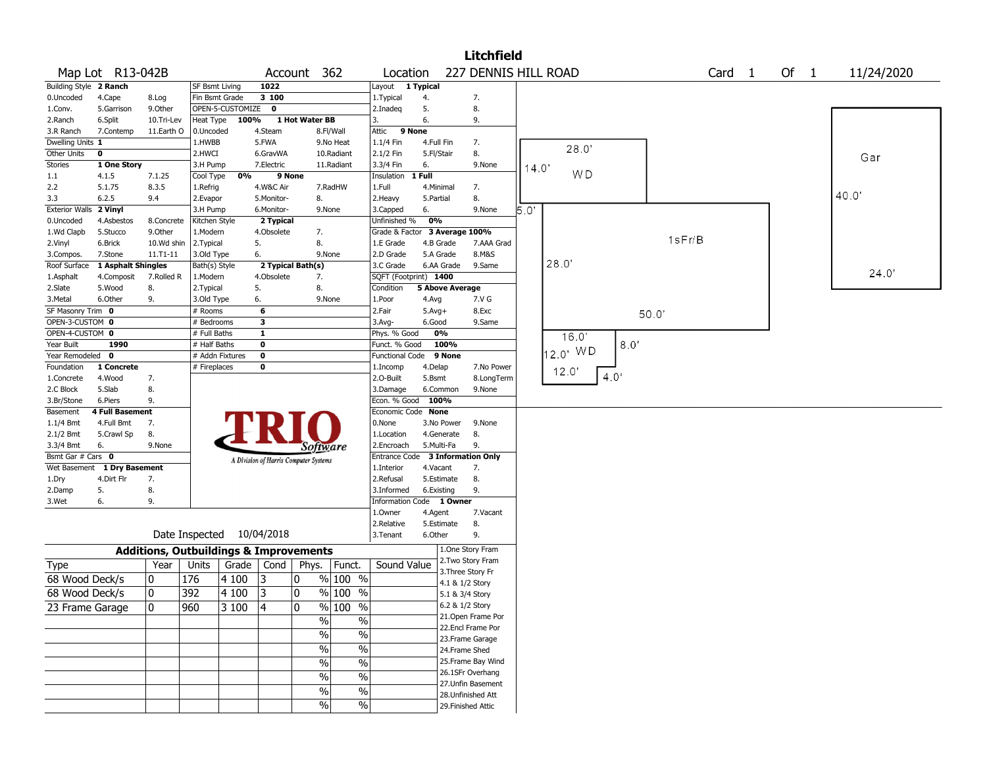|                        |                    |                                                   |                       |                           |              |                                       |                          |                                  |                        |                                    | <b>Litchfield</b>    |       |                |      |      |        |        |        |            |
|------------------------|--------------------|---------------------------------------------------|-----------------------|---------------------------|--------------|---------------------------------------|--------------------------|----------------------------------|------------------------|------------------------------------|----------------------|-------|----------------|------|------|--------|--------|--------|------------|
|                        | Map Lot R13-042B   |                                                   |                       |                           | Account      |                                       | 362                      | Location                         |                        |                                    | 227 DENNIS HILL ROAD |       |                |      |      |        | Card 1 | Of $1$ | 11/24/2020 |
| Building Style 2 Ranch |                    |                                                   | <b>SF Bsmt Living</b> |                           | 1022         |                                       |                          | Layout 1 Typical                 |                        |                                    |                      |       |                |      |      |        |        |        |            |
| 0.Uncoded              | 4.Cape             | 8.Log                                             | Fin Bsmt Grade        |                           | 3 100        |                                       |                          | 1. Typical                       | 4.                     |                                    | 7.                   |       |                |      |      |        |        |        |            |
| 1.Conv.                | 5.Garrison         | 9.Other                                           |                       | OPEN-5-CUSTOMIZE 0        |              |                                       |                          | 2.Inadeg                         | 5.                     |                                    | 8.                   |       |                |      |      |        |        |        |            |
| 2.Ranch                | 6.Split            | 10.Tri-Lev                                        | Heat Type             | 100%                      |              | 1 Hot Water BB                        |                          | 3.                               | 6.                     |                                    | 9.                   |       |                |      |      |        |        |        |            |
| 3.R Ranch              | 7.Contemp          | 11.Earth O                                        | 0.Uncoded             |                           | 4.Steam      |                                       | 8.Fl/Wall                | 9 None<br>Attic                  |                        |                                    |                      |       |                |      |      |        |        |        |            |
| Dwelling Units 1       |                    |                                                   | 1.HWBB                |                           | 5.FWA        |                                       | 9.No Heat                | 1.1/4 Fin                        | 4.Full Fin             |                                    | 7.                   |       |                |      |      |        |        |        |            |
| Other Units            | $\mathbf 0$        |                                                   | 2.HWCI                |                           | 6.GravWA     |                                       | 10.Radiant               | 2.1/2 Fin                        | 5.Fl/Stair             |                                    | 8.                   |       | 28.0"          |      |      |        |        |        | Gar        |
| <b>Stories</b>         | 1 One Story        |                                                   | 3.H Pump              |                           | 7.Electric   |                                       | 11.Radiant               | 3.3/4 Fin                        | 6.                     |                                    | 9.None               | 14.0' |                |      |      |        |        |        |            |
| $1.1\,$                | 4.1.5              | 7.1.25                                            | Cool Type             | 0%                        |              | 9 None                                |                          | Insulation                       | 1 Full                 |                                    |                      |       | W <sub>D</sub> |      |      |        |        |        |            |
| 2.2                    | 5.1.75             | 8.3.5                                             | 1.Refrig              |                           | 4.W&C Air    |                                       | 7.RadHW                  | 1.Full                           | 4.Minimal              |                                    | 7.                   |       |                |      |      |        |        |        |            |
| 3.3                    | 6.2.5              | 9.4                                               | 2.Evapor              |                           | 5.Monitor-   | 8.                                    |                          | 2.Heavy                          | 5.Partial              |                                    | 8.                   |       |                |      |      |        |        |        | 40.0"      |
| <b>Exterior Walls</b>  | 2 Vinyl            |                                                   | 3.H Pump              |                           | 6.Monitor-   | 9.None                                |                          | 3.Capped                         | 6.                     |                                    | 9.None               | 5.0'  |                |      |      |        |        |        |            |
| 0.Uncoded              | 4.Asbestos         | 8.Concrete                                        | Kitchen Style         |                           | 2 Typical    |                                       |                          | Unfinished %                     | 0%                     |                                    |                      |       |                |      |      |        |        |        |            |
| 1.Wd Clapb             | 5.Stucco           | 9.0ther                                           | 1.Modern              |                           | 4.Obsolete   | 7.                                    |                          | Grade & Factor 3 Average 100%    |                        |                                    |                      |       |                |      |      |        |        |        |            |
| 2.Vinyl                | 6.Brick            | 10.Wd shin                                        | 2.Typical             |                           | 5.           | 8.                                    |                          | 1.E Grade                        | 4.B Grade              |                                    | 7.AAA Grad           |       |                |      |      | 1sFr/B |        |        |            |
| 3.Compos.              | 7.Stone            | $11. T1 - 11$                                     | 3.Old Type            |                           | 6.           | 9.None                                |                          | 2.D Grade                        | 5.A Grade              |                                    | 8.M&S                |       |                |      |      |        |        |        |            |
| Roof Surface           | 1 Asphalt Shingles |                                                   | Bath(s) Style         |                           |              | 2 Typical Bath(s)                     |                          | 3.C Grade                        | 6.AA Grade             |                                    | 9.Same               |       | 28.0'          |      |      |        |        |        |            |
| 1.Asphalt              | 4.Composit         | 7.Rolled R                                        | 1.Modern              |                           | 4.Obsolete   | 7.                                    |                          | SQFT (Footprint) 1400            |                        |                                    |                      |       |                |      |      |        |        |        | 24.0'      |
| 2.Slate                | 5.Wood             | 8.                                                | 2. Typical            |                           | 5.           | 8.                                    |                          | Condition                        | <b>5 Above Average</b> |                                    |                      |       |                |      |      |        |        |        |            |
| 3. Metal               | 6.Other            | 9.                                                |                       |                           | 6.           | 9.None                                |                          | 1.Poor                           |                        |                                    | 7.V G                |       |                |      |      |        |        |        |            |
|                        |                    |                                                   | 3.Old Type            |                           |              |                                       |                          | 2.Fair                           | 4.Avg                  |                                    |                      |       |                |      |      |        |        |        |            |
| SF Masonry Trim 0      |                    |                                                   | # Rooms<br># Bedrooms |                           | 6            |                                       |                          |                                  | $5.Avg+$               |                                    | 8.Exc                |       |                |      | 50.0 |        |        |        |            |
| OPEN-3-CUSTOM 0        |                    |                                                   |                       |                           | 3            |                                       |                          | 3.Avg-                           | 6.Good                 |                                    | 9.Same               |       |                |      |      |        |        |        |            |
| OPEN-4-CUSTOM 0        |                    |                                                   | # Full Baths          |                           | $\mathbf{1}$ |                                       |                          | Phys. % Good                     | 0%                     |                                    |                      |       | 16.0'          |      |      |        |        |        |            |
| Year Built             | 1990               |                                                   | # Half Baths          |                           | $\pmb{0}$    |                                       |                          | Funct. % Good                    | 100%                   |                                    |                      |       | 12.0' WD       |      | 8.0  |        |        |        |            |
| Year Remodeled 0       |                    |                                                   |                       | # Addn Fixtures           | $\mathbf 0$  |                                       |                          | Functional Code 9 None           |                        |                                    |                      |       |                |      |      |        |        |        |            |
| Foundation             | 1 Concrete         |                                                   | # Fireplaces          |                           | 0            |                                       |                          | 1.Incomp                         | 4.Delap                |                                    | 7.No Power           |       | 12.0'          | 4.0' |      |        |        |        |            |
| 1.Concrete             | 4.Wood             | 7.                                                |                       |                           |              |                                       |                          | 2.O-Built                        | 5.Bsmt                 |                                    | 8.LongTerm           |       |                |      |      |        |        |        |            |
| 2.C Block              | 5.Slab             | 8.                                                |                       |                           |              |                                       |                          | 3.Damage                         | 6.Common               |                                    | 9.None               |       |                |      |      |        |        |        |            |
| 3.Br/Stone             | 6.Piers            | 9.                                                |                       |                           |              |                                       |                          | Econ. % Good 100%                |                        |                                    |                      |       |                |      |      |        |        |        |            |
| Basement               | 4 Full Basement    |                                                   |                       |                           |              |                                       |                          | Economic Code None               |                        |                                    |                      |       |                |      |      |        |        |        |            |
| 1.1/4 Bmt              | 4.Full Bmt         | 7.                                                |                       |                           |              |                                       |                          | 0.None                           | 3.No Power             |                                    | 9.None               |       |                |      |      |        |        |        |            |
| 2.1/2 Bmt              | 5.Crawl Sp         | 8.                                                |                       |                           |              |                                       |                          | 1.Location                       | 4.Generate             |                                    | 8.                   |       |                |      |      |        |        |        |            |
| 3.3/4 Bmt              | 6.                 | 9.None                                            |                       |                           |              | Software                              |                          | 2.Encroach                       | 5.Multi-Fa             |                                    | 9.                   |       |                |      |      |        |        |        |            |
| Bsmt Gar # Cars 0      |                    |                                                   |                       |                           |              | A Division of Harris Computer Systems |                          | Entrance Code 3 Information Only |                        |                                    |                      |       |                |      |      |        |        |        |            |
| Wet Basement           | 1 Dry Basement     |                                                   |                       |                           |              |                                       |                          | 1.Interior                       | 4.Vacant               |                                    | 7.                   |       |                |      |      |        |        |        |            |
| 1.Dry                  | 4.Dirt Flr         | 7.                                                |                       |                           |              |                                       |                          | 2.Refusal                        | 5.Estimate             |                                    | 8.                   |       |                |      |      |        |        |        |            |
| 2.Damp                 | 5.                 | 8.                                                |                       |                           |              |                                       |                          | 3.Informed                       | 6.Existing             |                                    | 9.                   |       |                |      |      |        |        |        |            |
| 3.Wet                  | 6.                 | 9.                                                |                       |                           |              |                                       |                          | Information Code 1 Owner         |                        |                                    |                      |       |                |      |      |        |        |        |            |
|                        |                    |                                                   |                       |                           |              |                                       |                          | 1.Owner                          | 4.Agent                |                                    | 7.Vacant             |       |                |      |      |        |        |        |            |
|                        |                    |                                                   |                       |                           |              |                                       |                          | 2.Relative                       | 5.Estimate             |                                    | 8.                   |       |                |      |      |        |        |        |            |
|                        |                    |                                                   |                       | Date Inspected 10/04/2018 |              |                                       |                          | 3.Tenant                         | 6.Other                |                                    | 9.                   |       |                |      |      |        |        |        |            |
|                        |                    | <b>Additions, Outbuildings &amp; Improvements</b> |                       |                           |              |                                       |                          |                                  |                        | 1.One Story Fram                   |                      |       |                |      |      |        |        |        |            |
| Type                   |                    | Year                                              | Units                 | Grade   Cond              |              | Phys.   Funct.                        |                          | Sound Value                      |                        | 2. Two Story Fram                  |                      |       |                |      |      |        |        |        |            |
| 68 Wood Deck/s         |                    | 0                                                 | 176                   | 4 100                     | 3            | 0                                     | $%100$ %                 |                                  |                        | 3. Three Story Fr                  |                      |       |                |      |      |        |        |        |            |
| 68 Wood Deck/s         |                    | 10                                                | 392                   | 4 100                     | 3            | 0                                     | $%100$ %                 |                                  |                        | 4.1 & 1/2 Story                    |                      |       |                |      |      |        |        |        |            |
|                        |                    |                                                   |                       |                           |              |                                       |                          |                                  |                        | 5.1 & 3/4 Story<br>6.2 & 1/2 Story |                      |       |                |      |      |        |        |        |            |
| 23 Frame Garage        |                    | $\Omega$                                          | 960                   | 3 100                     | 4            | $\Omega$                              | $\frac{9}{6}$ 100 %      |                                  |                        |                                    | 21.Open Frame Por    |       |                |      |      |        |        |        |            |
|                        |                    |                                                   |                       |                           |              | %                                     | $\%$                     |                                  |                        | 22.Encl Frame Por                  |                      |       |                |      |      |        |        |        |            |
|                        |                    |                                                   |                       |                           |              | $\sqrt{0}$                            | $\%$                     |                                  |                        | 23. Frame Garage                   |                      |       |                |      |      |        |        |        |            |
|                        |                    |                                                   |                       |                           |              | $\frac{9}{6}$                         | $\overline{\frac{0}{6}}$ |                                  |                        | 24.Frame Shed                      |                      |       |                |      |      |        |        |        |            |
|                        |                    |                                                   |                       |                           |              |                                       |                          |                                  |                        |                                    | 25. Frame Bay Wind   |       |                |      |      |        |        |        |            |
|                        |                    |                                                   |                       |                           |              | $\%$                                  | $\%$                     |                                  |                        | 26.1SFr Overhang                   |                      |       |                |      |      |        |        |        |            |
|                        |                    |                                                   |                       |                           |              | $\sqrt{0}$                            | $\overline{\frac{0}{6}}$ |                                  |                        |                                    | 27. Unfin Basement   |       |                |      |      |        |        |        |            |
|                        |                    |                                                   |                       |                           |              | $\sqrt{0}$                            | $\%$                     |                                  |                        | 28. Unfinished Att                 |                      |       |                |      |      |        |        |        |            |
|                        |                    |                                                   |                       |                           |              | $\sqrt{0}$                            | $\%$                     |                                  |                        | 29. Finished Attic                 |                      |       |                |      |      |        |        |        |            |
|                        |                    |                                                   |                       |                           |              |                                       |                          |                                  |                        |                                    |                      |       |                |      |      |        |        |        |            |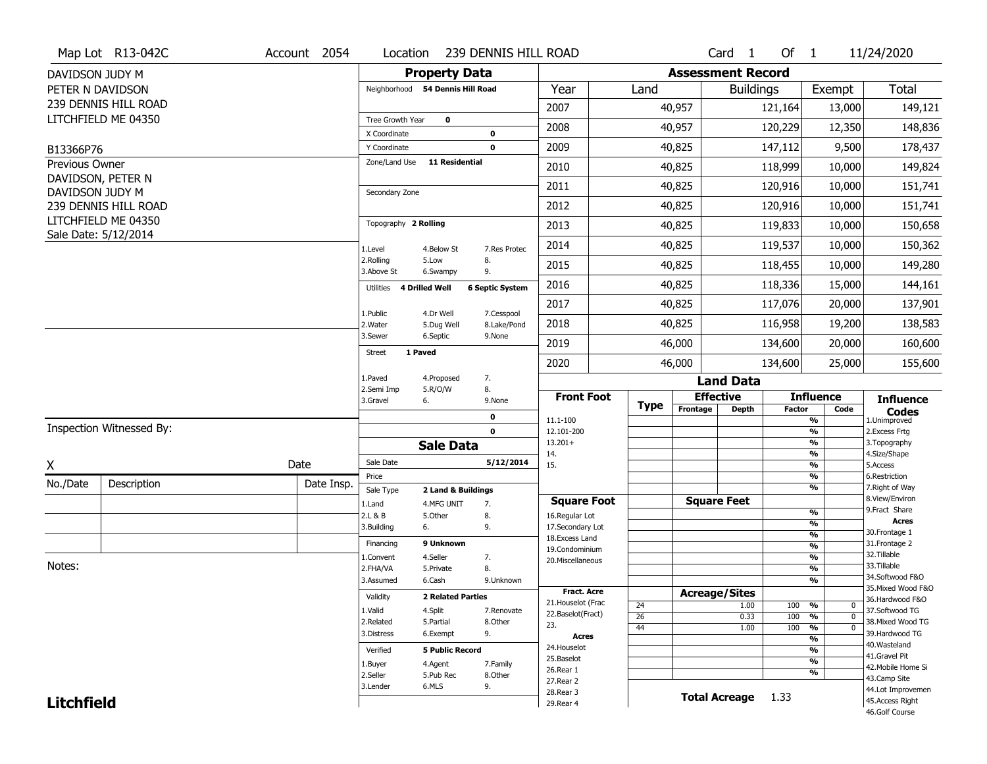|                             | Map Lot R13-042C                            | Account 2054 | Location                                                |                                  | 239 DENNIS HILL ROAD   |                                  |             |          | Card <sub>1</sub>        | Of $1$        |                                | 11/24/2020                           |
|-----------------------------|---------------------------------------------|--------------|---------------------------------------------------------|----------------------------------|------------------------|----------------------------------|-------------|----------|--------------------------|---------------|--------------------------------|--------------------------------------|
| DAVIDSON JUDY M             |                                             |              |                                                         | <b>Property Data</b>             |                        |                                  |             |          | <b>Assessment Record</b> |               |                                |                                      |
|                             | PETER N DAVIDSON                            |              |                                                         | Neighborhood 54 Dennis Hill Road |                        | Year                             | Land        |          | <b>Buildings</b>         |               | Exempt                         | <b>Total</b>                         |
|                             | 239 DENNIS HILL ROAD                        |              |                                                         |                                  |                        | 2007                             |             | 40,957   |                          | 121,164       | 13,000                         | 149,121                              |
|                             | LITCHFIELD ME 04350                         |              | Tree Growth Year                                        | $\mathbf 0$                      |                        | 2008                             |             | 40,957   |                          | 120,229       | 12,350                         | 148,836                              |
|                             |                                             |              | X Coordinate<br>Y Coordinate                            |                                  | 0<br>$\mathbf 0$       | 2009                             |             | 40,825   |                          | 147,112       | 9,500                          | 178,437                              |
| B13366P76<br>Previous Owner |                                             |              | Zone/Land Use                                           | <b>11 Residential</b>            |                        |                                  |             |          |                          |               |                                |                                      |
|                             | DAVIDSON, PETER N                           |              |                                                         |                                  |                        | 2010                             |             | 40,825   |                          | 118,999       | 10,000                         | 149,824                              |
| DAVIDSON JUDY M             |                                             |              | Secondary Zone                                          |                                  |                        | 2011                             |             | 40,825   |                          | 120,916       | 10,000                         | 151,741                              |
|                             | 239 DENNIS HILL ROAD                        |              |                                                         |                                  |                        | 2012                             |             | 40,825   |                          | 120,916       | 10,000                         | 151,741                              |
|                             | LITCHFIELD ME 04350<br>Sale Date: 5/12/2014 |              | Topography 2 Rolling                                    |                                  |                        | 2013                             |             | 40,825   |                          | 119,833       | 10,000                         | 150,658                              |
|                             |                                             |              | 1.Level                                                 | 4.Below St                       | 7.Res Protec           | 2014                             |             | 40,825   |                          | 119,537       | 10,000                         | 150,362                              |
|                             |                                             |              | 2.Rolling<br>3.Above St                                 | 5.Low<br>6.Swampy                | 8.<br>9.               | 2015                             |             | 40,825   |                          | 118,455       | 10,000                         | 149,280                              |
|                             |                                             |              | Utilities                                               | 4 Drilled Well                   | <b>6 Septic System</b> | 2016                             |             | 40,825   |                          | 118,336       | 15,000                         | 144,161                              |
|                             |                                             |              | 1.Public                                                | 4.Dr Well                        | 7.Cesspool             | 2017                             |             | 40,825   |                          | 117,076       | 20,000                         | 137,901                              |
|                             |                                             |              | 2. Water                                                | 5.Dug Well                       | 8.Lake/Pond            | 2018                             |             | 40,825   |                          | 116,958       | 19,200                         | 138,583                              |
|                             |                                             |              | 3.Sewer<br>1 Paved                                      | 6.Septic                         | 9.None                 | 2019                             |             | 46,000   |                          | 134,600       | 20,000                         | 160,600                              |
|                             |                                             |              | <b>Street</b>                                           |                                  |                        | 2020                             |             | 46,000   |                          | 134,600       | 25,000                         | 155,600                              |
|                             |                                             |              | 1.Paved                                                 | 4.Proposed                       | 7.                     |                                  |             |          | <b>Land Data</b>         |               |                                |                                      |
|                             |                                             |              | 8.<br>2.Semi Imp<br>5.R/O/W<br>3.Gravel<br>6.<br>9.None |                                  |                        | <b>Front Foot</b>                | <b>Type</b> |          | <b>Effective</b>         |               | <b>Influence</b>               | <b>Influence</b>                     |
|                             |                                             |              |                                                         |                                  | 0                      | 11.1-100                         |             | Frontage | <b>Depth</b>             | <b>Factor</b> | Code<br>%                      | <b>Codes</b><br>1.Unimproved         |
|                             | Inspection Witnessed By:                    |              |                                                         |                                  | $\mathbf 0$            | 12.101-200                       |             |          |                          |               | $\frac{9}{6}$                  | 2.Excess Frtg                        |
|                             |                                             |              |                                                         |                                  |                        |                                  |             |          |                          |               |                                |                                      |
| X                           |                                             |              |                                                         | <b>Sale Data</b>                 |                        | $13.201+$<br>14.                 |             |          |                          |               | %<br>%                         | 3. Topography<br>4.Size/Shape        |
|                             |                                             | Date         | Sale Date                                               |                                  | 5/12/2014              | 15.                              |             |          |                          |               | $\frac{9}{6}$                  | 5.Access                             |
| No./Date                    | Description                                 | Date Insp.   | Price                                                   |                                  |                        |                                  |             |          |                          |               | %<br>%                         | 6.Restriction<br>7. Right of Way     |
|                             |                                             |              | Sale Type<br>1.Land                                     | 2 Land & Buildings<br>4.MFG UNIT |                        | <b>Square Foot</b>               |             |          | <b>Square Feet</b>       |               |                                | 8.View/Environ                       |
|                             |                                             |              | 2.L & B                                                 | 5.Other                          | 7.<br>8.               | 16.Regular Lot                   |             |          |                          |               | %                              | 9. Fract Share                       |
|                             |                                             |              | 3.Building                                              | 6.                               | 9.                     | 17.Secondary Lot                 |             |          |                          |               | $\frac{9}{6}$<br>$\frac{9}{6}$ | <b>Acres</b><br>30.Frontage 1        |
|                             |                                             |              | Financing                                               | 9 Unknown                        |                        | 18.Excess Land<br>19.Condominium |             |          |                          |               | $\frac{9}{6}$                  | 31. Frontage 2                       |
|                             |                                             |              | 1.Convent                                               | 4.Seller                         | 7.                     | 20.Miscellaneous                 |             |          |                          |               | $\frac{9}{6}$                  | 32.Tillable                          |
| Notes:                      |                                             |              | 2.FHA/VA                                                | 5.Private                        | 8.                     |                                  |             |          |                          |               | $\frac{9}{6}$                  | 33.Tillable<br>34.Softwood F&O       |
|                             |                                             |              | 3.Assumed                                               | 6.Cash                           | 9.Unknown              | <b>Fract. Acre</b>               |             |          |                          |               | $\frac{9}{6}$                  | 35. Mixed Wood F&O                   |
|                             |                                             |              | Validity                                                | <b>2 Related Parties</b>         |                        | 21. Houselot (Frac               |             |          | <b>Acreage/Sites</b>     |               | $\mathbf 0$                    | 36.Hardwood F&O                      |
|                             |                                             |              | 1.Valid                                                 | 4.Split                          | 7.Renovate             | 22.Baselot(Fract)                | 24<br>26    |          | 1.00<br>0.33             | 100<br>100    | %<br>%<br>$\mathbf{0}$         | 37.Softwood TG                       |
|                             |                                             |              | 2.Related                                               | 5.Partial                        | 8.Other                | 23.                              | 44          |          | 1.00                     | 100           | $\frac{9}{6}$<br>$\mathbf{0}$  | 38. Mixed Wood TG                    |
|                             |                                             |              | 3.Distress                                              | 6.Exempt                         | 9.                     | <b>Acres</b>                     |             |          |                          |               | $\frac{9}{6}$                  | 39.Hardwood TG<br>40. Wasteland      |
|                             |                                             |              | Verified                                                | <b>5 Public Record</b>           |                        | 24. Houselot                     |             |          |                          |               | %                              | 41.Gravel Pit                        |
|                             |                                             |              | 1.Buyer                                                 | 4.Agent                          | 7.Family               | 25.Baselot<br>26.Rear 1          |             |          |                          |               | $\frac{9}{6}$                  | 42. Mobile Home Si                   |
|                             |                                             |              | 2.Seller                                                | 5.Pub Rec                        | 8.Other                | 27.Rear 2                        |             |          |                          |               | %                              | 43.Camp Site                         |
| <b>Litchfield</b>           |                                             |              | 3.Lender                                                | 6.MLS                            | 9.                     | 28. Rear 3<br>29. Rear 4         |             |          | <b>Total Acreage</b>     | 1.33          |                                | 44.Lot Improvemen<br>45.Access Right |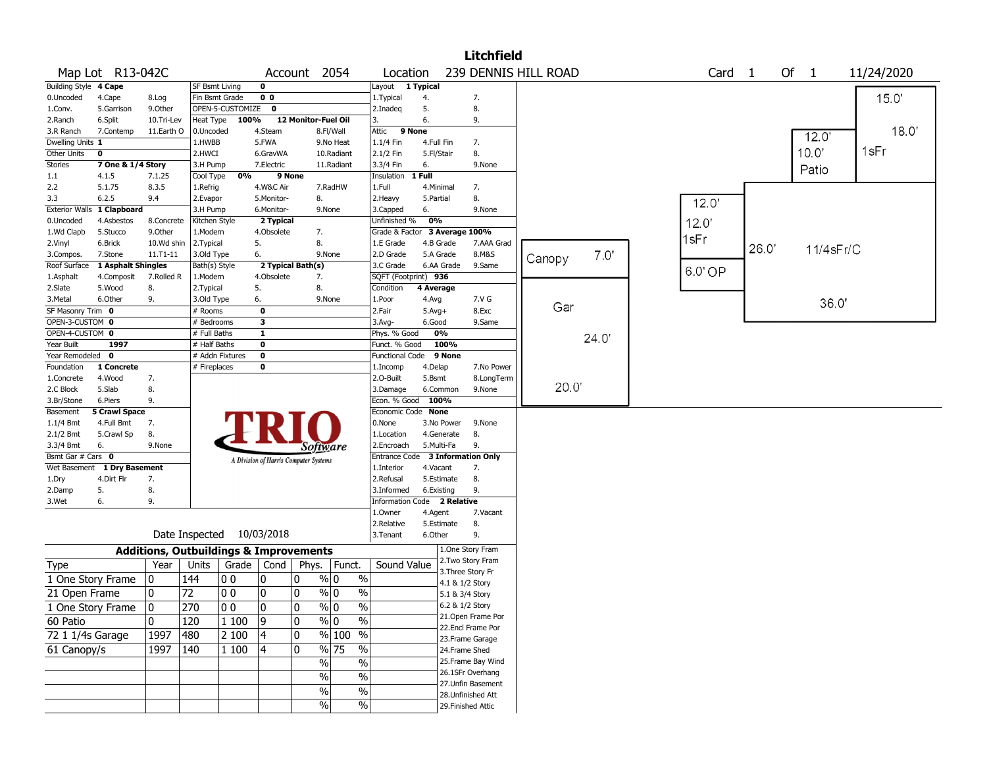|                          |                            |                                                   |                       |                           |                |                                       |                                |                                  |              |                 | <b>Litchfield</b>  |                      |       |       |        |       |           |            |
|--------------------------|----------------------------|---------------------------------------------------|-----------------------|---------------------------|----------------|---------------------------------------|--------------------------------|----------------------------------|--------------|-----------------|--------------------|----------------------|-------|-------|--------|-------|-----------|------------|
|                          | Map Lot R13-042C           |                                                   |                       |                           |                | Account 2054                          |                                | Location                         |              |                 |                    | 239 DENNIS HILL ROAD |       |       | Card 1 |       | Of $1$    | 11/24/2020 |
| Building Style 4 Cape    |                            |                                                   | SF Bsmt Living        |                           | 0              |                                       |                                | Layout                           | 1 Typical    |                 |                    |                      |       |       |        |       |           |            |
| 0.Uncoded                | 4.Cape                     | 8.Log                                             | Fin Bsmt Grade        |                           | 0 <sub>0</sub> |                                       |                                | 1. Typical                       | 4.           |                 | 7.                 |                      |       |       |        |       |           | 15.0'      |
| 1.Conv.                  | 5.Garrison                 | 9.0ther                                           |                       | OPEN-5-CUSTOMIZE 0        |                |                                       |                                | 2.Inadeq                         | 5.           |                 | 8.                 |                      |       |       |        |       |           |            |
| 2.Ranch                  | 6.Split                    | 10.Tri-Lev                                        | Heat Type             | 100%                      |                | 12 Monitor-Fuel Oil                   |                                | 3.                               | 6.           |                 | 9.                 |                      |       |       |        |       |           |            |
| 3.R Ranch                | 7.Contemp                  | 11.Earth O                                        | 0.Uncoded             |                           | 4.Steam        |                                       | 8.Fl/Wall                      | Attic                            | 9 None       |                 |                    |                      |       |       |        |       | 12.0      | 18.0'      |
| Dwelling Units 1         |                            |                                                   | 1.HWBB                |                           | 5.FWA          |                                       | 9.No Heat                      | 1.1/4 Fin                        | 4.Full Fin   |                 | 7.                 |                      |       |       |        |       | 10.0'     | 1sFr       |
| Other Units              | $\mathbf{o}$               |                                                   | 2.HWCI                |                           | 6.GravWA       |                                       | 10.Radiant                     | 2.1/2 Fin                        | 5.Fl/Stair   |                 | 8.                 |                      |       |       |        |       |           |            |
| <b>Stories</b>           | 7 One & 1/4 Story          |                                                   | 3.H Pump              | 0%                        | 7.Electric     |                                       | 11.Radiant                     | 3.3/4 Fin                        | 6.<br>1 Full |                 | 9.None             |                      |       |       |        |       | Patio     |            |
| $1.1\,$<br>2.2           | 4.1.5<br>5.1.75            | 7.1.25<br>8.3.5                                   | Cool Type<br>1.Refrig |                           | 4.W&C Air      | 9 None                                | 7.RadHW                        | Insulation<br>1.Full             | 4.Minimal    |                 |                    |                      |       |       |        |       |           |            |
| 3.3                      | 6.2.5                      | 9.4                                               | 2.Evapor              |                           | 5.Monitor-     | 8.                                    |                                | 2.Heavy                          | 5.Partial    |                 | 7.<br>8.           |                      |       |       |        |       |           |            |
|                          | Exterior Walls 1 Clapboard |                                                   | 3.H Pump              |                           | 6.Monitor-     |                                       | 9.None                         | 3.Capped                         | 6.           |                 | 9.None             |                      |       |       | 12.0'  |       |           |            |
| 0.Uncoded                | 4.Asbestos                 | 8.Concrete                                        | Kitchen Style         |                           | 2 Typical      |                                       |                                | Unfinished %                     | 0%           |                 |                    |                      |       | 12.0' |        |       |           |            |
| 1.Wd Clapb               | 5.Stucco                   | 9.0ther                                           | 1.Modern              |                           | 4.Obsolete     | 7.                                    |                                | Grade & Factor 3 Average 100%    |              |                 |                    |                      |       |       |        |       |           |            |
| 2.Vinyl                  | 6.Brick                    | 10.Wd shin                                        | 2. Typical            |                           | 5.             | 8.                                    |                                | 1.E Grade                        | 4.B Grade    |                 | 7.AAA Grad         |                      |       | 1sFr  |        |       |           |            |
| 3.Compos.                | 7.Stone                    | 11.T1-11                                          | 3.Old Type            |                           | 6.             |                                       | 9.None                         | 2.D Grade                        | 5.A Grade    |                 | 8.M&S              |                      | 7.0'  |       |        | 26.0' | 11/4sFr/C |            |
| Roof Surface             | 1 Asphalt Shingles         |                                                   | Bath(s) Style         |                           |                | 2 Typical Bath(s)                     |                                | 3.C Grade                        |              | 6.AA Grade      | 9.Same             | Canopy               |       |       |        |       |           |            |
| 1.Asphalt                | 4.Composit                 | 7.Rolled R                                        | 1.Modern              |                           | 4.Obsolete     | 7.                                    |                                | SQFT (Footprint) 936             |              |                 |                    |                      |       |       | 6.0'OP |       |           |            |
| 2.Slate                  | 5.Wood                     | 8.                                                | 2. Typical            |                           | 5.             | 8.                                    |                                | Condition                        | 4 Average    |                 |                    |                      |       |       |        |       |           |            |
| 3.Metal                  | 6.Other                    | 9.                                                | 3.Old Type            |                           | 6.             |                                       | 9.None                         | 1.Poor                           | 4.Avg        |                 | 7.V G              |                      |       |       |        |       | 36.0'     |            |
| SF Masonry Trim 0        |                            |                                                   | # Rooms               |                           | $\bf{0}$       |                                       |                                | 2.Fair                           | $5.Avg+$     |                 | 8.Exc              | Gar                  |       |       |        |       |           |            |
| OPEN-3-CUSTOM 0          |                            |                                                   | # Bedrooms            |                           | 3              |                                       |                                | 3.Avg-                           | 6.Good       |                 | 9.Same             |                      |       |       |        |       |           |            |
| OPEN-4-CUSTOM 0          |                            |                                                   | # Full Baths          |                           | $\mathbf{1}$   |                                       |                                | Phys. % Good                     |              | 0%              |                    |                      | 24.0' |       |        |       |           |            |
| Year Built               | 1997                       |                                                   | # Half Baths          |                           | 0              |                                       |                                | Funct. % Good                    |              | 100%            |                    |                      |       |       |        |       |           |            |
| Year Remodeled 0         |                            |                                                   |                       | # Addn Fixtures           | 0              |                                       |                                | Functional Code 9 None           |              |                 |                    |                      |       |       |        |       |           |            |
| Foundation               | 1 Concrete                 |                                                   | # Fireplaces          |                           | 0              |                                       |                                | 1.Incomp                         | 4.Delap      |                 | 7.No Power         |                      |       |       |        |       |           |            |
| 1.Concrete               | 4.Wood                     | 7.                                                |                       |                           |                |                                       |                                | 2.O-Built                        | 5.Bsmt       |                 | 8.LongTerm         |                      |       |       |        |       |           |            |
| 2.C Block                | 5.Slab                     | 8.                                                |                       |                           |                |                                       |                                | 3.Damage                         |              | 6.Common        | 9.None             | 20.0                 |       |       |        |       |           |            |
| 3.Br/Stone               | 6.Piers                    | 9.                                                |                       |                           |                |                                       |                                | Econ. % Good                     | 100%         |                 |                    |                      |       |       |        |       |           |            |
| Basement                 | <b>5 Crawl Space</b>       |                                                   |                       |                           |                |                                       |                                | Economic Code None               |              |                 |                    |                      |       |       |        |       |           |            |
| 1.1/4 Bmt                | 4.Full Bmt                 | 7.                                                |                       |                           |                |                                       |                                | 0.None                           |              | 3.No Power      | 9.None             |                      |       |       |        |       |           |            |
| $2.1/2$ Bmt<br>3.3/4 Bmt | 5.Crawl Sp<br>6.           | 8.<br>9.None                                      |                       |                           |                |                                       |                                | 1.Location<br>2.Encroach         | 5.Multi-Fa   | 4.Generate      | 8.<br>9.           |                      |       |       |        |       |           |            |
| Bsmt Gar # Cars 0        |                            |                                                   |                       |                           |                | Software                              |                                | Entrance Code 3 Information Only |              |                 |                    |                      |       |       |        |       |           |            |
| Wet Basement             | 1 Dry Basement             |                                                   |                       |                           |                | A Division of Harris Computer Systems |                                | 1.Interior                       | 4.Vacant     |                 | 7.                 |                      |       |       |        |       |           |            |
| 1.Dry                    | 4.Dirt Flr                 | 7.                                                |                       |                           |                |                                       |                                | 2.Refusal                        |              | 5.Estimate      | 8.                 |                      |       |       |        |       |           |            |
| 2.Damp                   | 5.                         | 8.                                                |                       |                           |                |                                       |                                | 3.Informed                       | 6.Existing   |                 | 9.                 |                      |       |       |        |       |           |            |
| 3.Wet                    | 6.                         | 9.                                                |                       |                           |                |                                       |                                | Information Code 2 Relative      |              |                 |                    |                      |       |       |        |       |           |            |
|                          |                            |                                                   |                       |                           |                |                                       |                                | 1.Owner                          | 4.Agent      |                 | 7.Vacant           |                      |       |       |        |       |           |            |
|                          |                            |                                                   |                       |                           |                |                                       |                                | 2.Relative                       |              | 5.Estimate      | 8.                 |                      |       |       |        |       |           |            |
|                          |                            |                                                   |                       | Date Inspected 10/03/2018 |                |                                       |                                | 3.Tenant                         | 6.Other      |                 | 9.                 |                      |       |       |        |       |           |            |
|                          |                            | <b>Additions, Outbuildings &amp; Improvements</b> |                       |                           |                |                                       |                                |                                  |              |                 | 1.One Story Fram   |                      |       |       |        |       |           |            |
| Type                     |                            | Year                                              | Units                 | Grade                     | Cond           |                                       | Phys. Funct.                   | Sound Value                      |              |                 | 2. Two Story Fram  |                      |       |       |        |       |           |            |
| 1 One Story Frame        |                            | 0                                                 | 144                   | 00                        | 0              | 10                                    | $\frac{1}{2}$<br>$\%$ 0        |                                  |              | 4.1 & 1/2 Story | 3. Three Story Fr  |                      |       |       |        |       |           |            |
| 21 Open Frame            |                            | 0                                                 | 72                    | l 0 0                     | 0              | 10                                    | $\frac{0}{0}$<br>% 0           |                                  |              | 5.1 & 3/4 Story |                    |                      |       |       |        |       |           |            |
|                          |                            |                                                   |                       |                           |                |                                       |                                |                                  |              | 6.2 & 1/2 Story |                    |                      |       |       |        |       |           |            |
|                          | 1 One Story Frame          | 0                                                 | 270                   | $ 00\rangle$              | $\pmb{0}$      | 0                                     | $\frac{9}{6}$ 0<br>$\sqrt{20}$ |                                  |              |                 | 21. Open Frame Por |                      |       |       |        |       |           |            |
| 60 Patio                 |                            | 0                                                 | 120                   | 1 100                     | 9              | 10                                    | % 0<br>$\%$                    |                                  |              |                 | 22.Encl Frame Por  |                      |       |       |        |       |           |            |
| 72 1 1/4s Garage         |                            | 1997                                              | 480                   | 2 100                     | 4              | 0                                     | % 100 %                        |                                  |              |                 | 23.Frame Garage    |                      |       |       |        |       |           |            |
| 61 Canopy/s              |                            | 1997                                              | 140                   | 1 100                     | 4              | 10                                    | % 75<br>$\%$                   |                                  |              | 24.Frame Shed   |                    |                      |       |       |        |       |           |            |
|                          |                            |                                                   |                       |                           |                | $\%$                                  | $\%$                           |                                  |              |                 | 25. Frame Bay Wind |                      |       |       |        |       |           |            |
|                          |                            |                                                   |                       |                           |                |                                       |                                |                                  |              |                 | 26.1SFr Overhang   |                      |       |       |        |       |           |            |
|                          |                            |                                                   |                       |                           |                | $\%$                                  | $\frac{1}{2}$                  |                                  |              |                 | 27.Unfin Basement  |                      |       |       |        |       |           |            |
|                          |                            |                                                   |                       |                           |                | $\%$                                  | $\frac{1}{2}$                  |                                  |              |                 | 28. Unfinished Att |                      |       |       |        |       |           |            |
|                          |                            |                                                   |                       |                           |                | %                                     | $\sqrt{6}$                     |                                  |              |                 | 29. Finished Attic |                      |       |       |        |       |           |            |
|                          |                            |                                                   |                       |                           |                |                                       |                                |                                  |              |                 |                    |                      |       |       |        |       |           |            |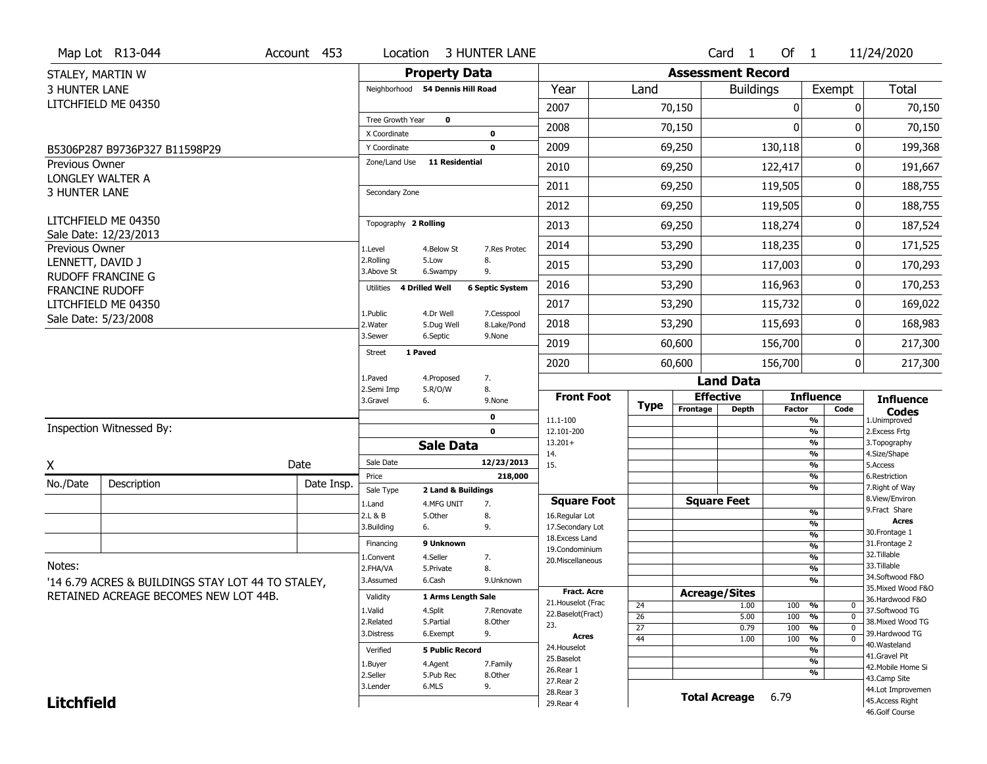|                        | Map Lot R13-044                                   | Account 453 | Location                      |                                  | <b>3 HUNTER LANE</b>       |                                   |                       |                          | Card <sub>1</sub>    | Of $1$           |                                 | 11/24/2020                         |
|------------------------|---------------------------------------------------|-------------|-------------------------------|----------------------------------|----------------------------|-----------------------------------|-----------------------|--------------------------|----------------------|------------------|---------------------------------|------------------------------------|
| STALEY, MARTIN W       |                                                   |             |                               | <b>Property Data</b>             |                            |                                   |                       | <b>Assessment Record</b> |                      |                  |                                 |                                    |
| <b>3 HUNTER LANE</b>   |                                                   |             |                               | Neighborhood 54 Dennis Hill Road |                            | Year                              | Land                  |                          | <b>Buildings</b>     |                  | Exempt                          | <b>Total</b>                       |
|                        | LITCHFIELD ME 04350                               |             |                               |                                  |                            | 2007                              |                       | 70,150                   |                      | 0                | 0                               | 70,150                             |
|                        |                                                   |             | Tree Growth Year              | $\mathbf 0$                      |                            | 2008                              |                       | 70,150                   |                      | $\Omega$         | 0                               | 70,150                             |
|                        |                                                   |             | X Coordinate                  |                                  | $\mathbf 0$<br>$\mathbf 0$ | 2009                              |                       |                          |                      | 130,118          | 0                               |                                    |
| <b>Previous Owner</b>  | B5306P287 B9736P327 B11598P29                     |             | Y Coordinate<br>Zone/Land Use | <b>11 Residential</b>            |                            |                                   |                       | 69,250                   |                      |                  |                                 | 199,368                            |
|                        | LONGLEY WALTER A                                  |             |                               |                                  |                            | 2010                              |                       | 69,250                   |                      | 122,417          | 0                               | 191,667                            |
| <b>3 HUNTER LANE</b>   |                                                   |             | Secondary Zone                |                                  |                            | 2011                              |                       | 69,250                   |                      | 119,505          | 0                               | 188,755                            |
|                        |                                                   |             |                               |                                  |                            | 2012                              |                       | 69,250                   |                      | 119,505          | 0                               | 188,755                            |
|                        | LITCHFIELD ME 04350<br>Sale Date: 12/23/2013      |             | Topography 2 Rolling          |                                  |                            | 2013                              |                       | 69,250                   |                      | 118,274          | 0                               | 187,524                            |
| Previous Owner         |                                                   |             | 1.Level                       | 4.Below St                       | 7.Res Protec               | 2014                              |                       | 53,290                   |                      | 118,235          | 0                               | 171,525                            |
| LENNETT, DAVID J       |                                                   |             | 2.Rolling<br>3.Above St       | 5.Low<br>6.Swampy                | 8.<br>9.                   | 2015                              |                       | 53,290                   |                      | 117,003          | 0                               | 170,293                            |
| <b>FRANCINE RUDOFF</b> | <b>RUDOFF FRANCINE G</b>                          |             | Utilities                     | 4 Drilled Well                   | <b>6 Septic System</b>     | 2016                              |                       | 53,290                   |                      | 116,963          | 0                               | 170,253                            |
|                        | LITCHFIELD ME 04350                               |             |                               |                                  |                            | 2017                              |                       | 53,290                   |                      | 115,732          | 0                               | 169,022                            |
|                        | Sale Date: 5/23/2008                              |             | 1.Public<br>2. Water          | 4.Dr Well<br>5.Dug Well          | 7.Cesspool<br>8.Lake/Pond  | 2018                              |                       | 53,290                   |                      | 115,693          | 0                               | 168,983                            |
|                        |                                                   |             | 3.Sewer                       | 6.Septic                         | 9.None                     | 2019                              |                       | 60,600                   |                      | 156,700          | 0                               | 217,300                            |
|                        |                                                   |             | <b>Street</b>                 | 1 Paved                          |                            | 2020                              |                       | 60,600                   |                      | 156,700          | 0                               | 217,300                            |
|                        |                                                   |             | 1.Paved                       | 4.Proposed<br>5.R/O/W            | 7.<br>8.                   |                                   |                       |                          | <b>Land Data</b>     |                  |                                 |                                    |
|                        |                                                   |             | 2.Semi Imp<br>3.Gravel        | <b>Front Foot</b>                |                            | <b>Effective</b>                  |                       |                          | <b>Influence</b>     | <b>Influence</b> |                                 |                                    |
|                        |                                                   |             |                               |                                  | 0                          | 11.1-100                          | <b>Type</b>           | Frontage                 | <b>Depth</b>         | <b>Factor</b>    | Code<br>%                       | <b>Codes</b><br>1.Unimproved       |
|                        | Inspection Witnessed By:                          |             |                               |                                  | $\mathbf 0$                | 12.101-200                        |                       |                          |                      |                  | $\frac{9}{6}$                   | 2.Excess Frtg                      |
|                        |                                                   |             |                               | <b>Sale Data</b>                 |                            | $13.201+$<br>14.                  |                       |                          |                      |                  | %<br>%                          | 3. Topography<br>4.Size/Shape      |
| X                      |                                                   | Date        | Sale Date                     |                                  | 12/23/2013                 | 15.                               |                       |                          |                      |                  | %                               | 5.Access                           |
| No./Date               | Description                                       | Date Insp.  | Price                         |                                  | 218,000                    |                                   |                       |                          |                      |                  | $\frac{9}{6}$<br>%              | 6.Restriction<br>7. Right of Way   |
|                        |                                                   |             | Sale Type<br>1.Land           | 2 Land & Buildings<br>4.MFG UNIT | 7.                         | <b>Square Foot</b>                |                       |                          | <b>Square Feet</b>   |                  |                                 | 8.View/Environ                     |
|                        |                                                   |             | 2.L & B                       | 5.Other                          | 8.                         | 16.Regular Lot                    |                       |                          |                      |                  | $\frac{9}{6}$                   | 9. Fract Share                     |
|                        |                                                   |             | 3.Building                    | 6.                               | 9.                         | 17.Secondary Lot                  |                       |                          |                      |                  | %<br>$\frac{9}{6}$              | <b>Acres</b><br>30. Frontage 1     |
|                        |                                                   |             | Financing                     | 9 Unknown                        |                            | 18. Excess Land<br>19.Condominium |                       |                          |                      |                  | $\frac{9}{6}$                   | 31. Frontage 2                     |
|                        |                                                   |             | 1.Convent                     | 4.Seller                         | 7.                         | 20.Miscellaneous                  |                       |                          |                      |                  | $\frac{9}{6}$                   | 32. Tillable                       |
| Notes:                 |                                                   |             | 2.FHA/VA                      | 5.Private                        | 8.                         |                                   |                       |                          |                      |                  | $\frac{9}{6}$                   | 33.Tillable<br>34.Softwood F&O     |
|                        | '14 6.79 ACRES & BUILDINGS STAY LOT 44 TO STALEY, |             | 3.Assumed                     | 6.Cash                           | 9.Unknown                  | <b>Fract. Acre</b>                |                       |                          |                      |                  | %                               | 35. Mixed Wood F&O                 |
|                        | RETAINED ACREAGE BECOMES NEW LOT 44B.             |             | Validity                      | 1 Arms Length Sale               |                            | 21. Houselot (Frac                |                       | <b>Acreage/Sites</b>     |                      |                  |                                 | 36.Hardwood F&O                    |
|                        |                                                   |             | 1.Valid                       | 4.Split                          | 7.Renovate                 | 22.Baselot(Fract)                 | 24<br>$\overline{26}$ |                          | 1.00<br>5.00         | 100<br>100       | %<br>0<br>$\overline{0}$<br>%   | 37.Softwood TG                     |
|                        |                                                   |             | 2.Related                     | 5.Partial                        | 8.Other                    | 23.                               | $\overline{27}$       |                          | 0.79                 | 100              | $\overline{0}$<br>%             | 38. Mixed Wood TG                  |
|                        |                                                   |             |                               |                                  |                            |                                   |                       |                          |                      |                  |                                 |                                    |
|                        |                                                   |             | 3.Distress                    | 6.Exempt                         | 9.                         | Acres                             | 44                    |                          | 1.00                 | 100              | $\frac{9}{6}$<br>$\overline{0}$ | 39.Hardwood TG                     |
|                        |                                                   |             | Verified                      | <b>5 Public Record</b>           |                            | 24. Houselot                      |                       |                          |                      |                  | %                               | 40. Wasteland                      |
|                        |                                                   |             | 1.Buyer                       | 4.Agent                          | 7.Family                   | 25.Baselot                        |                       |                          |                      |                  | %                               | 41.Gravel Pit                      |
|                        |                                                   |             | 2.Seller                      | 5.Pub Rec                        | 8.Other                    | 26.Rear 1                         |                       |                          |                      |                  | %                               | 42. Mobile Home Si<br>43.Camp Site |
|                        |                                                   |             | 3.Lender                      | 6.MLS                            | 9.                         | 27.Rear 2<br>28.Rear 3            |                       |                          |                      |                  |                                 | 44.Lot Improvemen                  |
| <b>Litchfield</b>      |                                                   |             |                               |                                  |                            | 29. Rear 4                        |                       |                          | <b>Total Acreage</b> | 6.79             |                                 | 45.Access Right<br>46.Golf Course  |